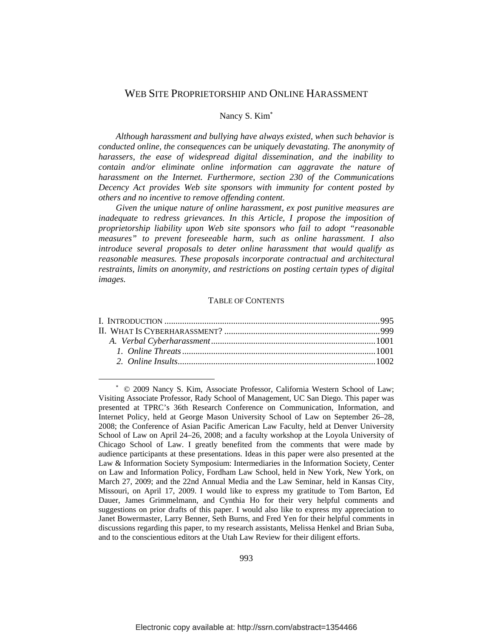## WEB SITE PROPRIETORSHIP AND ONLINE HARASSMENT

#### Nancy S. Kim<sup>∗</sup>

*Although harassment and bullying have always existed, when such behavior is conducted online, the consequences can be uniquely devastating. The anonymity of harassers, the ease of widespread digital dissemination, and the inability to contain and/or eliminate online information can aggravate the nature of harassment on the Internet. Furthermore, section 230 of the Communications Decency Act provides Web site sponsors with immunity for content posted by others and no incentive to remove offending content.*

*Given the unique nature of online harassment, ex post punitive measures are inadequate to redress grievances. In this Article, I propose the imposition of proprietorship liability upon Web site sponsors who fail to adopt "reasonable measures" to prevent foreseeable harm, such as online harassment. I also introduce several proposals to deter online harassment that would qualify as reasonable measures. These proposals incorporate contractual and architectural restraints, limits on anonymity, and restrictions on posting certain types of digital images.* 

#### TABLE OF CONTENTS

 $\overline{a}$ 

<sup>∗</sup> © 2009 Nancy S. Kim, Associate Professor, California Western School of Law; Visiting Associate Professor, Rady School of Management, UC San Diego. This paper was presented at TPRC's 36th Research Conference on Communication, Information, and Internet Policy, held at George Mason University School of Law on September 26–28, 2008; the Conference of Asian Pacific American Law Faculty, held at Denver University School of Law on April 24–26, 2008; and a faculty workshop at the Loyola University of Chicago School of Law. I greatly benefited from the comments that were made by audience participants at these presentations. Ideas in this paper were also presented at the Law & Information Society Symposium: Intermediaries in the Information Society, Center on Law and Information Policy, Fordham Law School, held in New York, New York, on March 27, 2009; and the 22nd Annual Media and the Law Seminar, held in Kansas City, Missouri, on April 17, 2009. I would like to express my gratitude to Tom Barton, Ed Dauer, James Grimmelmann, and Cynthia Ho for their very helpful comments and suggestions on prior drafts of this paper. I would also like to express my appreciation to Janet Bowermaster, Larry Benner, Seth Burns, and Fred Yen for their helpful comments in discussions regarding this paper, to my research assistants, Melissa Henkel and Brian Suba, and to the conscientious editors at the Utah Law Review for their diligent efforts.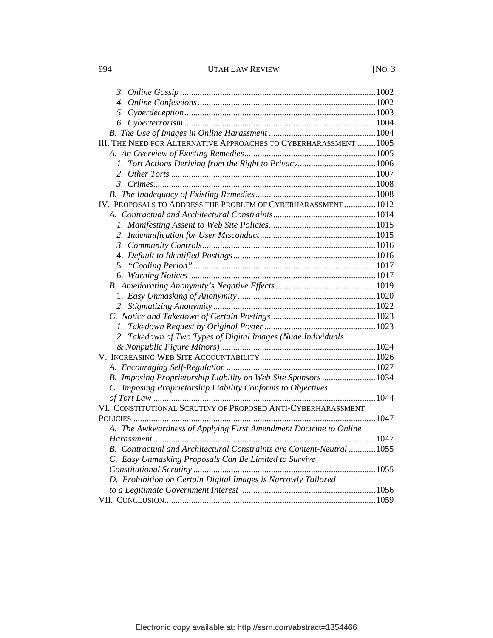# 994 UTAH LAW REVIEW [NO. 3

| III. THE NEED FOR ALTERNATIVE APPROACHES TO CYBERHARASSMENT  1005      |  |
|------------------------------------------------------------------------|--|
|                                                                        |  |
|                                                                        |  |
|                                                                        |  |
|                                                                        |  |
|                                                                        |  |
| IV. PROPOSALS TO ADDRESS THE PROBLEM OF CYBERHARASSMENT  1012          |  |
|                                                                        |  |
|                                                                        |  |
|                                                                        |  |
|                                                                        |  |
|                                                                        |  |
|                                                                        |  |
|                                                                        |  |
|                                                                        |  |
|                                                                        |  |
|                                                                        |  |
|                                                                        |  |
|                                                                        |  |
| 2. Takedown of Two Types of Digital Images (Nude Individuals           |  |
|                                                                        |  |
|                                                                        |  |
|                                                                        |  |
| B. Imposing Proprietorship Liability on Web Site Sponsors  1034        |  |
| C. Imposing Proprietorship Liability Conforms to Objectives            |  |
|                                                                        |  |
| VI. CONSTITUTIONAL SCRUTINY OF PROPOSED ANTI-CYBERHARASSMENT           |  |
|                                                                        |  |
| A. The Awkwardness of Applying First Amendment Doctrine to Online      |  |
|                                                                        |  |
| B. Contractual and Architectural Constraints are Content-Neutral  1055 |  |
| C. Easy Unmasking Proposals Can Be Limited to Survive                  |  |
|                                                                        |  |
| D. Prohibition on Certain Digital Images is Narrowly Tailored          |  |
|                                                                        |  |
|                                                                        |  |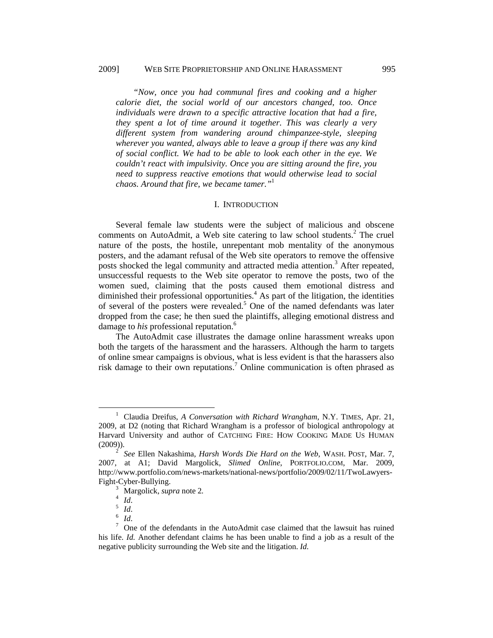*"Now, once you had communal fires and cooking and a higher calorie diet, the social world of our ancestors changed, too. Once individuals were drawn to a specific attractive location that had a fire, they spent a lot of time around it together. This was clearly a very different system from wandering around chimpanzee-style, sleeping wherever you wanted, always able to leave a group if there was any kind of social conflict. We had to be able to look each other in the eye. We couldn't react with impulsivity. Once you are sitting around the fire, you need to suppress reactive emotions that would otherwise lead to social chaos. Around that fire, we became tamer."*<sup>1</sup>

#### I. INTRODUCTION

Several female law students were the subject of malicious and obscene comments on AutoAdmit, a Web site catering to law school students.<sup>2</sup> The cruel nature of the posts, the hostile, unrepentant mob mentality of the anonymous posters, and the adamant refusal of the Web site operators to remove the offensive posts shocked the legal community and attracted media attention.<sup>3</sup> After repeated, unsuccessful requests to the Web site operator to remove the posts, two of the women sued, claiming that the posts caused them emotional distress and diminished their professional opportunities. $4$  As part of the litigation, the identities of several of the posters were revealed.<sup>5</sup> One of the named defendants was later dropped from the case; he then sued the plaintiffs, alleging emotional distress and damage to *his* professional reputation.<sup>6</sup>

The AutoAdmit case illustrates the damage online harassment wreaks upon both the targets of the harassment and the harassers. Although the harm to targets of online smear campaigns is obvious, what is less evident is that the harassers also risk damage to their own reputations.<sup>7</sup> Online communication is often phrased as

 <sup>1</sup> <sup>1</sup> Claudia Dreifus, *A Conversation with Richard Wrangham*, N.Y. TIMES, Apr. 21, 2009, at D2 (noting that Richard Wrangham is a professor of biological anthropology at Harvard University and author of CATCHING FIRE: HOW COOKING MADE US HUMAN  $(2009)$ ).

*See* Ellen Nakashima, *Harsh Words Die Hard on the Web*, WASH. POST, Mar. 7, 2007, at A1; David Margolick, *Slimed Online*, PORTFOLIO.COM, Mar. 2009, http://www.portfolio.com/news-markets/national-news/portfolio/2009/02/11/TwoLawyers-Fight-Cyber-Bullying. 3

Margolick, *supra* note 2*.* <sup>4</sup>

 $\frac{4}{1}$  *Id.* 

 $\int_{6}^{5}$  *Id*.

*Id.* 

One of the defendants in the AutoAdmit case claimed that the lawsuit has ruined his life. *Id.* Another defendant claims he has been unable to find a job as a result of the negative publicity surrounding the Web site and the litigation. *Id.*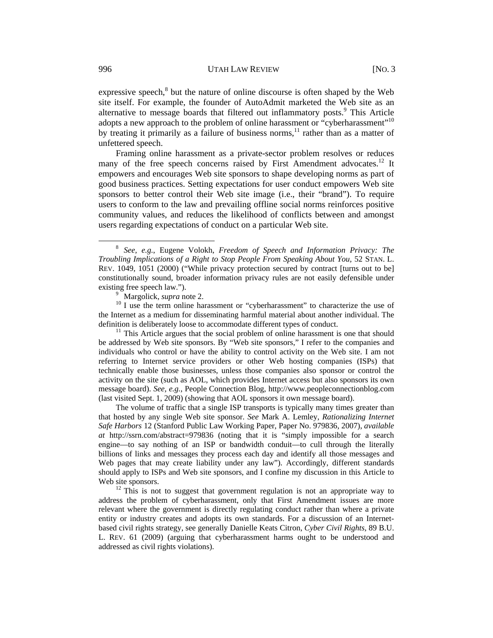expressive speech, $<sup>8</sup>$  but the nature of online discourse is often shaped by the Web</sup> site itself. For example, the founder of AutoAdmit marketed the Web site as an alternative to message boards that filtered out inflammatory posts.<sup>9</sup> This Article adopts a new approach to the problem of online harassment or "cyberharassment"<sup>10</sup> by treating it primarily as a failure of business norms,<sup>11</sup> rather than as a matter of unfettered speech.

Framing online harassment as a private-sector problem resolves or reduces many of the free speech concerns raised by First Amendment advocates.<sup>12</sup> It empowers and encourages Web site sponsors to shape developing norms as part of good business practices. Setting expectations for user conduct empowers Web site sponsors to better control their Web site image (i.e., their "brand"). To require users to conform to the law and prevailing offline social norms reinforces positive community values, and reduces the likelihood of conflicts between and amongst users regarding expectations of conduct on a particular Web site.

 $\frac{10}{10}$  I use the term online harassment or "cyberharassment" to characterize the use of the Internet as a medium for disseminating harmful material about another individual. The definition is deliberately loose to accommodate different types of conduct. 11 This Article argues that the social problem of online harassment is one that should

be addressed by Web site sponsors. By "Web site sponsors," I refer to the companies and individuals who control or have the ability to control activity on the Web site. I am not referring to Internet service providers or other Web hosting companies (ISPs) that technically enable those businesses, unless those companies also sponsor or control the activity on the site (such as AOL, which provides Internet access but also sponsors its own message board). *See, e.g.*, People Connection Blog, http://www.peopleconnectionblog.com (last visited Sept. 1, 2009) (showing that AOL sponsors it own message board).

The volume of traffic that a single ISP transports is typically many times greater than that hosted by any single Web site sponsor. *See* Mark A. Lemley, *Rationalizing Internet Safe Harbors* 12 (Stanford Public Law Working Paper, Paper No. 979836, 2007), *available at* http://ssrn.com/abstract=979836 (noting that it is "simply impossible for a search engine—to say nothing of an ISP or bandwidth conduit—to cull through the literally billions of links and messages they process each day and identify all those messages and Web pages that may create liability under any law"). Accordingly, different standards should apply to ISPs and Web site sponsors, and I confine my discussion in this Article to Web site sponsors.<br><sup>12</sup> This is not to suggest that government regulation is not an appropriate way to

address the problem of cyberharassment, only that First Amendment issues are more relevant where the government is directly regulating conduct rather than where a private entity or industry creates and adopts its own standards. For a discussion of an Internetbased civil rights strategy, see generally Danielle Keats Citron, *Cyber Civil Rights*, 89 B.U. L. REV. 61 (2009) (arguing that cyberharassment harms ought to be understood and addressed as civil rights violations).

 <sup>8</sup> *See, e.g.*, Eugene Volokh, *Freedom of Speech and Information Privacy: The Troubling Implications of a Right to Stop People From Speaking About You, 52 STAN. L.* REV. 1049, 1051 (2000) ("While privacy protection secured by contract [turns out to be] constitutionally sound, broader information privacy rules are not easily defensible under existing free speech law.").<br> $\frac{9}{9}$  Margolick, *supra* note 2.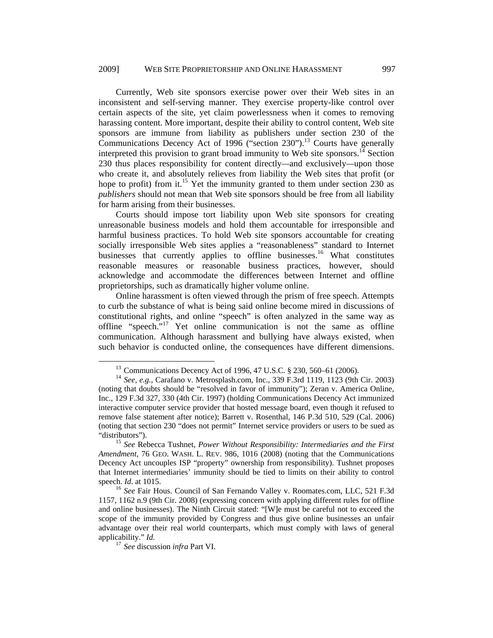Currently, Web site sponsors exercise power over their Web sites in an inconsistent and self-serving manner. They exercise property-like control over certain aspects of the site, yet claim powerlessness when it comes to removing harassing content. More important, despite their ability to control content, Web site sponsors are immune from liability as publishers under section 230 of the Communications Decency Act of 1996 ("section 230").<sup>13</sup> Courts have generally interpreted this provision to grant broad immunity to Web site sponsors.<sup>14</sup> Section 230 thus places responsibility for content directly*—*and exclusively*—*upon those who create it, and absolutely relieves from liability the Web sites that profit (or hope to profit) from it.<sup>15</sup> Yet the immunity granted to them under section 230 as *publishers* should not mean that Web site sponsors should be free from all liability for harm arising from their businesses.

Courts should impose tort liability upon Web site sponsors for creating unreasonable business models and hold them accountable for irresponsible and harmful business practices. To hold Web site sponsors accountable for creating socially irresponsible Web sites applies a "reasonableness" standard to Internet businesses that currently applies to offline businesses.<sup>16</sup> What constitutes reasonable measures or reasonable business practices, however, should acknowledge and accommodate the differences between Internet and offline proprietorships, such as dramatically higher volume online.

Online harassment is often viewed through the prism of free speech. Attempts to curb the substance of what is being said online become mired in discussions of constitutional rights, and online "speech" is often analyzed in the same way as offline "speech."17 Yet online communication is not the same as offline communication. Although harassment and bullying have always existed, when such behavior is conducted online, the consequences have different dimensions.

 <sup>13</sup> Communications Decency Act of 1996, 47 U.S.C. § 230, 560–61 (2006).

<sup>14</sup> *See, e.g.*, Carafano v. Metrosplash.com, Inc., 339 F.3rd 1119, 1123 (9th Cir. 2003) (noting that doubts should be "resolved in favor of immunity"); Zeran v. America Online, Inc., 129 F.3d 327, 330 (4th Cir. 1997) (holding Communications Decency Act immunized interactive computer service provider that hosted message board, even though it refused to remove false statement after notice); Barrett v. Rosenthal, 146 P.3d 510, 529 (Cal. 2006) (noting that section 230 "does not permit" Internet service providers or users to be sued as "distributors"). 15 *See* Rebecca Tushnet, *Power Without Responsibility: Intermediaries and the First* 

*Amendment*, 76 GEO. WASH. L. REV. 986, 1016 (2008) (noting that the Communications Decency Act uncouples ISP "property" ownership from responsibility). Tushnet proposes that Internet intermediaries' immunity should be tied to limits on their ability to control speech. *Id.* at 1015.<br><sup>16</sup> *See* Fair Hous. Council of San Fernando Valley v. Roomates.com, LLC, 521 F.3d

<sup>1157, 1162</sup> n.9 (9th Cir. 2008) (expressing concern with applying different rules for offline and online businesses). The Ninth Circuit stated: "[W]e must be careful not to exceed the scope of the immunity provided by Congress and thus give online businesses an unfair advantage over their real world counterparts, which must comply with laws of general applicability." *Id.* <sup>17</sup>*See* discussion *infra* Part VI.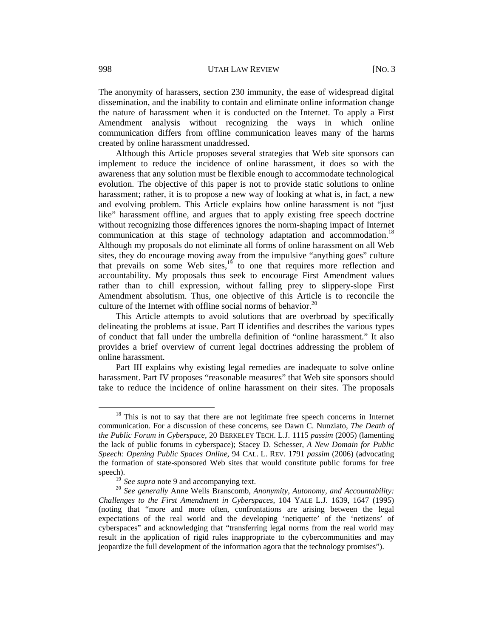The anonymity of harassers, section 230 immunity, the ease of widespread digital dissemination, and the inability to contain and eliminate online information change the nature of harassment when it is conducted on the Internet. To apply a First Amendment analysis without recognizing the ways in which online communication differs from offline communication leaves many of the harms created by online harassment unaddressed.

Although this Article proposes several strategies that Web site sponsors can implement to reduce the incidence of online harassment, it does so with the awareness that any solution must be flexible enough to accommodate technological evolution. The objective of this paper is not to provide static solutions to online harassment; rather, it is to propose a new way of looking at what is, in fact, a new and evolving problem. This Article explains how online harassment is not "just like" harassment offline, and argues that to apply existing free speech doctrine without recognizing those differences ignores the norm-shaping impact of Internet communication at this stage of technology adaptation and accommodation.<sup>18</sup> Although my proposals do not eliminate all forms of online harassment on all Web sites, they do encourage moving away from the impulsive "anything goes" culture that prevails on some Web sites, $19$  to one that requires more reflection and accountability. My proposals thus seek to encourage First Amendment values rather than to chill expression, without falling prey to slippery-slope First Amendment absolutism. Thus, one objective of this Article is to reconcile the culture of the Internet with offline social norms of behavior. $^{20}$ 

This Article attempts to avoid solutions that are overbroad by specifically delineating the problems at issue. Part II identifies and describes the various types of conduct that fall under the umbrella definition of "online harassment." It also provides a brief overview of current legal doctrines addressing the problem of online harassment.

Part III explains why existing legal remedies are inadequate to solve online harassment. Part IV proposes "reasonable measures" that Web site sponsors should take to reduce the incidence of online harassment on their sites. The proposals

<sup>&</sup>lt;sup>18</sup> This is not to say that there are not legitimate free speech concerns in Internet communication. For a discussion of these concerns, see Dawn C. Nunziato, *The Death of the Public Forum in Cyberspace*, 20 BERKELEY TECH. L.J. 1115 *passim* (2005) (lamenting the lack of public forums in cyberspace); Stacey D. Schesser, *A New Domain for Public Speech: Opening Public Spaces Online*, 94 CAL. L. REV. 1791 *passim* (2006) (advocating the formation of state-sponsored Web sites that would constitute public forums for free speech).

<sup>&</sup>lt;sup>19</sup> See supra note 9 and accompanying text.<br><sup>20</sup> See generally Anne Wells Branscomb, *Anonymity, Autonomy, and Accountability: Challenges to the First Amendment in Cyberspaces*, 104 YALE L.J. 1639, 1647 (1995) (noting that "more and more often, confrontations are arising between the legal expectations of the real world and the developing 'netiquette' of the 'netizens' of cyberspaces" and acknowledging that "transferring legal norms from the real world may result in the application of rigid rules inappropriate to the cybercommunities and may jeopardize the full development of the information agora that the technology promises").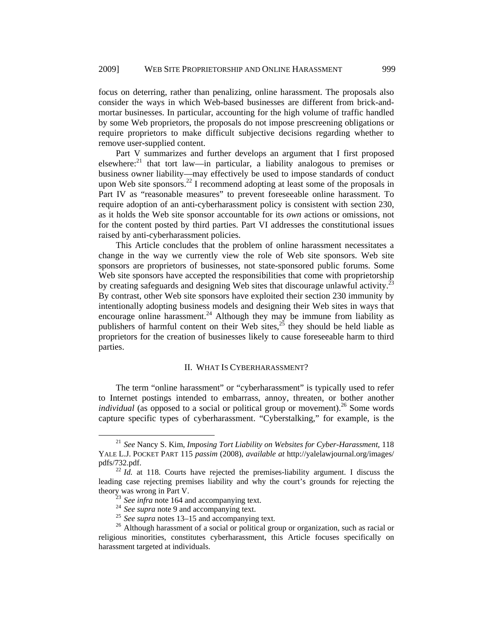focus on deterring, rather than penalizing, online harassment. The proposals also consider the ways in which Web-based businesses are different from brick-andmortar businesses. In particular, accounting for the high volume of traffic handled by some Web proprietors, the proposals do not impose prescreening obligations or require proprietors to make difficult subjective decisions regarding whether to remove user-supplied content.

Part V summarizes and further develops an argument that I first proposed elsewhere: $^{21}$  that tort law—in particular, a liability analogous to premises or business owner liability—may effectively be used to impose standards of conduct upon Web site sponsors.<sup>22</sup> I recommend adopting at least some of the proposals in Part IV as "reasonable measures" to prevent foreseeable online harassment. To require adoption of an anti-cyberharassment policy is consistent with section 230, as it holds the Web site sponsor accountable for its *own* actions or omissions, not for the content posted by third parties. Part VI addresses the constitutional issues raised by anti-cyberharassment policies.

This Article concludes that the problem of online harassment necessitates a change in the way we currently view the role of Web site sponsors. Web site sponsors are proprietors of businesses, not state-sponsored public forums. Some Web site sponsors have accepted the responsibilities that come with proprietorship by creating safeguards and designing Web sites that discourage unlawful activity.<sup>2</sup> By contrast, other Web site sponsors have exploited their section 230 immunity by intentionally adopting business models and designing their Web sites in ways that encourage online harassment.<sup>24</sup> Although they may be immune from liability as publishers of harmful content on their Web sites, $^{25}$  they should be held liable as proprietors for the creation of businesses likely to cause foreseeable harm to third parties.

## II. WHAT IS CYBERHARASSMENT?

The term "online harassment" or "cyberharassment" is typically used to refer to Internet postings intended to embarrass, annoy, threaten, or bother another *individual* (as opposed to a social or political group or movement).<sup>26</sup> Some words capture specific types of cyberharassment. "Cyberstalking," for example, is the

 <sup>21</sup> *See* Nancy S. Kim, *Imposing Tort Liability on Websites for Cyber-Harassment*, 118 YALE L.J. POCKET PART 115 *passim* (2008), *available at* http://yalelawjournal.org/images/ pdfs/732.pdf. 22 *Id.* at 118. Courts have rejected the premises-liability argument. I discuss the

leading case rejecting premises liability and why the court's grounds for rejecting the theory was wrong in Part V.<br>
<sup>23</sup> See infra note 164 and accompanying text.

<sup>25&</sup>lt;br>
See supra note 9 and accompanying text.<br>
<sup>25</sup> See supra notes 13–15 and accompanying text.<br>
<sup>25</sup> See supra notes 13–15 and accompanying text.<br>
<sup>26</sup> Although harassment of a social or political group or organization, su religious minorities, constitutes cyberharassment, this Article focuses specifically on harassment targeted at individuals.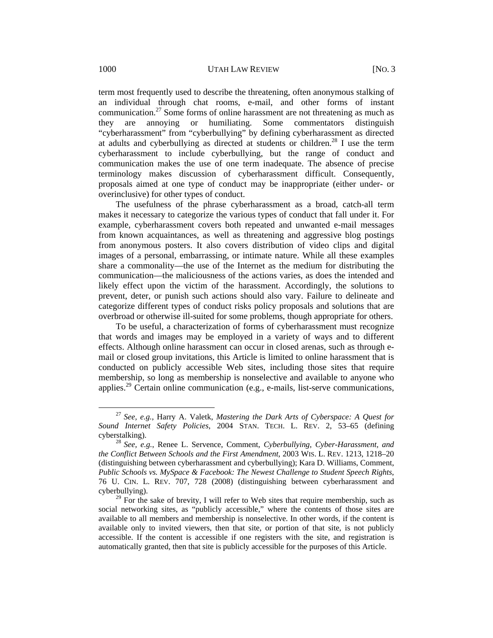term most frequently used to describe the threatening, often anonymous stalking of an individual through chat rooms, e-mail, and other forms of instant communication.<sup>27</sup> Some forms of online harassment are not threatening as much as they are annoying or humiliating. Some commentators distinguish "cyberharassment" from "cyberbullying" by defining cyberharassment as directed at adults and cyberbullying as directed at students or children.<sup>28</sup> I use the term cyberharassment to include cyberbullying, but the range of conduct and communication makes the use of one term inadequate. The absence of precise terminology makes discussion of cyberharassment difficult. Consequently, proposals aimed at one type of conduct may be inappropriate (either under- or overinclusive) for other types of conduct.

The usefulness of the phrase cyberharassment as a broad, catch-all term makes it necessary to categorize the various types of conduct that fall under it. For example, cyberharassment covers both repeated and unwanted e-mail messages from known acquaintances, as well as threatening and aggressive blog postings from anonymous posters. It also covers distribution of video clips and digital images of a personal, embarrassing, or intimate nature. While all these examples share a commonality—the use of the Internet as the medium for distributing the communication—the maliciousness of the actions varies, as does the intended and likely effect upon the victim of the harassment. Accordingly, the solutions to prevent, deter, or punish such actions should also vary. Failure to delineate and categorize different types of conduct risks policy proposals and solutions that are overbroad or otherwise ill-suited for some problems, though appropriate for others.

To be useful, a characterization of forms of cyberharassment must recognize that words and images may be employed in a variety of ways and to different effects. Although online harassment can occur in closed arenas, such as through email or closed group invitations, this Article is limited to online harassment that is conducted on publicly accessible Web sites, including those sites that require membership, so long as membership is nonselective and available to anyone who applies.<sup>29</sup> Certain online communication (e.g., e-mails, list-serve communications,

 <sup>27</sup> *See, e.g.*, Harry A. Valetk, *Mastering the Dark Arts of Cyberspace: A Quest for Sound Internet Safety Policies*, 2004 STAN. TECH. L. REV. 2, 53–65 (defining cyberstalking). <sup>28</sup>*See, e.g.*, Renee L. Servence, Comment, *Cyberbullying, Cyber-Harassment, and* 

*the Conflict Between Schools and the First Amendment*, 2003 WIS. L. REV. 1213, 1218–20 (distinguishing between cyberharassment and cyberbullying); Kara D. Williams, Comment, *Public Schools vs. MySpace & Facebook: The Newest Challenge to Student Speech Rights*, 76 U. CIN. L. REV. 707, 728 (2008) (distinguishing between cyberharassment and cyberbullying).

 $29$  For the sake of brevity, I will refer to Web sites that require membership, such as social networking sites, as "publicly accessible," where the contents of those sites are available to all members and membership is nonselective. In other words, if the content is available only to invited viewers, then that site, or portion of that site, is not publicly accessible. If the content is accessible if one registers with the site, and registration is automatically granted, then that site is publicly accessible for the purposes of this Article.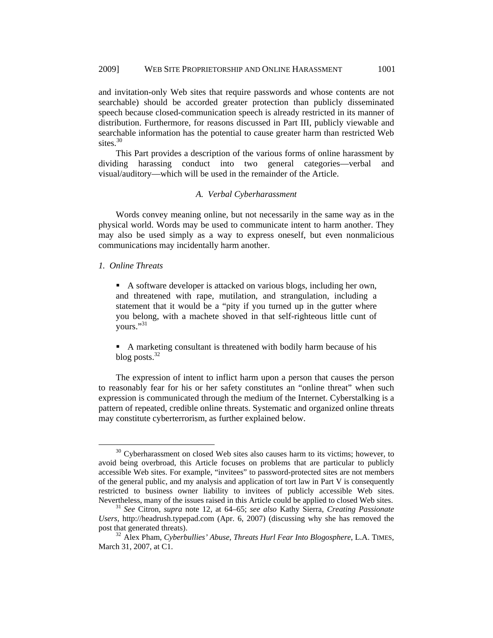and invitation-only Web sites that require passwords and whose contents are not searchable) should be accorded greater protection than publicly disseminated speech because closed-communication speech is already restricted in its manner of distribution. Furthermore, for reasons discussed in Part III, publicly viewable and searchable information has the potential to cause greater harm than restricted Web sites.<sup>30</sup>

This Part provides a description of the various forms of online harassment by dividing harassing conduct into two general categories—verbal and visual/auditory—which will be used in the remainder of the Article.

#### *A. Verbal Cyberharassment*

Words convey meaning online, but not necessarily in the same way as in the physical world. Words may be used to communicate intent to harm another. They may also be used simply as a way to express oneself, but even nonmalicious communications may incidentally harm another.

## *1. Online Threats*

 A software developer is attacked on various blogs, including her own, and threatened with rape, mutilation, and strangulation, including a statement that it would be a "pity if you turned up in the gutter where you belong, with a machete shoved in that self-righteous little cunt of yours."31

 A marketing consultant is threatened with bodily harm because of his blog posts.<sup>32</sup>

The expression of intent to inflict harm upon a person that causes the person to reasonably fear for his or her safety constitutes an "online threat" when such expression is communicated through the medium of the Internet. Cyberstalking is a pattern of repeated, credible online threats. Systematic and organized online threats may constitute cyberterrorism, as further explained below.

 $30$  Cyberharassment on closed Web sites also causes harm to its victims; however, to avoid being overbroad, this Article focuses on problems that are particular to publicly accessible Web sites. For example, "invitees" to password-protected sites are not members of the general public, and my analysis and application of tort law in Part V is consequently restricted to business owner liability to invitees of publicly accessible Web sites. Nevertheless, many of the issues raised in this Article could be applied to closed Web sites. <sup>31</sup>*See* Citron*, supra* note 12, at 64–65; *see also* Kathy Sierra, *Creating Passionate* 

*Users*, http://headrush.typepad.com (Apr. 6, 2007) (discussing why she has removed the post that generated threats). 32 Alex Pham, *Cyberbullies' Abuse, Threats Hurl Fear Into Blogosphere*, L.A. TIMES,

March 31, 2007, at C1.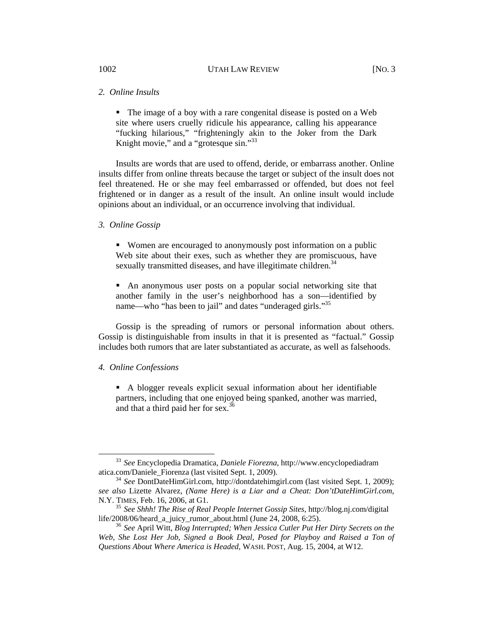## *2. Online Insults*

• The image of a boy with a rare congenital disease is posted on a Web site where users cruelly ridicule his appearance, calling his appearance "fucking hilarious," "frighteningly akin to the Joker from the Dark Knight movie," and a "grotesque sin."<sup>33</sup>

Insults are words that are used to offend, deride, or embarrass another. Online insults differ from online threats because the target or subject of the insult does not feel threatened. He or she may feel embarrassed or offended, but does not feel frightened or in danger as a result of the insult. An online insult would include opinions about an individual, or an occurrence involving that individual.

#### *3. Online Gossip*

 Women are encouraged to anonymously post information on a public Web site about their exes, such as whether they are promiscuous, have sexually transmitted diseases, and have illegitimate children.<sup>34</sup>

 An anonymous user posts on a popular social networking site that another family in the user's neighborhood has a son—identified by name—who "has been to jail" and dates "underaged girls."35

Gossip is the spreading of rumors or personal information about others. Gossip is distinguishable from insults in that it is presented as "factual." Gossip includes both rumors that are later substantiated as accurate, as well as falsehoods.

#### *4. Online Confessions*

 A blogger reveals explicit sexual information about her identifiable partners, including that one enjoyed being spanked, another was married, and that a third paid her for sex. $36$ 

<sup>&</sup>lt;sup>33</sup> *See* Encyclopedia Dramatica, *Daniele Fiorezna*, http://www.encyclopediadram atica.com/Daniele Fiorenza (last visited Sept. 1, 2009).

<sup>&</sup>lt;sup>34</sup> See DontDateHimGirl.com, http://dontdatehimgirl.com (last visited Sept. 1, 2009); *see also* Lizette Alvarez, *(Name Here) is a Liar and a Cheat: Don'tDateHimGirl.com*,

N.Y. TIMES, Feb. 16, 2006, at G1.<br><sup>35</sup> See Shhh! The Rise of Real People Internet Gossip Sites, http://blog.nj.com/digital life/2008/06/heard a juicy rumor about.html (June 24, 2008, 6:25).

<sup>&</sup>lt;sup>36</sup> See April Witt, *Blog Interrupted; When Jessica Cutler Put Her Dirty Secrets on the Web, She Lost Her Job, Signed a Book Deal, Posed for Playboy and Raised a Ton of Questions About Where America is Headed*, WASH. POST, Aug. 15, 2004, at W12.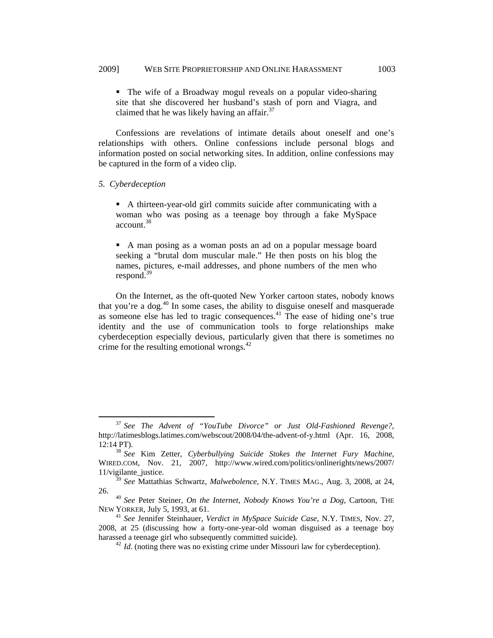The wife of a Broadway mogul reveals on a popular video-sharing site that she discovered her husband's stash of porn and Viagra, and claimed that he was likely having an affair. $37$ 

Confessions are revelations of intimate details about oneself and one's relationships with others. Online confessions include personal blogs and information posted on social networking sites. In addition, online confessions may be captured in the form of a video clip.

#### *5. Cyberdeception*

 A thirteen-year-old girl commits suicide after communicating with a woman who was posing as a teenage boy through a fake MySpace account.<sup>38</sup>

 A man posing as a woman posts an ad on a popular message board seeking a "brutal dom muscular male." He then posts on his blog the names, pictures, e-mail addresses, and phone numbers of the men who respond.<sup>39</sup>

On the Internet, as the oft-quoted New Yorker cartoon states, nobody knows that you're a dog.40 In some cases, the ability to disguise oneself and masquerade as someone else has led to tragic consequences.<sup>41</sup> The ease of hiding one's true identity and the use of communication tools to forge relationships make cyberdeception especially devious, particularly given that there is sometimes no crime for the resulting emotional wrongs. $42$ 

 <sup>37</sup> *See The Advent of "YouTube Divorce" or Just Old-Fashioned Revenge?*, http://latimesblogs.latimes.com/webscout/2008/04/the-advent-of-y.html (Apr. 16, 2008, 12:14 PT). 38 *See* Kim Zetter, *Cyberbullying Suicide Stokes the Internet Fury Machine*,

WIRED.COM, Nov. 21, 2007, http://www.wired.com/politics/onlinerights/news/2007/ 11/vigilante\_justice.

<sup>39</sup> *See* Mattathias Schwartz, *Malwebolence*, N.Y. TIMES MAG., Aug. 3, 2008, at 24,

<sup>26. 40</sup> *See* Peter Steiner, *On the Internet, Nobody Knows You're a Dog*, Cartoon, THE NEW YORKER, July 5, 1993, at 61. 41 *See* Jennifer Steinhauer, *Verdict in MySpace Suicide Case*, N.Y. TIMES, Nov. 27,

<sup>2008,</sup> at 25 (discussing how a forty-one-year-old woman disguised as a teenage boy harassed a teenage girl who subsequently committed suicide).<br><sup>42</sup> *Id*. (noting there was no existing crime under Missouri law for cyberdeception).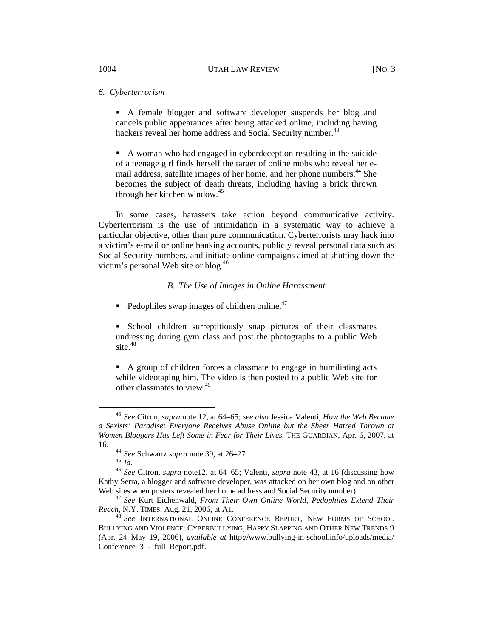## *6. Cyberterrorism*

 A female blogger and software developer suspends her blog and cancels public appearances after being attacked online, including having hackers reveal her home address and Social Security number.<sup>43</sup>

 A woman who had engaged in cyberdeception resulting in the suicide of a teenage girl finds herself the target of online mobs who reveal her email address, satellite images of her home, and her phone numbers.<sup>44</sup> She becomes the subject of death threats, including having a brick thrown through her kitchen window.<sup>45</sup>

In some cases, harassers take action beyond communicative activity. Cyberterrorism is the use of intimidation in a systematic way to achieve a particular objective, other than pure communication. Cyberterrorists may hack into a victim's e-mail or online banking accounts, publicly reveal personal data such as Social Security numbers, and initiate online campaigns aimed at shutting down the victim's personal Web site or blog.<sup>46</sup>

#### *B. The Use of Images in Online Harassment*

 $\blacksquare$  Pedophiles swap images of children online.<sup>47</sup>

 School children surreptitiously snap pictures of their classmates undressing during gym class and post the photographs to a public Web site.<sup>48</sup>

 A group of children forces a classmate to engage in humiliating acts while videotaping him. The video is then posted to a public Web site for other classmates to view.<sup>49</sup>

 <sup>43</sup> *See* Citron, *supra* note 12, at 64–65; *see also* Jessica Valenti, *How the Web Became a Sexists' Paradise: Everyone Receives Abuse Online but the Sheer Hatred Thrown at Women Bloggers Has Left Some in Fear for Their Lives*, THE GUARDIAN, Apr. 6, 2007, at

<sup>16. 44</sup> *See* Schwartz *supra* note 39, at 26–27. 45 *Id.* <sup>46</sup>*See* Citron, *supra* note12, at 64–65; Valenti, *supra* note 43, at 16 (discussing how Kathy Serra, a blogger and software developer, was attacked on her own blog and on other

Web sites when posters revealed her home address and Social Security number).<br><sup>47</sup> *See* Kurt Eichenwald, *From Their Own Online World, Pedophiles Extend Their Reach*, N.Y. TIMES, Aug. 21, 2006, at A1.

<sup>&</sup>lt;sup>48</sup> See INTERNATIONAL ONLINE CONFERENCE REPORT, NEW FORMS OF SCHOOL BULLYING AND VIOLENCE: CYBERBULLYING, HAPPY SLAPPING AND OTHER NEW TRENDS 9 (Apr. 24–May 19, 2006), *available at* http://www.bullying-in-school.info/uploads/media/ Conference 3 - full Report.pdf.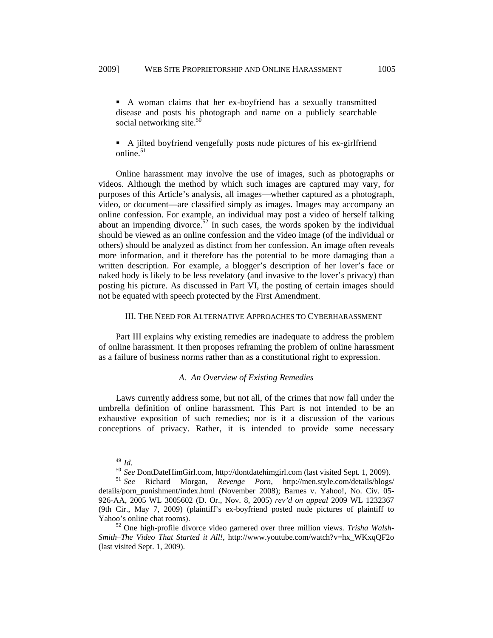A woman claims that her ex-boyfriend has a sexually transmitted disease and posts his photograph and name on a publicly searchable social networking site. $50$ 

 A jilted boyfriend vengefully posts nude pictures of his ex-girlfriend online. $51$ 

Online harassment may involve the use of images, such as photographs or videos. Although the method by which such images are captured may vary, for purposes of this Article's analysis, all images—whether captured as a photograph, video, or document—are classified simply as images. Images may accompany an online confession. For example, an individual may post a video of herself talking about an impending divorce.<sup>52</sup> In such cases, the words spoken by the individual should be viewed as an online confession and the video image (of the individual or others) should be analyzed as distinct from her confession. An image often reveals more information, and it therefore has the potential to be more damaging than a written description. For example, a blogger's description of her lover's face or naked body is likely to be less revelatory (and invasive to the lover's privacy) than posting his picture. As discussed in Part VI, the posting of certain images should not be equated with speech protected by the First Amendment.

### III. THE NEED FOR ALTERNATIVE APPROACHES TO CYBERHARASSMENT

Part III explains why existing remedies are inadequate to address the problem of online harassment. It then proposes reframing the problem of online harassment as a failure of business norms rather than as a constitutional right to expression.

#### *A. An Overview of Existing Remedies*

Laws currently address some, but not all, of the crimes that now fall under the umbrella definition of online harassment. This Part is not intended to be an exhaustive exposition of such remedies; nor is it a discussion of the various conceptions of privacy. Rather, it is intended to provide some necessary

<sup>49</sup>*Id*. 50 *See* DontDateHimGirl.com, http://dontdatehimgirl.com (last visited Sept. 1, 2009). 51 *See* Richard Morgan, *Revenge Porn*, http://men.style.com/details/blogs/ details/porn\_punishment/index.html (November 2008); Barnes v. Yahoo!, No. Civ. 05-926-AA, 2005 WL 3005602 (D. Or., Nov. 8, 2005) *rev'd on appeal* 2009 WL 1232367 (9th Cir., May 7, 2009) (plaintiff's ex-boyfriend posted nude pictures of plaintiff to Yahoo's online chat rooms). 52 One high-profile divorce video garnered over three million views. *Trisha Walsh-*

*Smith–The Video That Started it All!*, http://www.youtube.com/watch?v=hx\_WKxqQF2o (last visited Sept. 1, 2009).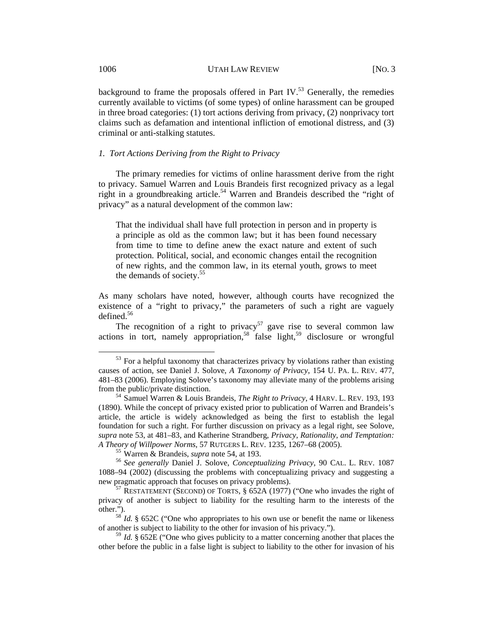background to frame the proposals offered in Part IV.<sup>53</sup> Generally, the remedies currently available to victims (of some types) of online harassment can be grouped in three broad categories: (1) tort actions deriving from privacy, (2) nonprivacy tort claims such as defamation and intentional infliction of emotional distress, and (3) criminal or anti-stalking statutes.

## *1. Tort Actions Deriving from the Right to Privacy*

The primary remedies for victims of online harassment derive from the right to privacy. Samuel Warren and Louis Brandeis first recognized privacy as a legal right in a groundbreaking article.<sup>54</sup> Warren and Brandeis described the "right of privacy" as a natural development of the common law:

That the individual shall have full protection in person and in property is a principle as old as the common law; but it has been found necessary from time to time to define anew the exact nature and extent of such protection. Political, social, and economic changes entail the recognition of new rights, and the common law, in its eternal youth, grows to meet the demands of society.55

As many scholars have noted, however, although courts have recognized the existence of a "right to privacy," the parameters of such a right are vaguely defined. $56$ 

The recognition of a right to privacy<sup>57</sup> gave rise to several common law actions in tort, namely appropriation,<sup>58</sup> false light,<sup>59</sup> disclosure or wrongful

 $53$  For a helpful taxonomy that characterizes privacy by violations rather than existing causes of action, see Daniel J. Solove, *A Taxonomy of Privacy*, 154 U. PA. L. REV. 477, 481–83 (2006). Employing Solove's taxonomy may alleviate many of the problems arising from the public/private distinction. 54 Samuel Warren & Louis Brandeis, *The Right to Privacy*, 4 HARV. L. REV. 193, 193

<sup>(1890).</sup> While the concept of privacy existed prior to publication of Warren and Brandeis's article, the article is widely acknowledged as being the first to establish the legal foundation for such a right. For further discussion on privacy as a legal right, see Solove, *supra* note 53, at 481–83, and Katherine Strandberg, *Privacy, Rationality, and Temptation: A Theory of Willpower Norms*, 57 RUTGERS L. REV. 1235, 1267–68 (2005). 55 Warren & Brandeis, *supra* note 54, at 193. 56 *See generally* Daniel J. Solove, *Conceptualizing Privacy*, 90 CAL. L. REV. 1087

<sup>1088–94 (2002) (</sup>discussing the problems with conceptualizing privacy and suggesting a new pragmatic approach that focuses on privacy problems).<br><sup>57</sup> RESTATEMENT (SECOND) OF TORTS, § 652A (1977) ("One who invades the right of

privacy of another is subject to liability for the resulting harm to the interests of the other.").<br><sup>58</sup> *Id.* § 652C ("One who appropriates to his own use or benefit the name or likeness

of another is subject to liability to the other for invasion of his privacy.").

<sup>59</sup> *Id.* § 652E ("One who gives publicity to a matter concerning another that places the other before the public in a false light is subject to liability to the other for invasion of his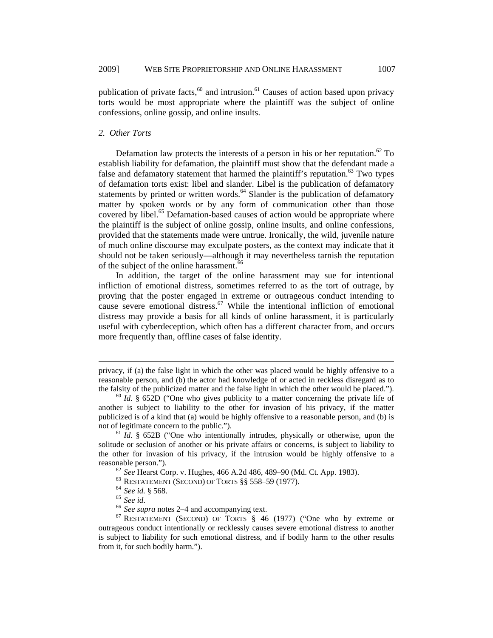publication of private facts, $60$  and intrusion.<sup>61</sup> Causes of action based upon privacy torts would be most appropriate where the plaintiff was the subject of online confessions, online gossip, and online insults.

## *2. Other Torts*

Defamation law protects the interests of a person in his or her reputation.<sup>62</sup> To establish liability for defamation, the plaintiff must show that the defendant made a false and defamatory statement that harmed the plaintiff's reputation.<sup>63</sup> Two types of defamation torts exist: libel and slander. Libel is the publication of defamatory statements by printed or written words.<sup>64</sup> Slander is the publication of defamatory matter by spoken words or by any form of communication other than those covered by libel.<sup>65</sup> Defamation-based causes of action would be appropriate where the plaintiff is the subject of online gossip, online insults, and online confessions, provided that the statements made were untrue. Ironically, the wild, juvenile nature of much online discourse may exculpate posters, as the context may indicate that it should not be taken seriously—although it may nevertheless tarnish the reputation of the subject of the online harassment.<sup>66</sup>

In addition, the target of the online harassment may sue for intentional infliction of emotional distress, sometimes referred to as the tort of outrage, by proving that the poster engaged in extreme or outrageous conduct intending to cause severe emotional distress.<sup>67</sup> While the intentional infliction of emotional distress may provide a basis for all kinds of online harassment, it is particularly useful with cyberdeception, which often has a different character from, and occurs more frequently than, offline cases of false identity.

 $\overline{a}$ 

privacy, if (a) the false light in which the other was placed would be highly offensive to a reasonable person, and (b) the actor had knowledge of or acted in reckless disregard as to the falsity of the publicized matter and the false light in which the other would be placed."). <sup>60</sup> *Id.* § 652D ("One who gives publicity to a matter concerning the private life of

another is subject to liability to the other for invasion of his privacy, if the matter publicized is of a kind that (a) would be highly offensive to a reasonable person, and (b) is not of legitimate concern to the public.").<br><sup>61</sup> *Id.* § 652B ("One who intentionally intrudes, physically or otherwise, upon the

solitude or seclusion of another or his private affairs or concerns, is subject to liability to the other for invasion of his privacy, if the intrusion would be highly offensive to a reasonable person.").<br>
<sup>62</sup> See Hearst Corp. v. Hughes, 466 A.2d 486, 489–90 (Md. Ct. App. 1983).<br>
<sup>63</sup> RESTATEMENT (SECOND) OF TORTS §§ 558–59 (1977).<br>
<sup>64</sup> See id. § 568.<br>
<sup>65</sup> See id.<br>
<sup>66</sup> See supra notes 2–4 and acco

outrageous conduct intentionally or recklessly causes severe emotional distress to another is subject to liability for such emotional distress, and if bodily harm to the other results from it, for such bodily harm.").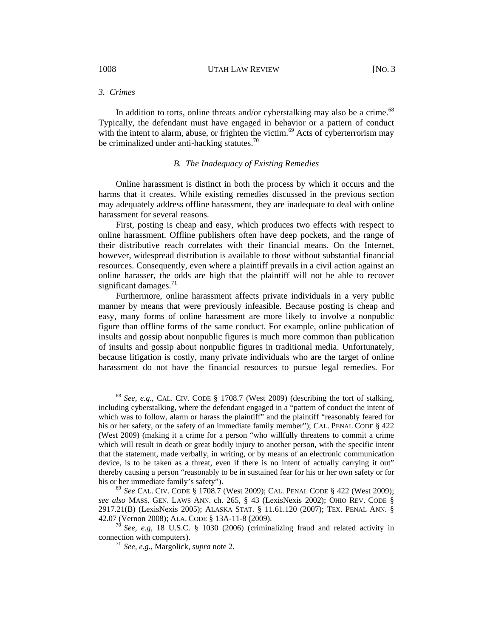## *3. Crimes*

In addition to torts, online threats and/or cyberstalking may also be a crime.<sup>68</sup> Typically, the defendant must have engaged in behavior or a pattern of conduct with the intent to alarm, abuse, or frighten the victim.<sup>69</sup> Acts of cyberterrorism may be criminalized under anti-hacking statutes.<sup>70</sup>

## *B. The Inadequacy of Existing Remedies*

Online harassment is distinct in both the process by which it occurs and the harms that it creates. While existing remedies discussed in the previous section may adequately address offline harassment, they are inadequate to deal with online harassment for several reasons.

First, posting is cheap and easy, which produces two effects with respect to online harassment. Offline publishers often have deep pockets, and the range of their distributive reach correlates with their financial means. On the Internet, however, widespread distribution is available to those without substantial financial resources. Consequently, even where a plaintiff prevails in a civil action against an online harasser, the odds are high that the plaintiff will not be able to recover significant damages.<sup>71</sup>

Furthermore, online harassment affects private individuals in a very public manner by means that were previously infeasible. Because posting is cheap and easy, many forms of online harassment are more likely to involve a nonpublic figure than offline forms of the same conduct. For example, online publication of insults and gossip about nonpublic figures is much more common than publication of insults and gossip about nonpublic figures in traditional media. Unfortunately, because litigation is costly, many private individuals who are the target of online harassment do not have the financial resources to pursue legal remedies. For

 <sup>68</sup> *See, e.g.*, CAL. CIV. CODE § 1708.7 (West 2009) (describing the tort of stalking, including cyberstalking, where the defendant engaged in a "pattern of conduct the intent of which was to follow, alarm or harass the plaintiff" and the plaintiff "reasonably feared for his or her safety, or the safety of an immediate family member"); CAL. PENAL CODE § 422 (West 2009) (making it a crime for a person "who willfully threatens to commit a crime which will result in death or great bodily injury to another person, with the specific intent that the statement, made verbally, in writing, or by means of an electronic communication device, is to be taken as a threat, even if there is no intent of actually carrying it out" thereby causing a person "reasonably to be in sustained fear for his or her own safety or for his or her immediate family's safety").<br><sup>69</sup> *See* CAL. CIV. CODE § 1708.7 (West 2009); CAL. PENAL CODE § 422 (West 2009);

*see also* MASS. GEN. LAWS ANN. ch. 265, § 43 (LexisNexis 2002); OHIO REV. CODE § 2917.21(B) (LexisNexis 2005); ALASKA STAT. § 11.61.120 (2007); TEX. PENAL ANN. § 42.07 (Vernon 2008); ALA. CODE § 13A-11-8 (2009). 70 *See, e.g*, 18 U.S.C. § 1030 (2006) (criminalizing fraud and related activity in

connection with computers). 71 *See, e.g.*, Margolick, *supra* note 2.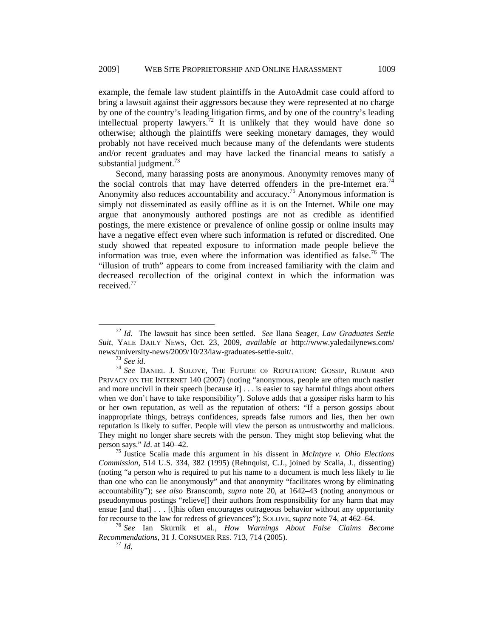example, the female law student plaintiffs in the AutoAdmit case could afford to bring a lawsuit against their aggressors because they were represented at no charge by one of the country's leading litigation firms, and by one of the country's leading intellectual property lawyers.72 It is unlikely that they would have done so otherwise; although the plaintiffs were seeking monetary damages, they would probably not have received much because many of the defendants were students and/or recent graduates and may have lacked the financial means to satisfy a substantial judgment. $73$ 

Second, many harassing posts are anonymous. Anonymity removes many of the social controls that may have deterred offenders in the pre-Internet era.<sup>74</sup> Anonymity also reduces accountability and accuracy.<sup>75</sup> Anonymous information is simply not disseminated as easily offline as it is on the Internet. While one may argue that anonymously authored postings are not as credible as identified postings, the mere existence or prevalence of online gossip or online insults may have a negative effect even where such information is refuted or discredited. One study showed that repeated exposure to information made people believe the information was true, even where the information was identified as false.<sup>76</sup> The "illusion of truth" appears to come from increased familiarity with the claim and decreased recollection of the original context in which the information was received.<sup>77</sup>

 <sup>72</sup> *Id.* The lawsuit has since been settled. *See* Ilana Seager, *Law Graduates Settle Suit*, YALE DAILY NEWS, Oct. 23, 2009, *available at* http://www.yaledailynews.com/ news/university-news/2009/10/23/law-graduates-settle-suit/.<br><sup>73</sup> *See id*. <sup>74</sup> *See DANIEL J. SOLOVE*, THE FUTURE OF REPUTATION: GOSSIP, RUMOR AND

PRIVACY ON THE INTERNET 140 (2007) (noting "anonymous, people are often much nastier and more uncivil in their speech [because it] . . . is easier to say harmful things about others when we don't have to take responsibility"). Solove adds that a gossiper risks harm to his or her own reputation, as well as the reputation of others: "If a person gossips about inappropriate things, betrays confidences, spreads false rumors and lies, then her own reputation is likely to suffer. People will view the person as untrustworthy and malicious. They might no longer share secrets with the person. They might stop believing what the person says." *Id*. at 140–42. 75 Justice Scalia made this argument in his dissent in *McIntyre v. Ohio Elections* 

*Commission*, 514 U.S. 334, 382 (1995) (Rehnquist, C.J., joined by Scalia, J., dissenting) (noting "a person who is required to put his name to a document is much less likely to lie than one who can lie anonymously" and that anonymity "facilitates wrong by eliminating accountability"); s*ee also* Branscomb, *supra* note 20, at 1642–43 (noting anonymous or pseudonymous postings "relieve[] their authors from responsibility for any harm that may ensue [and that] . . . [t]his often encourages outrageous behavior without any opportunity

for recourse to the law for redress of grievances"); SOLOVE, *supra* note 74, at 462–64. 76 *See* Ian Skurnik et al., *How Warnings About False Claims Become Recommendations*, 31 J. CONSUMER RES. 713, 714 (2005).<br><sup>77</sup> *Id*.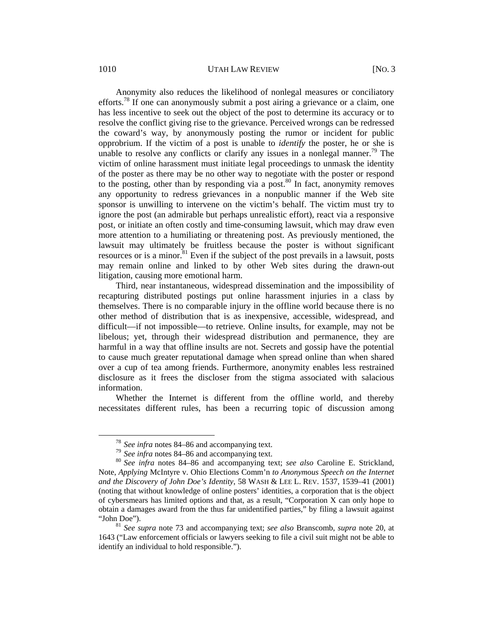## 1010 UTAH LAW REVIEW [NO. 3]

Anonymity also reduces the likelihood of nonlegal measures or conciliatory efforts.<sup>78</sup> If one can anonymously submit a post airing a grievance or a claim, one has less incentive to seek out the object of the post to determine its accuracy or to resolve the conflict giving rise to the grievance. Perceived wrongs can be redressed the coward's way, by anonymously posting the rumor or incident for public opprobrium. If the victim of a post is unable to *identify* the poster, he or she is unable to resolve any conflicts or clarify any issues in a nonlegal manner.<sup>79</sup> The victim of online harassment must initiate legal proceedings to unmask the identity of the poster as there may be no other way to negotiate with the poster or respond to the posting, other than by responding via a post.<sup>80</sup> In fact, anonymity removes any opportunity to redress grievances in a nonpublic manner if the Web site sponsor is unwilling to intervene on the victim's behalf. The victim must try to ignore the post (an admirable but perhaps unrealistic effort), react via a responsive post, or initiate an often costly and time-consuming lawsuit, which may draw even more attention to a humiliating or threatening post. As previously mentioned, the lawsuit may ultimately be fruitless because the poster is without significant resources or is a minor.<sup>81</sup> Even if the subject of the post prevails in a lawsuit, posts may remain online and linked to by other Web sites during the drawn-out litigation, causing more emotional harm.

Third, near instantaneous, widespread dissemination and the impossibility of recapturing distributed postings put online harassment injuries in a class by themselves. There is no comparable injury in the offline world because there is no other method of distribution that is as inexpensive, accessible, widespread, and difficult—if not impossible—to retrieve. Online insults, for example, may not be libelous; yet, through their widespread distribution and permanence, they are harmful in a way that offline insults are not. Secrets and gossip have the potential to cause much greater reputational damage when spread online than when shared over a cup of tea among friends. Furthermore, anonymity enables less restrained disclosure as it frees the discloser from the stigma associated with salacious information.

Whether the Internet is different from the offline world, and thereby necessitates different rules, has been a recurring topic of discussion among

<sup>78</sup>*See infra* notes 84–86 and accompanying text. 79 *See infra* notes 84–86 and accompanying text. 80 *See infra* notes 84–86 and accompanying text; *see also* Caroline E. Strickland, Note, *Applying* McIntyre v. Ohio Elections Comm'n *to Anonymous Speech on the Internet and the Discovery of John Doe's Identity*, 58 WASH & LEE L. REV. 1537, 1539–41 (2001) (noting that without knowledge of online posters' identities, a corporation that is the object of cybersmears has limited options and that, as a result, "Corporation X can only hope to obtain a damages award from the thus far unidentified parties," by filing a lawsuit against "John Doe"). 81 *See supra* note 73 and accompanying text; *see also* Branscomb, *supra* note 20, at

<sup>1643 (&</sup>quot;Law enforcement officials or lawyers seeking to file a civil suit might not be able to identify an individual to hold responsible.").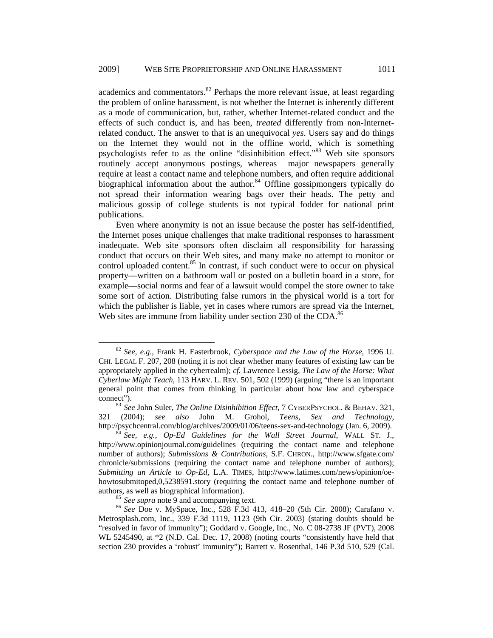academics and commentators. $82$  Perhaps the more relevant issue, at least regarding the problem of online harassment, is not whether the Internet is inherently different as a mode of communication, but, rather, whether Internet-related conduct and the effects of such conduct is, and has been, *treated* differently from non-Internetrelated conduct. The answer to that is an unequivocal *yes*. Users say and do things on the Internet they would not in the offline world, which is something psychologists refer to as the online "disinhibition effect."83 Web site sponsors routinely accept anonymous postings, whereas major newspapers generally require at least a contact name and telephone numbers, and often require additional biographical information about the author.<sup>84</sup> Offline gossipmongers typically do not spread their information wearing bags over their heads. The petty and malicious gossip of college students is not typical fodder for national print publications.

Even where anonymity is not an issue because the poster has self-identified, the Internet poses unique challenges that make traditional responses to harassment inadequate. Web site sponsors often disclaim all responsibility for harassing conduct that occurs on their Web sites, and many make no attempt to monitor or control uploaded content.<sup>85</sup> In contrast, if such conduct were to occur on physical property—written on a bathroom wall or posted on a bulletin board in a store, for example—social norms and fear of a lawsuit would compel the store owner to take some sort of action. Distributing false rumors in the physical world is a tort for which the publisher is liable, yet in cases where rumors are spread via the Internet, Web sites are immune from liability under section 230 of the CDA.<sup>86</sup>

 <sup>82</sup> *See, e.g.*, Frank H. Easterbrook, *Cyberspace and the Law of the Horse*, 1996 U. CHI. LEGAL F. 207, 208 (noting it is not clear whether many features of existing law can be appropriately applied in the cyberrealm); *cf.* Lawrence Lessig, *The Law of the Horse: What Cyberlaw Might Teach*, 113 HARV. L. REV. 501, 502 (1999) (arguing "there is an important general point that comes from thinking in particular about how law and cyberspace

connect"). <sup>83</sup>*See* John Suler, *The Online Disinhibition Effect*, 7 CYBERPSYCHOL. & BEHAV. 321, 321 (2004); *see also* John M. Grohol, *Teens, Sex and Technology*, http://psychcentral.com/blog/archives/2009/01/06/teens-sex-and-technology (Jan. 6, 2009). 84 *See, e.g.*, *Op-Ed Guidelines for the Wall Street Journal*, WALL ST. J.,

http://www.opinionjournal.com/guidelines (requiring the contact name and telephone number of authors); *Submissions & Contributions*, S.F. CHRON., http://www.sfgate.com/ chronicle/submissions (requiring the contact name and telephone number of authors); *Submitting an Article to Op-Ed*, L.A. TIMES, http://www.latimes.com/news/opinion/oehowtosubmitoped,0,5238591.story (requiring the contact name and telephone number of authors, as well as biographical information).<br><sup>85</sup> *See supra* note 9 and accompanying text.<br><sup>86</sup> *See* Doe v. MySpace, Inc., 528 F.3d 413, 418–20 (5th Cir. 2008); Carafano v.

Metrosplash.com, Inc., 339 F.3d 1119, 1123 (9th Cir. 2003) (stating doubts should be "resolved in favor of immunity"); Goddard v. Google, Inc., No. C 08-2738 JF (PVT), 2008 WL 5245490, at \*2 (N.D. Cal. Dec. 17, 2008) (noting courts "consistently have held that section 230 provides a 'robust' immunity"); Barrett v. Rosenthal, 146 P.3d 510, 529 (Cal.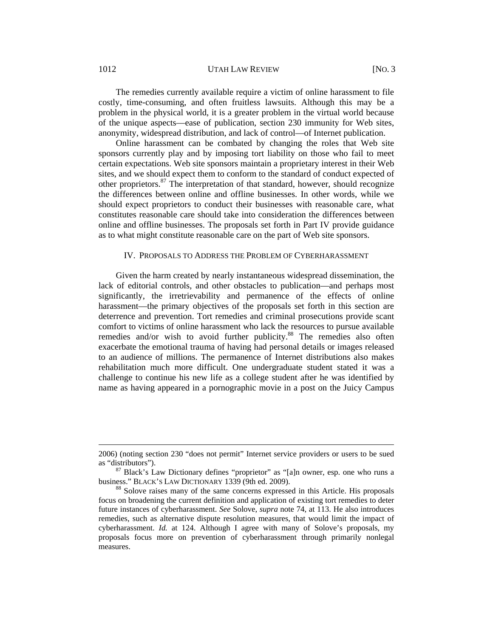1012 UTAH LAW REVIEW [NO. 3]

The remedies currently available require a victim of online harassment to file costly, time-consuming, and often fruitless lawsuits. Although this may be a problem in the physical world, it is a greater problem in the virtual world because of the unique aspects—ease of publication, section 230 immunity for Web sites, anonymity, widespread distribution, and lack of control—of Internet publication.

Online harassment can be combated by changing the roles that Web site sponsors currently play and by imposing tort liability on those who fail to meet certain expectations. Web site sponsors maintain a proprietary interest in their Web sites, and we should expect them to conform to the standard of conduct expected of other proprietors.<sup>87</sup> The interpretation of that standard, however, should recognize the differences between online and offline businesses. In other words, while we should expect proprietors to conduct their businesses with reasonable care, what constitutes reasonable care should take into consideration the differences between online and offline businesses. The proposals set forth in Part IV provide guidance as to what might constitute reasonable care on the part of Web site sponsors.

#### IV. PROPOSALS TO ADDRESS THE PROBLEM OF CYBERHARASSMENT

Given the harm created by nearly instantaneous widespread dissemination, the lack of editorial controls, and other obstacles to publication—and perhaps most significantly, the irretrievability and permanence of the effects of online harassment—the primary objectives of the proposals set forth in this section are deterrence and prevention. Tort remedies and criminal prosecutions provide scant comfort to victims of online harassment who lack the resources to pursue available remedies and/or wish to avoid further publicity.<sup>88</sup> The remedies also often exacerbate the emotional trauma of having had personal details or images released to an audience of millions. The permanence of Internet distributions also makes rehabilitation much more difficult. One undergraduate student stated it was a challenge to continue his new life as a college student after he was identified by name as having appeared in a pornographic movie in a post on the Juicy Campus

 $\overline{a}$ 

<sup>2006) (</sup>noting section 230 "does not permit" Internet service providers or users to be sued as "distributors").<br><sup>87</sup> Black's Law Dictionary defines "proprietor" as "[a]n owner, esp. one who runs a

business." BLACK's LAW DICTIONARY 1339 (9th ed. 2009).<br><sup>88</sup> Solove raises many of the same concerns expressed in this Article. His proposals

focus on broadening the current definition and application of existing tort remedies to deter future instances of cyberharassment. *See* Solove, *supra* note 74, at 113. He also introduces remedies, such as alternative dispute resolution measures, that would limit the impact of cyberharassment. *Id.* at 124. Although I agree with many of Solove's proposals, my proposals focus more on prevention of cyberharassment through primarily nonlegal measures.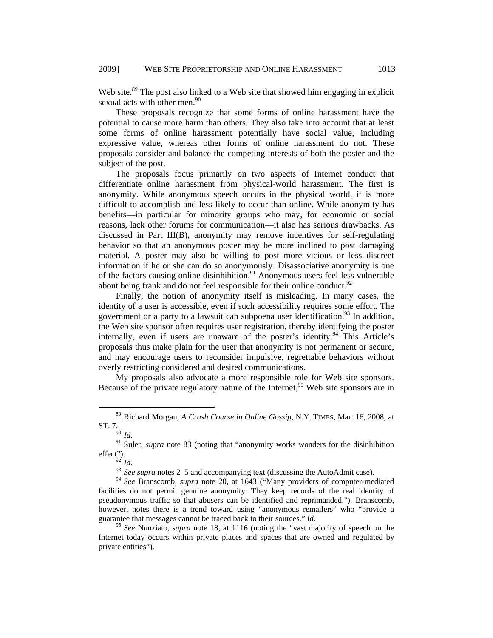Web site.<sup>89</sup> The post also linked to a Web site that showed him engaging in explicit sexual acts with other men.<sup>90</sup>

These proposals recognize that some forms of online harassment have the potential to cause more harm than others. They also take into account that at least some forms of online harassment potentially have social value, including expressive value, whereas other forms of online harassment do not. These proposals consider and balance the competing interests of both the poster and the subject of the post.

The proposals focus primarily on two aspects of Internet conduct that differentiate online harassment from physical-world harassment. The first is anonymity. While anonymous speech occurs in the physical world, it is more difficult to accomplish and less likely to occur than online. While anonymity has benefits—in particular for minority groups who may, for economic or social reasons, lack other forums for communication—it also has serious drawbacks. As discussed in Part III(B), anonymity may remove incentives for self-regulating behavior so that an anonymous poster may be more inclined to post damaging material. A poster may also be willing to post more vicious or less discreet information if he or she can do so anonymously. Disassociative anonymity is one of the factors causing online disinhibition. $91$  Anonymous users feel less vulnerable about being frank and do not feel responsible for their online conduct. $92$ 

Finally, the notion of anonymity itself is misleading. In many cases, the identity of a user is accessible, even if such accessibility requires some effort. The government or a party to a lawsuit can subpoena user identification.<sup>93</sup> In addition, the Web site sponsor often requires user registration, thereby identifying the poster internally, even if users are unaware of the poster's identity.<sup>94</sup> This Article's proposals thus make plain for the user that anonymity is not permanent or secure, and may encourage users to reconsider impulsive, regrettable behaviors without overly restricting considered and desired communications.

My proposals also advocate a more responsible role for Web site sponsors. Because of the private regulatory nature of the Internet,  $95$  Web site sponsors are in

<sup>93</sup> See supra notes 2–5 and accompanying text (discussing the AutoAdmit case).

 <sup>89</sup> Richard Morgan, *A Crash Course in Online Gossip*, N.Y. TIMES, Mar. 16, 2008, at ST. 7.<br> $^{90}$  *Id.* 

<sup>&</sup>lt;sup>91</sup> Suler, *supra* note 83 (noting that "anonymity works wonders for the disinhibition effect").<br> $\frac{92}{1}$ Id.

<sup>94</sup> *See* Branscomb, *supra* note 20, at 1643 ("Many providers of computer-mediated facilities do not permit genuine anonymity. They keep records of the real identity of pseudonymous traffic so that abusers can be identified and reprimanded."). Branscomb, however, notes there is a trend toward using "anonymous remailers" who "provide a guarantee that messages cannot be traced back to their sources." *Id.*

<sup>95</sup> *See* Nunziato, *supra* note 18, at 1116 (noting the "vast majority of speech on the Internet today occurs within private places and spaces that are owned and regulated by private entities").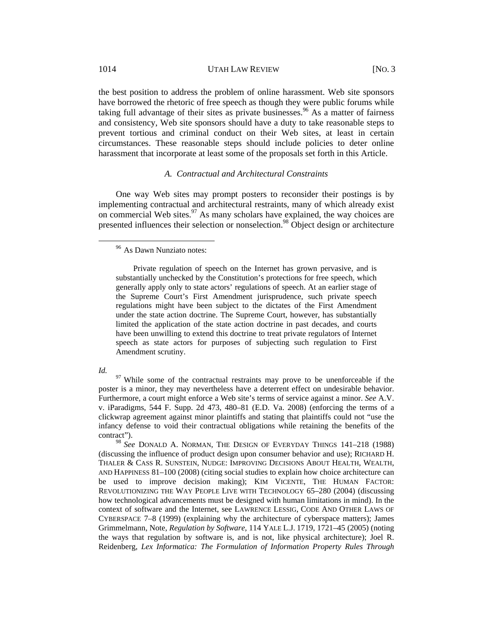the best position to address the problem of online harassment. Web site sponsors have borrowed the rhetoric of free speech as though they were public forums while taking full advantage of their sites as private businesses.<sup>96</sup> As a matter of fairness and consistency, Web site sponsors should have a duty to take reasonable steps to prevent tortious and criminal conduct on their Web sites, at least in certain circumstances. These reasonable steps should include policies to deter online harassment that incorporate at least some of the proposals set forth in this Article.

#### *A. Contractual and Architectural Constraints*

One way Web sites may prompt posters to reconsider their postings is by implementing contractual and architectural restraints, many of which already exist on commercial Web sites. $\frac{97}{2}$  As many scholars have explained, the way choices are presented influences their selection or nonselection.<sup>98</sup> Object design or architecture

*Id.* <sup>97</sup> While some of the contractual restraints may prove to be unenforceable if the poster is a minor, they may nevertheless have a deterrent effect on undesirable behavior. Furthermore, a court might enforce a Web site's terms of service against a minor. *See* A.V. v. iParadigms, 544 F. Supp. 2d 473, 480–81 (E.D. Va. 2008) (enforcing the terms of a clickwrap agreement against minor plaintiffs and stating that plaintiffs could not "use the infancy defense to void their contractual obligations while retaining the benefits of the contract").

<sup>98</sup> *See* DONALD A. NORMAN, THE DESIGN OF EVERYDAY THINGS 141–218 (1988) (discussing the influence of product design upon consumer behavior and use); RICHARD H. THALER & CASS R. SUNSTEIN, NUDGE: IMPROVING DECISIONS ABOUT HEALTH, WEALTH, AND HAPPINESS 81–100 (2008) (citing social studies to explain how choice architecture can be used to improve decision making); KIM VICENTE, THE HUMAN FACTOR: REVOLUTIONIZING THE WAY PEOPLE LIVE WITH TECHNOLOGY 65–280 (2004) (discussing how technological advancements must be designed with human limitations in mind). In the context of software and the Internet, see LAWRENCE LESSIG, CODE AND OTHER LAWS OF CYBERSPACE 7–8 (1999) (explaining why the architecture of cyberspace matters); James Grimmelmann, Note, *Regulation by Software*, 114 YALE L.J. 1719, 1721–45 (2005) (noting the ways that regulation by software is, and is not, like physical architecture); Joel R. Reidenberg, *Lex Informatica: The Formulation of Information Property Rules Through* 

 <sup>96</sup> As Dawn Nunziato notes:

Private regulation of speech on the Internet has grown pervasive, and is substantially unchecked by the Constitution's protections for free speech, which generally apply only to state actors' regulations of speech. At an earlier stage of the Supreme Court's First Amendment jurisprudence, such private speech regulations might have been subject to the dictates of the First Amendment under the state action doctrine. The Supreme Court, however, has substantially limited the application of the state action doctrine in past decades, and courts have been unwilling to extend this doctrine to treat private regulators of Internet speech as state actors for purposes of subjecting such regulation to First Amendment scrutiny.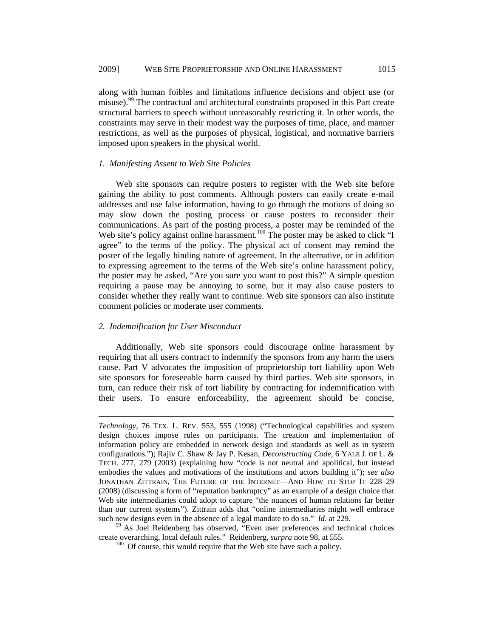along with human foibles and limitations influence decisions and object use (or misuse).<sup>99</sup> The contractual and architectural constraints proposed in this Part create structural barriers to speech without unreasonably restricting it. In other words, the constraints may serve in their modest way the purposes of time, place, and manner restrictions, as well as the purposes of physical, logistical, and normative barriers imposed upon speakers in the physical world.

#### *1. Manifesting Assent to Web Site Policies*

Web site sponsors can require posters to register with the Web site before gaining the ability to post comments. Although posters can easily create e-mail addresses and use false information, having to go through the motions of doing so may slow down the posting process or cause posters to reconsider their communications. As part of the posting process, a poster may be reminded of the Web site's policy against online harassment.<sup>100</sup> The poster may be asked to click "I agree" to the terms of the policy. The physical act of consent may remind the poster of the legally binding nature of agreement. In the alternative, or in addition to expressing agreement to the terms of the Web site's online harassment policy, the poster may be asked, "Are you sure you want to post this?" A simple question requiring a pause may be annoying to some, but it may also cause posters to consider whether they really want to continue. Web site sponsors can also institute comment policies or moderate user comments.

### *2. Indemnification for User Misconduct*

 $\overline{a}$ 

Additionally, Web site sponsors could discourage online harassment by requiring that all users contract to indemnify the sponsors from any harm the users cause. Part V advocates the imposition of proprietorship tort liability upon Web site sponsors for foreseeable harm caused by third parties. Web site sponsors, in turn, can reduce their risk of tort liability by contracting for indemnification with their users. To ensure enforceability, the agreement should be concise,

*Technology,* 76 TEX. L. REV. 553, 555 (1998) ("Technological capabilities and system design choices impose rules on participants. The creation and implementation of information policy are embedded in network design and standards as well as in system configurations."); Rajiv C. Shaw & Jay P. Kesan, *Deconstructing Code*, 6 YALE J. OF L. & TECH. 277, 279 (2003) (explaining how "code is not neutral and apolitical, but instead embodies the values and motivations of the institutions and actors building it"); *see also*  JONATHAN ZITTRAIN, THE FUTURE OF THE INTERNET—AND HOW TO STOP IT 228–29 (2008) (discussing a form of "reputation bankruptcy" as an example of a design choice that Web site intermediaries could adopt to capture "the nuances of human relations far better than our current systems"). Zittrain adds that "online intermediaries might well embrace such new designs even in the absence of a legal mandate to do so."  $Id$ . at 229.

<sup>&</sup>lt;sup>99</sup> As Joel Reidenberg has observed, "Even user preferences and technical choices create overarching, local default rules." Reidenberg, *surpra* note 98, at 555. 100 Of course, this would require that the Web site have such a policy.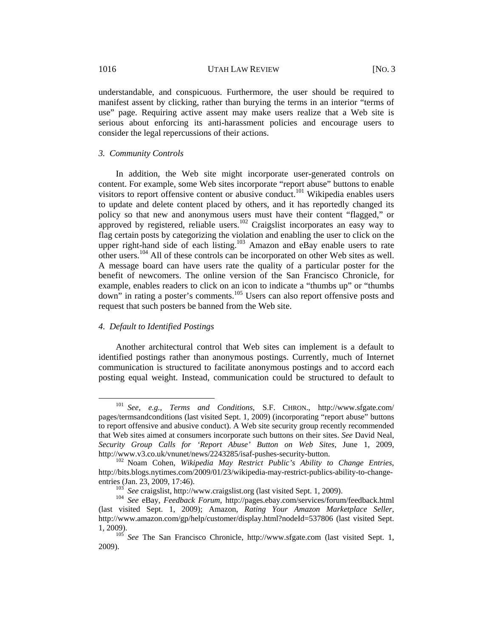understandable, and conspicuous. Furthermore, the user should be required to manifest assent by clicking, rather than burying the terms in an interior "terms of use" page. Requiring active assent may make users realize that a Web site is serious about enforcing its anti-harassment policies and encourage users to consider the legal repercussions of their actions.

#### *3. Community Controls*

In addition, the Web site might incorporate user-generated controls on content. For example, some Web sites incorporate "report abuse" buttons to enable visitors to report offensive content or abusive conduct.<sup>101</sup> Wikipedia enables users to update and delete content placed by others, and it has reportedly changed its policy so that new and anonymous users must have their content "flagged," or approved by registered, reliable users.<sup>102</sup> Craigslist incorporates an easy way to flag certain posts by categorizing the violation and enabling the user to click on the upper right-hand side of each listing.<sup>103</sup> Amazon and eBay enable users to rate other users.104 All of these controls can be incorporated on other Web sites as well. A message board can have users rate the quality of a particular poster for the benefit of newcomers. The online version of the San Francisco Chronicle, for example, enables readers to click on an icon to indicate a "thumbs up" or "thumbs down" in rating a poster's comments.<sup>105</sup> Users can also report offensive posts and request that such posters be banned from the Web site.

### *4. Default to Identified Postings*

Another architectural control that Web sites can implement is a default to identified postings rather than anonymous postings. Currently, much of Internet communication is structured to facilitate anonymous postings and to accord each posting equal weight. Instead, communication could be structured to default to

 <sup>101</sup> *See, e.g.*, *Terms and Conditions*, S.F. CHRON., http://www.sfgate.com/ pages/termsandconditions (last visited Sept. 1, 2009) (incorporating "report abuse" buttons to report offensive and abusive conduct). A Web site security group recently recommended that Web sites aimed at consumers incorporate such buttons on their sites. *See* David Neal, *Security Group Calls for 'Report Abuse' Button on Web Sites*, June 1, 2009, http://www.v3.co.uk/vnunet/news/2243285/isaf-pushes-security-button. 102 Noam Cohen, *Wikipedia May Restrict Public's Ability to Change Entries*,

http://bits.blogs.nytimes.com/2009/01/23/wikipedia-may-restrict-publics-ability-to-change-

entries (Jan. 23, 2009, 17:46).<br><sup>103</sup> *See* craigslist, http://www.craigslist.org (last visited Sept. 1, 2009).<br><sup>104</sup> *See* eBay, *Feedback Forum*, http://pages.ebay.com/services/forum/feedback.html (last visited Sept. 1, 2009); Amazon, *Rating Your Amazon Marketplace Seller*, http://www.amazon.com/gp/help/customer/display.html?nodeId=537806 (last visited Sept. 1, 2009). 105 *See* The San Francisco Chronicle, http://www.sfgate.com (last visited Sept. 1,

<sup>2009).</sup>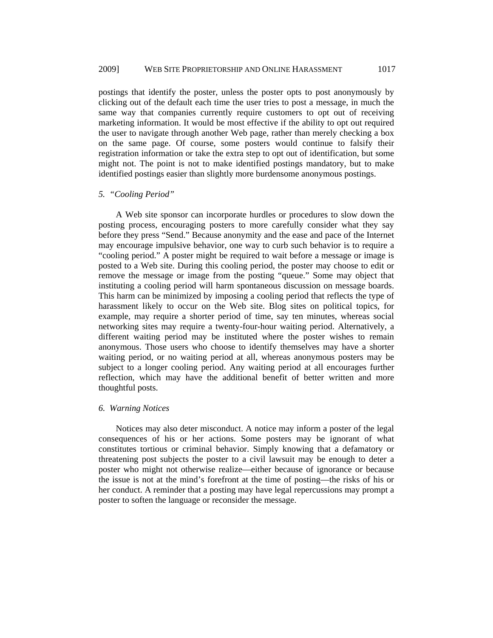postings that identify the poster, unless the poster opts to post anonymously by clicking out of the default each time the user tries to post a message, in much the same way that companies currently require customers to opt out of receiving marketing information. It would be most effective if the ability to opt out required the user to navigate through another Web page, rather than merely checking a box on the same page. Of course, some posters would continue to falsify their registration information or take the extra step to opt out of identification, but some might not. The point is not to make identified postings mandatory, but to make identified postings easier than slightly more burdensome anonymous postings.

#### *5. "Cooling Period"*

A Web site sponsor can incorporate hurdles or procedures to slow down the posting process, encouraging posters to more carefully consider what they say before they press "Send." Because anonymity and the ease and pace of the Internet may encourage impulsive behavior, one way to curb such behavior is to require a "cooling period." A poster might be required to wait before a message or image is posted to a Web site. During this cooling period, the poster may choose to edit or remove the message or image from the posting "queue." Some may object that instituting a cooling period will harm spontaneous discussion on message boards. This harm can be minimized by imposing a cooling period that reflects the type of harassment likely to occur on the Web site. Blog sites on political topics, for example, may require a shorter period of time, say ten minutes, whereas social networking sites may require a twenty-four-hour waiting period. Alternatively, a different waiting period may be instituted where the poster wishes to remain anonymous. Those users who choose to identify themselves may have a shorter waiting period, or no waiting period at all, whereas anonymous posters may be subject to a longer cooling period. Any waiting period at all encourages further reflection, which may have the additional benefit of better written and more thoughtful posts.

#### *6. Warning Notices*

Notices may also deter misconduct. A notice may inform a poster of the legal consequences of his or her actions. Some posters may be ignorant of what constitutes tortious or criminal behavior. Simply knowing that a defamatory or threatening post subjects the poster to a civil lawsuit may be enough to deter a poster who might not otherwise realize—either because of ignorance or because the issue is not at the mind's forefront at the time of posting—the risks of his or her conduct. A reminder that a posting may have legal repercussions may prompt a poster to soften the language or reconsider the message.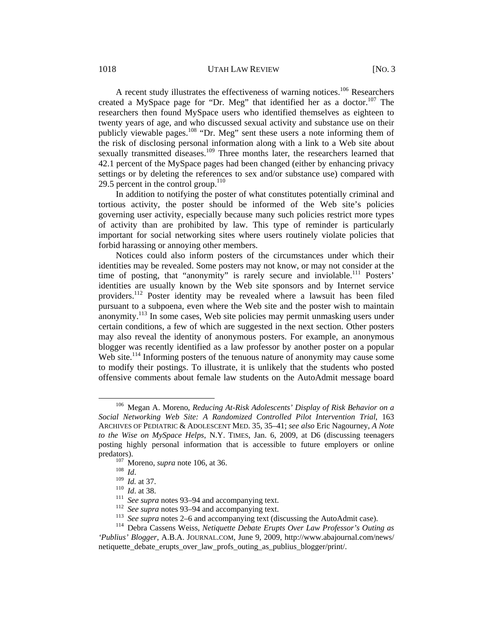1018 UTAH LAW REVIEW [NO. 3]

A recent study illustrates the effectiveness of warning notices.<sup>106</sup> Researchers created a MySpace page for "Dr. Meg" that identified her as a doctor.<sup>107</sup> The researchers then found MySpace users who identified themselves as eighteen to twenty years of age, and who discussed sexual activity and substance use on their publicly viewable pages.108 "Dr. Meg" sent these users a note informing them of the risk of disclosing personal information along with a link to a Web site about sexually transmitted diseases.<sup>109</sup> Three months later, the researchers learned that 42.1 percent of the MySpace pages had been changed (either by enhancing privacy settings or by deleting the references to sex and/or substance use) compared with 29.5 percent in the control group.<sup>110</sup>

In addition to notifying the poster of what constitutes potentially criminal and tortious activity, the poster should be informed of the Web site's policies governing user activity, especially because many such policies restrict more types of activity than are prohibited by law. This type of reminder is particularly important for social networking sites where users routinely violate policies that forbid harassing or annoying other members.

Notices could also inform posters of the circumstances under which their identities may be revealed. Some posters may not know, or may not consider at the time of posting, that "anonymity" is rarely secure and inviolable.<sup>111</sup> Posters' identities are usually known by the Web site sponsors and by Internet service providers.<sup>112</sup> Poster identity may be revealed where a lawsuit has been filed pursuant to a subpoena, even where the Web site and the poster wish to maintain anonymity.113 In some cases, Web site policies may permit unmasking users under certain conditions, a few of which are suggested in the next section. Other posters may also reveal the identity of anonymous posters. For example, an anonymous blogger was recently identified as a law professor by another poster on a popular Web site.<sup>114</sup> Informing posters of the tenuous nature of anonymity may cause some to modify their postings. To illustrate, it is unlikely that the students who posted offensive comments about female law students on the AutoAdmit message board

 <sup>106</sup> Megan A. Moreno, *Reducing At-Risk Adolescents' Display of Risk Behavior on a Social Networking Web Site: A Randomized Controlled Pilot Intervention Trial*, 163 ARCHIVES OF PEDIATRIC & ADOLESCENT MED. 35, 35–41; *see also* Eric Nagourney, *A Note to the Wise on MySpace Helps*, N.Y. TIMES, Jan. 6, 2009, at D6 (discussing teenagers posting highly personal information that is accessible to future employers or online predators).<br>
<sup>107</sup> Moreno, *supra* note 106, at 36.<br>
<sup>108</sup> *Id.*<br>
<sup>109</sup> *Id.* at 37.<br>
<sup>110</sup> *Id.* at 38.<br>
<sup>111</sup> *See supra* notes 93–94 and accompanying text.<br>
<sup>112</sup> *See supra* notes 93–94 and accompanying text.<br>
<sup>112</sup>

*<sup>&#</sup>x27;Publius' Blogger*, A.B.A. JOURNAL.COM, June 9, 2009, http://www.abajournal.com/news/ netiquette debate erupts over law profs outing as publius blogger/print/.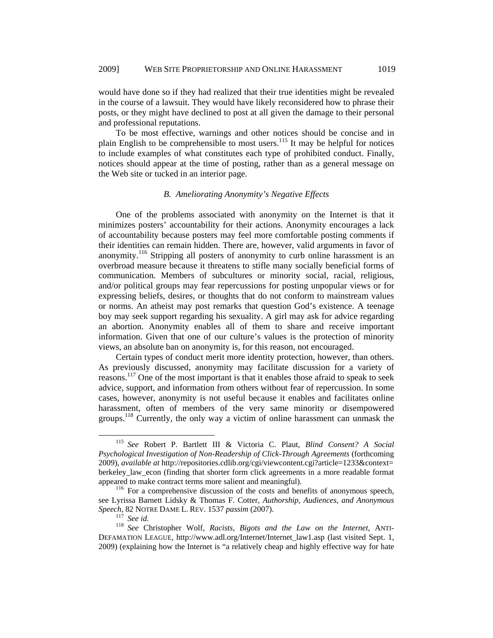would have done so if they had realized that their true identities might be revealed in the course of a lawsuit. They would have likely reconsidered how to phrase their posts, or they might have declined to post at all given the damage to their personal and professional reputations.

To be most effective, warnings and other notices should be concise and in plain English to be comprehensible to most users.<sup>115</sup> It may be helpful for notices to include examples of what constitutes each type of prohibited conduct. Finally, notices should appear at the time of posting, rather than as a general message on the Web site or tucked in an interior page.

#### *B. Ameliorating Anonymity's Negative Effects*

One of the problems associated with anonymity on the Internet is that it minimizes posters' accountability for their actions. Anonymity encourages a lack of accountability because posters may feel more comfortable posting comments if their identities can remain hidden. There are, however, valid arguments in favor of anonymity.<sup>116</sup> Stripping all posters of anonymity to curb online harassment is an overbroad measure because it threatens to stifle many socially beneficial forms of communication. Members of subcultures or minority social, racial, religious, and/or political groups may fear repercussions for posting unpopular views or for expressing beliefs, desires, or thoughts that do not conform to mainstream values or norms. An atheist may post remarks that question God's existence. A teenage boy may seek support regarding his sexuality. A girl may ask for advice regarding an abortion. Anonymity enables all of them to share and receive important information. Given that one of our culture's values is the protection of minority views, an absolute ban on anonymity is, for this reason, not encouraged.

Certain types of conduct merit more identity protection, however, than others. As previously discussed, anonymity may facilitate discussion for a variety of reasons.<sup>117</sup> One of the most important is that it enables those afraid to speak to seek advice, support, and information from others without fear of repercussion. In some cases, however, anonymity is not useful because it enables and facilitates online harassment, often of members of the very same minority or disempowered groups.<sup>118</sup> Currently, the only way a victim of online harassment can unmask the

 <sup>115</sup> *See* Robert P. Bartlett III & Victoria C. Plaut, *Blind Consent? A Social Psychological Investigation of Non-Readership of Click-Through Agreements* (forthcoming 2009), *available at* http://repositories.cdlib.org/cgi/viewcontent.cgi?article=1233&context= berkeley law econ (finding that shorter form click agreements in a more readable format appeared to make contract terms more salient and meaningful). 116 For a comprehensive discussion of the costs and benefits of anonymous speech,

see Lyrissa Barnett Lidsky & Thomas F. Cotter, *Authorship, Audiences, and Anonymous Speech*, 82 NOTRE DAME L. REV. 1537 *passim* (2007).<br><sup>117</sup> *See id.* <sup>118</sup> *See Christopher Wolf, Racists, Bigots and the Law on the Internet, ANTI-*

DEFAMATION LEAGUE, http://www.adl.org/Internet/Internet\_law1.asp (last visited Sept. 1, 2009) (explaining how the Internet is "a relatively cheap and highly effective way for hate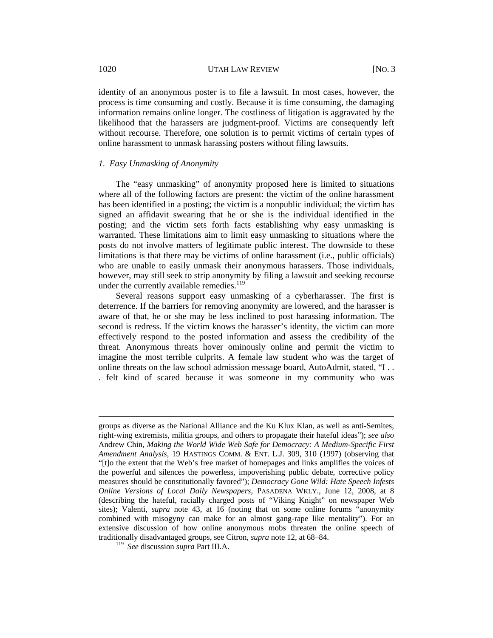identity of an anonymous poster is to file a lawsuit. In most cases, however, the process is time consuming and costly. Because it is time consuming, the damaging information remains online longer. The costliness of litigation is aggravated by the likelihood that the harassers are judgment-proof. Victims are consequently left without recourse. Therefore, one solution is to permit victims of certain types of online harassment to unmask harassing posters without filing lawsuits.

#### *1. Easy Unmasking of Anonymity*

The "easy unmasking" of anonymity proposed here is limited to situations where all of the following factors are present: the victim of the online harassment has been identified in a posting; the victim is a nonpublic individual; the victim has signed an affidavit swearing that he or she is the individual identified in the posting; and the victim sets forth facts establishing why easy unmasking is warranted. These limitations aim to limit easy unmasking to situations where the posts do not involve matters of legitimate public interest. The downside to these limitations is that there may be victims of online harassment (i.e., public officials) who are unable to easily unmask their anonymous harassers. Those individuals, however, may still seek to strip anonymity by filing a lawsuit and seeking recourse under the currently available remedies.<sup>119</sup>

Several reasons support easy unmasking of a cyberharasser. The first is deterrence. If the barriers for removing anonymity are lowered, and the harasser is aware of that, he or she may be less inclined to post harassing information. The second is redress. If the victim knows the harasser's identity, the victim can more effectively respond to the posted information and assess the credibility of the threat. Anonymous threats hover ominously online and permit the victim to imagine the most terrible culprits. A female law student who was the target of online threats on the law school admission message board, AutoAdmit, stated, "I . . . felt kind of scared because it was someone in my community who was

 $\overline{a}$ 

groups as diverse as the National Alliance and the Ku Klux Klan, as well as anti-Semites, right-wing extremists, militia groups, and others to propagate their hateful ideas"); *see also* Andrew Chin, *Making the World Wide Web Safe for Democracy: A Medium-Specific First Amendment Analysis*, 19 HASTINGS COMM. & ENT. L.J. 309, 310 (1997) (observing that "[t]o the extent that the Web's free market of homepages and links amplifies the voices of the powerful and silences the powerless, impoverishing public debate, corrective policy measures should be constitutionally favored"); *Democracy Gone Wild: Hate Speech Infests Online Versions of Local Daily Newspapers,* PASADENA WKLY., June 12, 2008, at 8 (describing the hateful, racially charged posts of "Viking Knight" on newspaper Web sites); Valenti, *supra* note 43, at 16 (noting that on some online forums "anonymity combined with misogyny can make for an almost gang-rape like mentality"). For an extensive discussion of how online anonymous mobs threaten the online speech of traditionally disadvantaged groups, see Citron, *supra* note 12, at 68–84.

<sup>119</sup> *See* discussion *supra* Part III.A.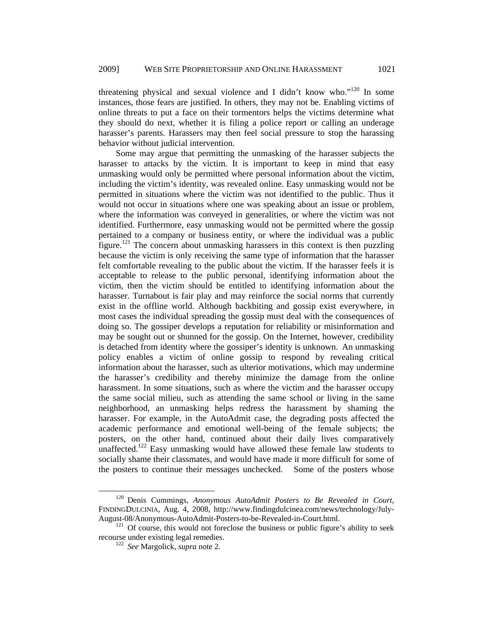threatening physical and sexual violence and I didn't know who."<sup>120</sup> In some instances, those fears are justified. In others, they may not be. Enabling victims of online threats to put a face on their tormentors helps the victims determine what they should do next, whether it is filing a police report or calling an underage harasser's parents. Harassers may then feel social pressure to stop the harassing behavior without judicial intervention.

Some may argue that permitting the unmasking of the harasser subjects the harasser to attacks by the victim. It is important to keep in mind that easy unmasking would only be permitted where personal information about the victim, including the victim's identity, was revealed online. Easy unmasking would not be permitted in situations where the victim was not identified to the public. Thus it would not occur in situations where one was speaking about an issue or problem, where the information was conveyed in generalities, or where the victim was not identified. Furthermore, easy unmasking would not be permitted where the gossip pertained to a company or business entity, or where the individual was a public figure.<sup>121</sup> The concern about unmasking harassers in this context is then puzzling because the victim is only receiving the same type of information that the harasser felt comfortable revealing to the public about the victim. If the harasser feels it is acceptable to release to the public personal, identifying information about the victim, then the victim should be entitled to identifying information about the harasser. Turnabout is fair play and may reinforce the social norms that currently exist in the offline world. Although backbiting and gossip exist everywhere, in most cases the individual spreading the gossip must deal with the consequences of doing so. The gossiper develops a reputation for reliability or misinformation and may be sought out or shunned for the gossip. On the Internet, however, credibility is detached from identity where the gossiper's identity is unknown. An unmasking policy enables a victim of online gossip to respond by revealing critical information about the harasser, such as ulterior motivations, which may undermine the harasser's credibility and thereby minimize the damage from the online harassment. In some situations, such as where the victim and the harasser occupy the same social milieu, such as attending the same school or living in the same neighborhood, an unmasking helps redress the harassment by shaming the harasser. For example, in the AutoAdmit case, the degrading posts affected the academic performance and emotional well-being of the female subjects; the posters, on the other hand, continued about their daily lives comparatively unaffected.<sup>122</sup> Easy unmasking would have allowed these female law students to socially shame their classmates, and would have made it more difficult for some of the posters to continue their messages unchecked. Some of the posters whose

 <sup>120</sup> Denis Cummings, *Anonymous AutoAdmit Posters to Be Revealed in Court*, FINDINGDULCINIA, Aug. 4, 2008, http://www.findingdulcinea.com/news/technology/July-August-08/Anonymous-AutoAdmit-Posters-to-be-Revealed-in-Court.html. 121 Of course, this would not foreclose the business or public figure's ability to seek

recourse under existing legal remedies. 122 *See* Margolick, *supra* note 2.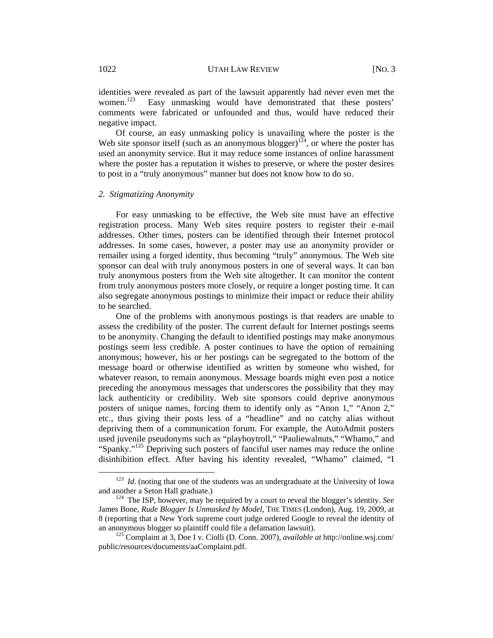identities were revealed as part of the lawsuit apparently had never even met the women.<sup>123</sup> Easy unmasking would have demonstrated that these posters' Easy unmasking would have demonstrated that these posters' comments were fabricated or unfounded and thus, would have reduced their negative impact.

Of course, an easy unmasking policy is unavailing where the poster is the Web site sponsor itself (such as an anonymous blogger)<sup>124</sup>, or where the poster has used an anonymity service. But it may reduce some instances of online harassment where the poster has a reputation it wishes to preserve, or where the poster desires to post in a "truly anonymous" manner but does not know how to do so.

#### *2. Stigmatizing Anonymity*

For easy unmasking to be effective, the Web site must have an effective registration process. Many Web sites require posters to register their e-mail addresses. Other times, posters can be identified through their Internet protocol addresses. In some cases, however, a poster may use an anonymity provider or remailer using a forged identity, thus becoming "truly" anonymous. The Web site sponsor can deal with truly anonymous posters in one of several ways. It can ban truly anonymous posters from the Web site altogether. It can monitor the content from truly anonymous posters more closely, or require a longer posting time. It can also segregate anonymous postings to minimize their impact or reduce their ability to be searched.

One of the problems with anonymous postings is that readers are unable to assess the credibility of the poster. The current default for Internet postings seems to be anonymity. Changing the default to identified postings may make anonymous postings seem less credible. A poster continues to have the option of remaining anonymous; however, his or her postings can be segregated to the bottom of the message board or otherwise identified as written by someone who wished, for whatever reason, to remain anonymous. Message boards might even post a notice preceding the anonymous messages that underscores the possibility that they may lack authenticity or credibility. Web site sponsors could deprive anonymous posters of unique names, forcing them to identify only as "Anon 1," "Anon 2," etc., thus giving their posts less of a "headline" and no catchy alias without depriving them of a communication forum. For example, the AutoAdmit posters used juvenile pseudonyms such as "playboytroll," "Pauliewalnuts," "Whamo," and "Spanky."<sup>125</sup> Depriving such posters of fanciful user names may reduce the online disinhibition effect. After having his identity revealed, "Whamo" claimed, "I

<sup>&</sup>lt;sup>123</sup> *Id.* (noting that one of the students was an undergraduate at the University of Iowa and another a Seton Hall graduate.) 124 The ISP, however, may be required by a court to reveal the blogger's identity. *See* 

James Bone, *Rude Blogger Is Unmasked by Model*, THE TIMES (London), Aug. 19, 2009, at 8 (reporting that a New York supreme court judge ordered Google to reveal the identity of an anonymous blogger so plaintiff could file a defamation lawsuit). 125 Complaint at 3, Doe I v. Ciolli (D. Conn. 2007), *available at* http://online.wsj.com/

public/resources/documents/aaComplaint.pdf.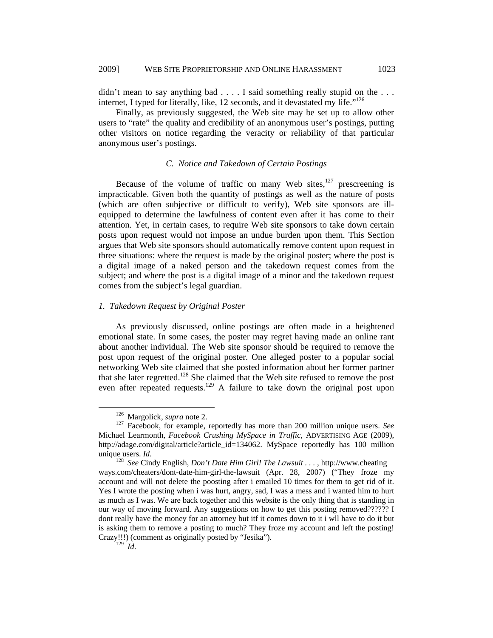didn't mean to say anything bad . . . . I said something really stupid on the . . . internet, I typed for literally, like, 12 seconds, and it devastated my life." $126$ 

Finally, as previously suggested, the Web site may be set up to allow other users to "rate" the quality and credibility of an anonymous user's postings, putting other visitors on notice regarding the veracity or reliability of that particular anonymous user's postings.

## *C. Notice and Takedown of Certain Postings*

Because of the volume of traffic on many Web sites, $127$  prescreening is impracticable. Given both the quantity of postings as well as the nature of posts (which are often subjective or difficult to verify), Web site sponsors are illequipped to determine the lawfulness of content even after it has come to their attention. Yet, in certain cases, to require Web site sponsors to take down certain posts upon request would not impose an undue burden upon them. This Section argues that Web site sponsors should automatically remove content upon request in three situations: where the request is made by the original poster; where the post is a digital image of a naked person and the takedown request comes from the subject; and where the post is a digital image of a minor and the takedown request comes from the subject's legal guardian.

## *1. Takedown Request by Original Poster*

As previously discussed, online postings are often made in a heightened emotional state. In some cases, the poster may regret having made an online rant about another individual. The Web site sponsor should be required to remove the post upon request of the original poster. One alleged poster to a popular social networking Web site claimed that she posted information about her former partner that she later regretted.128 She claimed that the Web site refused to remove the post even after repeated requests.<sup>129</sup> A failure to take down the original post upon

<sup>&</sup>lt;sup>126</sup> Margolick, *supra* note 2.<br><sup>127</sup> Facebook, for example, reportedly has more than 200 million unique users. *See* Michael Learmonth, *Facebook Crushing MySpace in Traffic*, ADVERTISING AGE (2009), http://adage.com/digital/article?article\_id=134062. MySpace reportedly has 100 million

unique users. *Id*.<br><sup>128</sup> *See* Cindy English, *Don't Date Him Girl! The Lawsuit* . . . . http://www.cheating ways.com/cheaters/dont-date-him-girl-the-lawsuit (Apr. 28, 2007) ("They froze my account and will not delete the poosting after i emailed 10 times for them to get rid of it. Yes I wrote the posting when i was hurt, angry, sad, I was a mess and i wanted him to hurt as much as I was. We are back together and this website is the only thing that is standing in our way of moving forward. Any suggestions on how to get this posting removed?????? I dont really have the money for an attorney but itf it comes down to it i wll have to do it but is asking them to remove a posting to much? They froze my account and left the posting! Crazy!!!) (comment as originally posted by "Jesika").

<sup>129</sup> *Id*.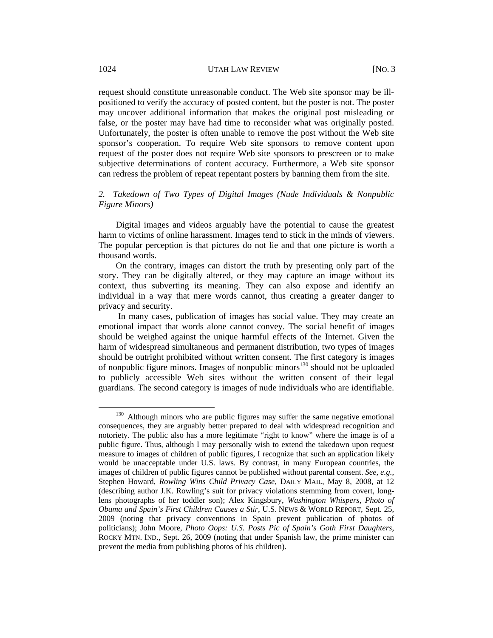request should constitute unreasonable conduct. The Web site sponsor may be illpositioned to verify the accuracy of posted content, but the poster is not. The poster may uncover additional information that makes the original post misleading or false, or the poster may have had time to reconsider what was originally posted. Unfortunately, the poster is often unable to remove the post without the Web site sponsor's cooperation. To require Web site sponsors to remove content upon request of the poster does not require Web site sponsors to prescreen or to make subjective determinations of content accuracy. Furthermore, a Web site sponsor can redress the problem of repeat repentant posters by banning them from the site.

## *2. Takedown of Two Types of Digital Images (Nude Individuals & Nonpublic Figure Minors)*

Digital images and videos arguably have the potential to cause the greatest harm to victims of online harassment. Images tend to stick in the minds of viewers. The popular perception is that pictures do not lie and that one picture is worth a thousand words.

On the contrary, images can distort the truth by presenting only part of the story. They can be digitally altered, or they may capture an image without its context, thus subverting its meaning. They can also expose and identify an individual in a way that mere words cannot, thus creating a greater danger to privacy and security.

 In many cases, publication of images has social value. They may create an emotional impact that words alone cannot convey. The social benefit of images should be weighed against the unique harmful effects of the Internet. Given the harm of widespread simultaneous and permanent distribution, two types of images should be outright prohibited without written consent. The first category is images of nonpublic figure minors. Images of nonpublic minors<sup>130</sup> should not be uploaded to publicly accessible Web sites without the written consent of their legal guardians. The second category is images of nude individuals who are identifiable.

<sup>&</sup>lt;sup>130</sup> Although minors who are public figures may suffer the same negative emotional consequences, they are arguably better prepared to deal with widespread recognition and notoriety. The public also has a more legitimate "right to know" where the image is of a public figure. Thus, although I may personally wish to extend the takedown upon request measure to images of children of public figures, I recognize that such an application likely would be unacceptable under U.S. laws. By contrast, in many European countries, the images of children of public figures cannot be published without parental consent. *See, e.g.*, Stephen Howard, *Rowling Wins Child Privacy Case*, DAILY MAIL, May 8, 2008, at 12 (describing author J.K. Rowling's suit for privacy violations stemming from covert, longlens photographs of her toddler son); Alex Kingsbury, *Washington Whispers, Photo of Obama and Spain's First Children Causes a Stir*, U.S. NEWS & WORLD REPORT, Sept. 25, 2009 (noting that privacy conventions in Spain prevent publication of photos of politicians); John Moore, *Photo Oops: U.S. Posts Pic of Spain's Goth First Daughters*, ROCKY MTN. IND., Sept. 26, 2009 (noting that under Spanish law, the prime minister can prevent the media from publishing photos of his children).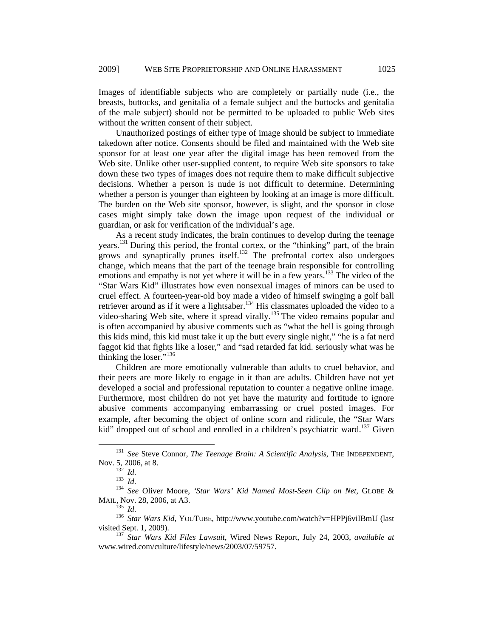Images of identifiable subjects who are completely or partially nude (i.e., the breasts, buttocks, and genitalia of a female subject and the buttocks and genitalia of the male subject) should not be permitted to be uploaded to public Web sites without the written consent of their subject.

Unauthorized postings of either type of image should be subject to immediate takedown after notice. Consents should be filed and maintained with the Web site sponsor for at least one year after the digital image has been removed from the Web site. Unlike other user-supplied content, to require Web site sponsors to take down these two types of images does not require them to make difficult subjective decisions. Whether a person is nude is not difficult to determine. Determining whether a person is younger than eighteen by looking at an image is more difficult. The burden on the Web site sponsor, however, is slight, and the sponsor in close cases might simply take down the image upon request of the individual or guardian, or ask for verification of the individual's age.

As a recent study indicates, the brain continues to develop during the teenage years.131 During this period, the frontal cortex, or the "thinking" part, of the brain grows and synaptically prunes itself.<sup>132</sup> The prefrontal cortex also undergoes change, which means that the part of the teenage brain responsible for controlling emotions and empathy is not yet where it will be in a few years.<sup>133</sup> The video of the "Star Wars Kid" illustrates how even nonsexual images of minors can be used to cruel effect. A fourteen-year-old boy made a video of himself swinging a golf ball retriever around as if it were a lightsaber.<sup>134</sup> His classmates uploaded the video to a video-sharing Web site, where it spread virally.<sup>135</sup> The video remains popular and is often accompanied by abusive comments such as "what the hell is going through this kids mind, this kid must take it up the butt every single night," "he is a fat nerd faggot kid that fights like a loser," and "sad retarded fat kid. seriously what was he thinking the loser."<sup>136</sup>

Children are more emotionally vulnerable than adults to cruel behavior, and their peers are more likely to engage in it than are adults. Children have not yet developed a social and professional reputation to counter a negative online image. Furthermore, most children do not yet have the maturity and fortitude to ignore abusive comments accompanying embarrassing or cruel posted images. For example, after becoming the object of online scorn and ridicule, the "Star Wars kid" dropped out of school and enrolled in a children's psychiatric ward.<sup>137</sup> Given

 <sup>131</sup> *See* Steve Connor, *The Teenage Brain: A Scientific Analysis*, THE INDEPENDENT,

Nov. 5, 2006, at 8.<br><sup>132</sup> *Id.* 133 *Id.* 134 *See* Oliver Moore, *'Star Wars' Kid Named Most-Seen Clip on Net*, GLOBE & MAIL, Nov. 28, 2006, at A3.<br><sup>135</sup> *Id*.

<sup>&</sup>lt;sup>136</sup> *Star Wars Kid*, YOUTUBE, http://www.youtube.com/watch?v=HPPj6viIBmU (last visited Sept. 1, 2009).

<sup>&</sup>lt;sup>137</sup> Star Wars Kid Files Lawsuit, Wired News Report, July 24, 2003, *available at* www.wired.com/culture/lifestyle/news/2003/07/59757.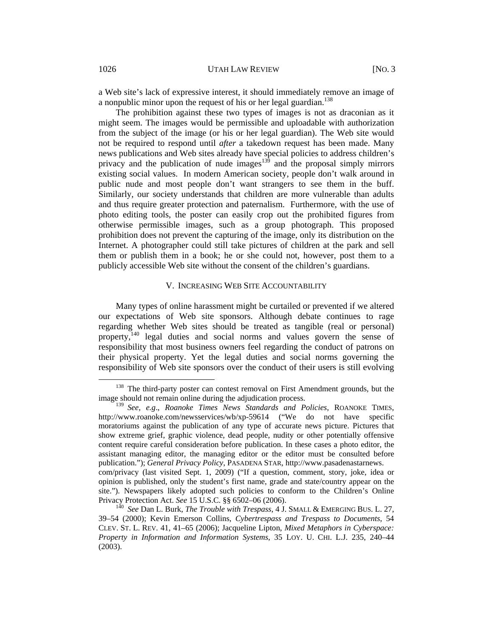a Web site's lack of expressive interest, it should immediately remove an image of a nonpublic minor upon the request of his or her legal guardian.<sup>138</sup>

The prohibition against these two types of images is not as draconian as it might seem. The images would be permissible and uploadable with authorization from the subject of the image (or his or her legal guardian). The Web site would not be required to respond until *after* a takedown request has been made. Many news publications and Web sites already have special policies to address children's privacy and the publication of nude images $13^5$  and the proposal simply mirrors existing social values. In modern American society, people don't walk around in public nude and most people don't want strangers to see them in the buff. Similarly, our society understands that children are more vulnerable than adults and thus require greater protection and paternalism. Furthermore, with the use of photo editing tools, the poster can easily crop out the prohibited figures from otherwise permissible images, such as a group photograph. This proposed prohibition does not prevent the capturing of the image, only its distribution on the Internet. A photographer could still take pictures of children at the park and sell them or publish them in a book; he or she could not, however, post them to a publicly accessible Web site without the consent of the children's guardians.

### V. INCREASING WEB SITE ACCOUNTABILITY

Many types of online harassment might be curtailed or prevented if we altered our expectations of Web site sponsors. Although debate continues to rage regarding whether Web sites should be treated as tangible (real or personal) property,<sup>140</sup> legal duties and social norms and values govern the sense of responsibility that most business owners feel regarding the conduct of patrons on their physical property. Yet the legal duties and social norms governing the responsibility of Web site sponsors over the conduct of their users is still evolving

<sup>&</sup>lt;sup>138</sup> The third-party poster can contest removal on First Amendment grounds, but the image should not remain online during the adjudication process.

<sup>139</sup> *See, e.g*., *Roanoke Times News Standards and Policies*, ROANOKE TIMES, http://www.roanoke.com/newsservices/wb/xp-59614 ("We do not have specific moratoriums against the publication of any type of accurate news picture. Pictures that show extreme grief, graphic violence, dead people, nudity or other potentially offensive content require careful consideration before publication. In these cases a photo editor, the assistant managing editor, the managing editor or the editor must be consulted before publication."); *General Privacy Policy*, PASADENA STAR, http://www.pasadenastarnews. com/privacy (last visited Sept. 1, 2009) ("If a question, comment, story, joke, idea or opinion is published, only the student's first name, grade and state/country appear on the site."). Newspapers likely adopted such policies to conform to the Children's Online

Privacy Protection Act. *See* 15 U.S.C. §§ 6502–06 (2006).<br><sup>140</sup> See Dan L. Burk, *The Trouble with Trespass*, 4 J. SMALL & EMERGING BUS. L. 27, 39–54 (2000); Kevin Emerson Collins, *Cybertrespass and Trespass to Documents*, 54 CLEV. ST. L. REV. 41, 41–65 (2006); Jacqueline Lipton, *Mixed Metaphors in Cyberspace: Property in Information and Information Systems*, 35 LOY. U. CHI. L.J. 235, 240–44 (2003).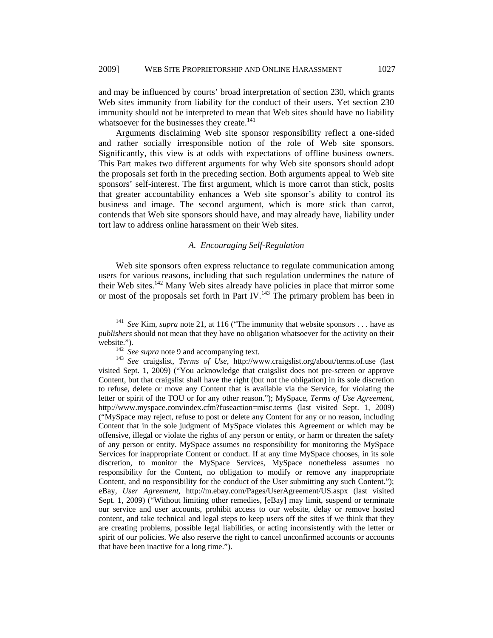and may be influenced by courts' broad interpretation of section 230, which grants Web sites immunity from liability for the conduct of their users. Yet section 230 immunity should not be interpreted to mean that Web sites should have no liability whatsoever for the businesses they create.<sup>141</sup>

Arguments disclaiming Web site sponsor responsibility reflect a one-sided and rather socially irresponsible notion of the role of Web site sponsors. Significantly, this view is at odds with expectations of offline business owners. This Part makes two different arguments for why Web site sponsors should adopt the proposals set forth in the preceding section. Both arguments appeal to Web site sponsors' self-interest. The first argument, which is more carrot than stick, posits that greater accountability enhances a Web site sponsor's ability to control its business and image. The second argument, which is more stick than carrot, contends that Web site sponsors should have, and may already have, liability under tort law to address online harassment on their Web sites.

## *A. Encouraging Self-Regulation*

Web site sponsors often express reluctance to regulate communication among users for various reasons, including that such regulation undermines the nature of their Web sites.<sup>142</sup> Many Web sites already have policies in place that mirror some or most of the proposals set forth in Part IV.<sup>143</sup> The primary problem has been in

<sup>&</sup>lt;sup>141</sup> *See Kim, supra note 21, at 116* ("The immunity that website sponsors . . . have as *publishers* should not mean that they have no obligation whatsoever for the activity on their

website.").<br><sup>142</sup> *See supra* note 9 and accompanying text.<br><sup>143</sup> *See* craigslist, *Terms of Use*, http://www.craigslist.org/about/terms.of.use (last visited Sept. 1, 2009) ("You acknowledge that craigslist does not pre-screen or approve Content, but that craigslist shall have the right (but not the obligation) in its sole discretion to refuse, delete or move any Content that is available via the Service, for violating the letter or spirit of the TOU or for any other reason."); MySpace, *Terms of Use Agreement*, http://www.myspace.com/index.cfm?fuseaction=misc.terms (last visited Sept. 1, 2009) ("MySpace may reject, refuse to post or delete any Content for any or no reason, including Content that in the sole judgment of MySpace violates this Agreement or which may be offensive, illegal or violate the rights of any person or entity, or harm or threaten the safety of any person or entity. MySpace assumes no responsibility for monitoring the MySpace Services for inappropriate Content or conduct. If at any time MySpace chooses, in its sole discretion, to monitor the MySpace Services, MySpace nonetheless assumes no responsibility for the Content, no obligation to modify or remove any inappropriate Content, and no responsibility for the conduct of the User submitting any such Content."); eBay, *User Agreement*, http://m.ebay.com/Pages/UserAgreement/US.aspx (last visited Sept. 1, 2009) ("Without limiting other remedies, [eBay] may limit, suspend or terminate our service and user accounts, prohibit access to our website, delay or remove hosted content, and take technical and legal steps to keep users off the sites if we think that they are creating problems, possible legal liabilities, or acting inconsistently with the letter or spirit of our policies. We also reserve the right to cancel unconfirmed accounts or accounts that have been inactive for a long time.").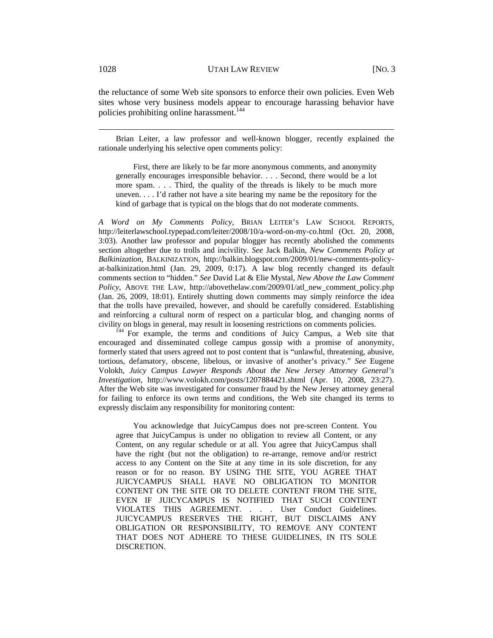the reluctance of some Web site sponsors to enforce their own policies. Even Web sites whose very business models appear to encourage harassing behavior have policies prohibiting online harassment.<sup>144</sup>

 Brian Leiter, a law professor and well-known blogger, recently explained the rationale underlying his selective open comments policy:

First, there are likely to be far more anonymous comments, and anonymity generally encourages irresponsible behavior. . . . Second, there would be a lot more spam. . . . Third, the quality of the threads is likely to be much more uneven. . . . I'd rather not have a site bearing my name be the repository for the kind of garbage that is typical on the blogs that do not moderate comments.

*A Word on My Comments Policy*, BRIAN LEITER'S LAW SCHOOL REPORTS, http://leiterlawschool.typepad.com/leiter/2008/10/a-word-on-my-co.html (Oct. 20, 2008, 3:03). Another law professor and popular blogger has recently abolished the comments section altogether due to trolls and incivility. *See* Jack Balkin, *New Comments Policy at Balkinization*, BALKINIZATION, http://balkin.blogspot.com/2009/01/new-comments-policyat-balkinization.html (Jan. 29, 2009, 0:17). A law blog recently changed its default comments section to "hidden." *See* David Lat & Elie Mystal, *New Above the Law Comment Policy*, ABOVE THE LAW, http://abovethelaw.com/2009/01/atl\_new\_comment\_policy.php (Jan. 26, 2009, 18:01). Entirely shutting down comments may simply reinforce the idea that the trolls have prevailed, however, and should be carefully considered. Establishing and reinforcing a cultural norm of respect on a particular blog, and changing norms of civility on blogs in general, may result in loosening restrictions on comments policies. 144 For example, the terms and conditions of Juicy Campus, a Web site that

encouraged and disseminated college campus gossip with a promise of anonymity, formerly stated that users agreed not to post content that is "unlawful, threatening, abusive, tortious, defamatory, obscene, libelous, or invasive of another's privacy." *See* Eugene Volokh, *Juicy Campus Lawyer Responds About the New Jersey Attorney General's Investigation*, http://www.volokh.com/posts/1207884421.shtml (Apr. 10, 2008, 23:27). After the Web site was investigated for consumer fraud by the New Jersey attorney general for failing to enforce its own terms and conditions, the Web site changed its terms to expressly disclaim any responsibility for monitoring content:

You acknowledge that JuicyCampus does not pre-screen Content. You agree that JuicyCampus is under no obligation to review all Content, or any Content, on any regular schedule or at all. You agree that JuicyCampus shall have the right (but not the obligation) to re-arrange, remove and/or restrict access to any Content on the Site at any time in its sole discretion, for any reason or for no reason. BY USING THE SITE, YOU AGREE THAT JUICYCAMPUS SHALL HAVE NO OBLIGATION TO MONITOR CONTENT ON THE SITE OR TO DELETE CONTENT FROM THE SITE, EVEN IF JUICYCAMPUS IS NOTIFIED THAT SUCH CONTENT VIOLATES THIS AGREEMENT. . . . User Conduct Guidelines. JUICYCAMPUS RESERVES THE RIGHT, BUT DISCLAIMS ANY OBLIGATION OR RESPONSIBILITY, TO REMOVE ANY CONTENT THAT DOES NOT ADHERE TO THESE GUIDELINES, IN ITS SOLE DISCRETION.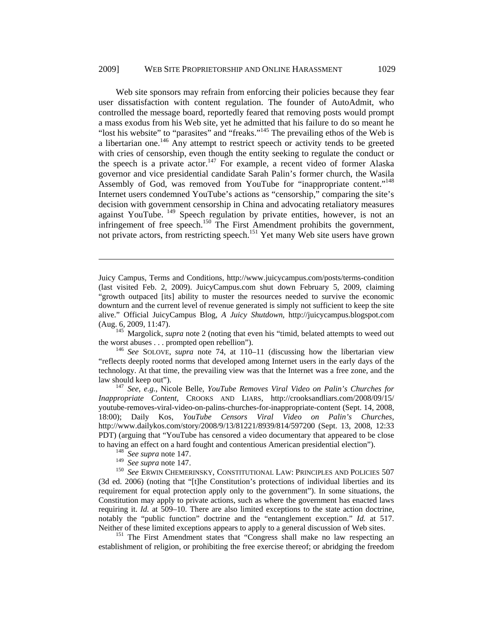Web site sponsors may refrain from enforcing their policies because they fear user dissatisfaction with content regulation. The founder of AutoAdmit, who controlled the message board, reportedly feared that removing posts would prompt a mass exodus from his Web site, yet he admitted that his failure to do so meant he "lost his website" to "parasites" and "freaks."<sup>145</sup> The prevailing ethos of the Web is a libertarian one.146 Any attempt to restrict speech or activity tends to be greeted with cries of censorship, even though the entity seeking to regulate the conduct or the speech is a private actor.<sup>147</sup> For example, a recent video of former Alaska governor and vice presidential candidate Sarah Palin's former church, the Wasila Assembly of God, was removed from YouTube for "inappropriate content."<sup>148</sup> Internet users condemned YouTube's actions as "censorship," comparing the site's decision with government censorship in China and advocating retaliatory measures against YouTube. <sup>149</sup> Speech regulation by private entities, however, is not an infringement of free speech.<sup>150</sup> The First Amendment prohibits the government, not private actors, from restricting speech.<sup>151</sup> Yet many Web site users have grown

 $^{145}$  Margolick, *supra* note 2 (noting that even his "timid, belated attempts to weed out the worst abuses . . . prompted open rebellion"). 146 *See* SOLOVE, *supra* note 74, at 110–11 (discussing how the libertarian view

law should keep out"). 147 *See, e.g.*, Nicole Belle, *YouTube Removes Viral Video on Palin's Churches for Inappropriate Content*, CROOKS AND LIARS, http://crooksandliars.com/2008/09/15/ youtube-removes-viral-video-on-palins-churches-for-inappropriate-content (Sept. 14, 2008, 18:00); Daily Kos, *YouTube Censors Viral Video on Palin's Churches*, http://www.dailykos.com/story/2008/9/13/81221/8939/814/597200 (Sept. 13, 2008, 12:33 PDT) (arguing that "YouTube has censored a video documentary that appeared to be close to having an effect on a hard fought and contentious American presidential election").<br><sup>148</sup> *See supra* note 147.<br><sup>149</sup> *See supra* note 147.

 $\overline{a}$ 

<sup>150</sup> See ERWIN CHEMERINSKY, CONSTITUTIONAL LAW: PRINCIPLES AND POLICIES 507 (3d ed. 2006) (noting that "[t]he Constitution's protections of individual liberties and its requirement for equal protection apply only to the government"). In some situations, the Constitution may apply to private actions, such as where the government has enacted laws requiring it. *Id.* at 509–10. There are also limited exceptions to the state action doctrine, notably the "public function" doctrine and the "entanglement exception." *Id.* at 517. Neither of these limited exceptions appears to apply to a general discussion of Web sites.

<sup>151</sup> The First Amendment states that "Congress shall make no law respecting an establishment of religion, or prohibiting the free exercise thereof; or abridging the freedom

Juicy Campus, Terms and Conditions, http://www.juicycampus.com/posts/terms-condition (last visited Feb. 2, 2009). JuicyCampus.com shut down February 5, 2009, claiming "growth outpaced [its] ability to muster the resources needed to survive the economic downturn and the current level of revenue generated is simply not sufficient to keep the site alive." Official JuicyCampus Blog, *A Juicy Shutdown*, http://juicycampus.blogspot.com

<sup>&</sup>quot;reflects deeply rooted norms that developed among Internet users in the early days of the technology. At that time, the prevailing view was that the Internet was a free zone, and the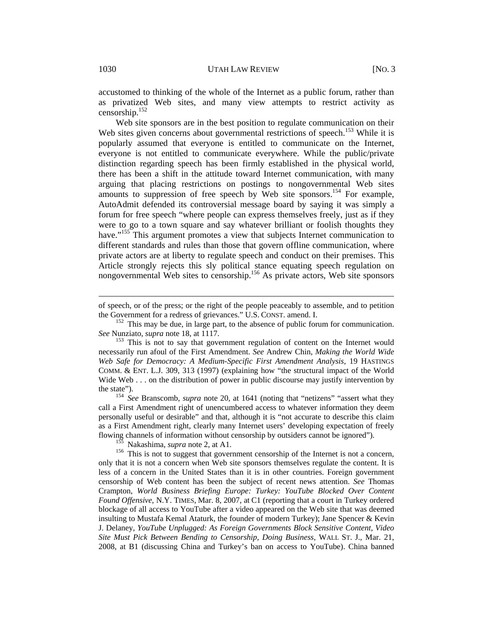accustomed to thinking of the whole of the Internet as a public forum, rather than as privatized Web sites, and many view attempts to restrict activity as censorship.152

Web site sponsors are in the best position to regulate communication on their Web sites given concerns about governmental restrictions of speech.<sup>153</sup> While it is popularly assumed that everyone is entitled to communicate on the Internet, everyone is not entitled to communicate everywhere. While the public/private distinction regarding speech has been firmly established in the physical world, there has been a shift in the attitude toward Internet communication, with many arguing that placing restrictions on postings to nongovernmental Web sites amounts to suppression of free speech by Web site sponsors.<sup>154</sup> For example, AutoAdmit defended its controversial message board by saying it was simply a forum for free speech "where people can express themselves freely, just as if they were to go to a town square and say whatever brilliant or foolish thoughts they have."<sup>155</sup> This argument promotes a view that subjects Internet communication to different standards and rules than those that govern offline communication, where private actors are at liberty to regulate speech and conduct on their premises. This Article strongly rejects this sly political stance equating speech regulation on nongovernmental Web sites to censorship.<sup>156</sup> As private actors, Web site sponsors

the state"). 154 *See* Branscomb, *supra* note 20, at 1641 (noting that "netizens" "assert what they call a First Amendment right of unencumbered access to whatever information they deem personally useful or desirable" and that, although it is "not accurate to describe this claim as a First Amendment right, clearly many Internet users' developing expectation of freely

flowing channels of information without censorship by outsiders cannot be ignored").<br><sup>155</sup> Nakashima, *supra* note 2, at A1.<br><sup>156</sup> This is not to suggest that government censorship of the Internet is not a concern, only that it is not a concern when Web site sponsors themselves regulate the content. It is less of a concern in the United States than it is in other countries. Foreign government censorship of Web content has been the subject of recent news attention. *See* Thomas Crampton, *World Business Briefing Europe: Turkey: YouTube Blocked Over Content Found Offensive*, N.Y. TIMES, Mar. 8, 2007, at C1 (reporting that a court in Turkey ordered blockage of all access to YouTube after a video appeared on the Web site that was deemed insulting to Mustafa Kemal Ataturk, the founder of modern Turkey); Jane Spencer & Kevin J. Delaney, *YouTube Unplugged: As Foreign Governments Block Sensitive Content, Video Site Must Pick Between Bending to Censorship, Doing Business*, WALL ST. J., Mar. 21, 2008, at B1 (discussing China and Turkey's ban on access to YouTube). China banned

 $\overline{a}$ 

of speech, or of the press; or the right of the people peaceably to assemble, and to petition

the Government for a redress of grievances." U.S. CONST. amend. I.<br>
<sup>152</sup> This may be due, in large part, to the absence of public forum for communication.<br> *See* Nunziato, *supra* note 18, at 1117.

<sup>&</sup>lt;sup>153</sup> This is not to say that government regulation of content on the Internet would necessarily run afoul of the First Amendment. *See* Andrew Chin, *Making the World Wide Web Safe for Democracy: A Medium-Specific First Amendment Analysis*, 19 HASTINGS COMM. & ENT. L.J. 309, 313 (1997) (explaining how "the structural impact of the World Wide Web . . . on the distribution of power in public discourse may justify intervention by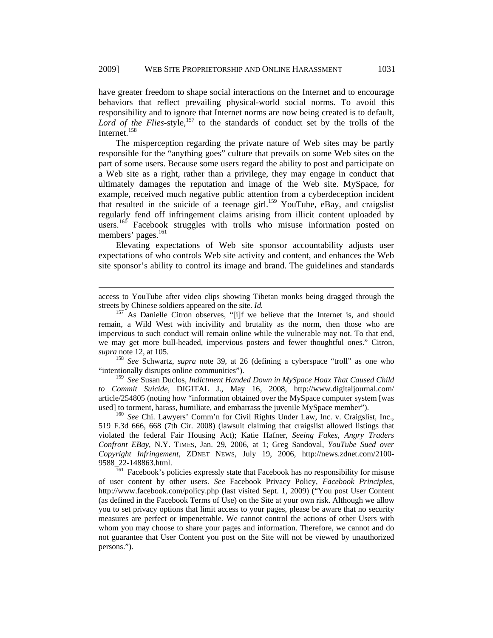have greater freedom to shape social interactions on the Internet and to encourage behaviors that reflect prevailing physical-world social norms. To avoid this responsibility and to ignore that Internet norms are now being created is to default, Lord of the Flies-style,<sup>157</sup> to the standards of conduct set by the trolls of the Internet.<sup>158</sup>

The misperception regarding the private nature of Web sites may be partly responsible for the "anything goes" culture that prevails on some Web sites on the part of some users. Because some users regard the ability to post and participate on a Web site as a right, rather than a privilege, they may engage in conduct that ultimately damages the reputation and image of the Web site. MySpace, for example, received much negative public attention from a cyberdeception incident that resulted in the suicide of a teenage girl.<sup>159</sup> YouTube, eBay, and craigslist regularly fend off infringement claims arising from illicit content uploaded by users.<sup>160</sup> Facebook struggles with trolls who misuse information posted on members' pages.<sup>161</sup>

Elevating expectations of Web site sponsor accountability adjusts user expectations of who controls Web site activity and content, and enhances the Web site sponsor's ability to control its image and brand. The guidelines and standards

 $\overline{a}$ 

158 *See* Schwartz, *supra* note 39, at 26 (defining a cyberspace "troll" as one who "intentionally disrupts online communities").

159 *See* Susan Duclos, *Indictment Handed Down in MySpace Hoax That Caused Child to Commit Suicide*, DIGITAL J., May 16, 2008, http://www.digitaljournal.com/ article/254805 (noting how "information obtained over the MySpace computer system [was used] to torment, harass, humiliate, and embarrass the juvenile MySpace member"). 160 *See* Chi. Lawyers' Comm'n for Civil Rights Under Law, Inc. v. Craigslist, Inc.,

519 F.3d 666, 668 (7th Cir. 2008) (lawsuit claiming that craigslist allowed listings that violated the federal Fair Housing Act); Katie Hafner, *Seeing Fakes, Angry Traders Confront EBay*, N.Y. TIMES, Jan. 29, 2006, at 1; Greg Sandoval, *YouTube Sued over Copyright Infringement*, ZDNET NEWS, July 19, 2006, http://news.zdnet.com/2100- 9588\_22-148863.html. 161 Facebook's policies expressly state that Facebook has no responsibility for misuse

of user content by other users. *See* Facebook Privacy Policy, *Facebook Principles*, http://www.facebook.com/policy.php (last visited Sept. 1, 2009) ("You post User Content (as defined in the Facebook Terms of Use) on the Site at your own risk. Although we allow you to set privacy options that limit access to your pages, please be aware that no security measures are perfect or impenetrable. We cannot control the actions of other Users with whom you may choose to share your pages and information. Therefore, we cannot and do not guarantee that User Content you post on the Site will not be viewed by unauthorized persons.").

access to YouTube after video clips showing Tibetan monks being dragged through the streets by Chinese soldiers appeared on the site. *Id.* 157 As Danielle Citron observes, "[i]f we believe that the Internet is, and should

remain, a Wild West with incivility and brutality as the norm, then those who are impervious to such conduct will remain online while the vulnerable may not. To that end, we may get more bull-headed, impervious posters and fewer thoughtful ones." Citron, *supra* note 12, at 105.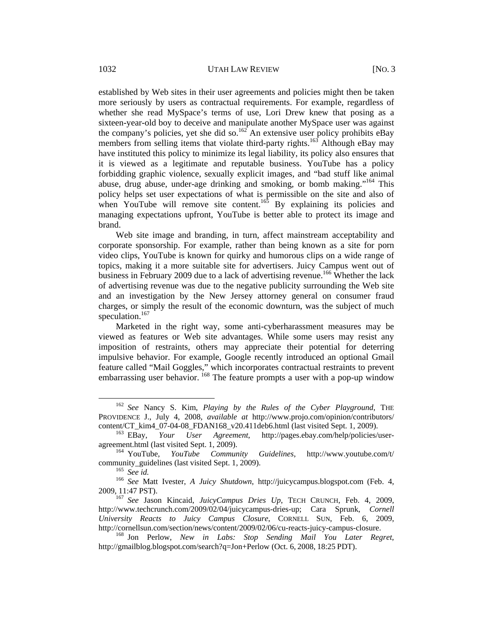established by Web sites in their user agreements and policies might then be taken more seriously by users as contractual requirements. For example, regardless of whether she read MySpace's terms of use, Lori Drew knew that posing as a sixteen-year-old boy to deceive and manipulate another MySpace user was against the company's policies, yet she did so.<sup>162</sup> An extensive user policy prohibits eBay members from selling items that violate third-party rights.<sup>163</sup> Although eBay may have instituted this policy to minimize its legal liability, its policy also ensures that it is viewed as a legitimate and reputable business. YouTube has a policy forbidding graphic violence, sexually explicit images, and "bad stuff like animal abuse, drug abuse, under-age drinking and smoking, or bomb making."<sup>164</sup> This policy helps set user expectations of what is permissible on the site and also of when YouTube will remove site content.<sup>165</sup> By explaining its policies and managing expectations upfront, YouTube is better able to protect its image and brand.

Web site image and branding, in turn, affect mainstream acceptability and corporate sponsorship. For example, rather than being known as a site for porn video clips, YouTube is known for quirky and humorous clips on a wide range of topics, making it a more suitable site for advertisers. Juicy Campus went out of business in February 2009 due to a lack of advertising revenue.<sup>166</sup> Whether the lack of advertising revenue was due to the negative publicity surrounding the Web site and an investigation by the New Jersey attorney general on consumer fraud charges, or simply the result of the economic downturn, was the subject of much speculation.<sup>167</sup>

Marketed in the right way, some anti-cyberharassment measures may be viewed as features or Web site advantages. While some users may resist any imposition of restraints, others may appreciate their potential for deterring impulsive behavior. For example, Google recently introduced an optional Gmail feature called "Mail Goggles," which incorporates contractual restraints to prevent embarrassing user behavior.  $^{168}$  The feature prompts a user with a pop-up window

 <sup>162</sup> *See* Nancy S. Kim, *Playing by the Rules of the Cyber Playground*, THE PROVIDENCE J., July 4, 2008, *available at* http://www.projo.com/opinion/contributors/ content/CT\_kim4\_07-04-08\_FDAN168\_v20.411deb6.html (last visited Sept. 1, 2009). 163 EBay, *Your User Agreement*, http://pages.ebay.com/help/policies/user-

agreement.html (last visited Sept. 1, 2009).<br><sup>164</sup> YouTube, *YouTube Community Guidelines*, http://www.youtube.com/t/

community\_guidelines (last visited Sept. 1, 2009).<br><sup>165</sup> *See id.* <sup>166</sup> *See Matt Ivester, <i>A Juicy Shutdown*, http://juicycampus.blogspot.com (Feb. 4,

<sup>2009, 11:47</sup> PST). 167 *See* Jason Kincaid, *JuicyCampus Dries Up*, TECH CRUNCH, Feb. 4, 2009, http://www.techcrunch.com/2009/02/04/juicycampus-dries-up; Cara Sprunk, *Cornell University Reacts to Juicy Campus Closure*, CORNELL SUN, Feb. 6, 2009, http://cornellsun.com/section/news/content/2009/02/06/cu-reacts-juicy-campus-closure. 168 Jon Perlow, *New in Labs: Stop Sending Mail You Later Regret*,

http://gmailblog.blogspot.com/search?q=Jon+Perlow (Oct. 6, 2008, 18:25 PDT).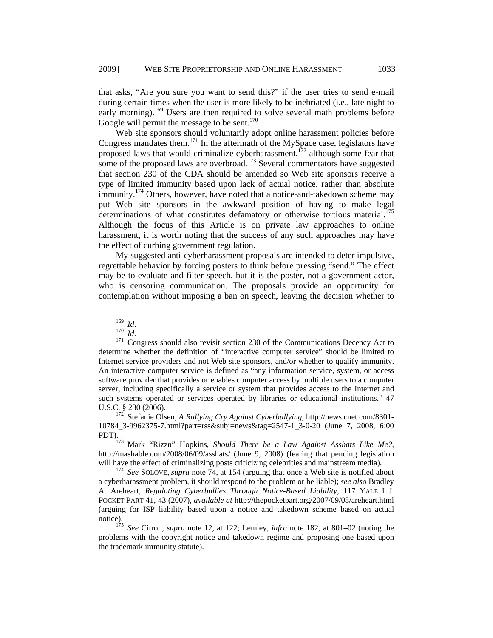that asks, "Are you sure you want to send this?" if the user tries to send e-mail during certain times when the user is more likely to be inebriated (i.e., late night to early morning).<sup>169</sup> Users are then required to solve several math problems before Google will permit the message to be sent.<sup>170</sup>

Web site sponsors should voluntarily adopt online harassment policies before Congress mandates them.<sup>171</sup> In the aftermath of the MySpace case, legislators have proposed laws that would criminalize cyberharassment, $1^{72}$  although some fear that some of the proposed laws are overbroad.<sup>173</sup> Several commentators have suggested that section 230 of the CDA should be amended so Web site sponsors receive a type of limited immunity based upon lack of actual notice, rather than absolute immunity.<sup>174</sup> Others, however, have noted that a notice-and-takedown scheme may put Web site sponsors in the awkward position of having to make legal determinations of what constitutes defamatory or otherwise tortious material.<sup>175</sup> Although the focus of this Article is on private law approaches to online harassment, it is worth noting that the success of any such approaches may have the effect of curbing government regulation.

My suggested anti-cyberharassment proposals are intended to deter impulsive, regrettable behavior by forcing posters to think before pressing "send." The effect may be to evaluate and filter speech, but it is the poster, not a government actor, who is censoring communication. The proposals provide an opportunity for contemplation without imposing a ban on speech, leaving the decision whether to

<sup>&</sup>lt;sup>169</sup> *Id.* <sup>170</sup> *Id.* 171 Congress should also revisit section 230 of the Communications Decency Act to determine whether the definition of "interactive computer service" should be limited to Internet service providers and not Web site sponsors, and/or whether to qualify immunity. An interactive computer service is defined as "any information service, system, or access software provider that provides or enables computer access by multiple users to a computer server, including specifically a service or system that provides access to the Internet and such systems operated or services operated by libraries or educational institutions." 47 U.S.C. § 230 (2006). 172 Stefanie Olsen, *A Rallying Cry Against Cyberbullying*, http://news.cnet.com/8301-

<sup>10784</sup>\_3-9962375-7.html?part=rss&subj=news&tag=2547-1\_3-0-20 (June 7, 2008, 6:00<br>PDT).

Mark "Rizzn" Hopkins, *Should There be a Law Against Asshats Like Me?*, http://mashable.com/2008/06/09/asshats/ (June 9, 2008) (fearing that pending legislation will have the effect of criminalizing posts criticizing celebrities and mainstream media).<br><sup>174</sup> *See* SOLOVE, *supra* note 74, at 154 (arguing that once a Web site is notified about

a cyberharassment problem, it should respond to the problem or be liable); *see also* Bradley A. Areheart, *Regulating Cyberbullies Through Notice-Based Liability*, 117 YALE L.J. POCKET PART 41, 43 (2007), *available at* http://thepocketpart.org/2007/09/08/areheart.html (arguing for ISP liability based upon a notice and takedown scheme based on actual notice).

See Citron, *supra* note 12, at 122; Lemley, *infra* note 182, at 801–02 (noting the problems with the copyright notice and takedown regime and proposing one based upon the trademark immunity statute).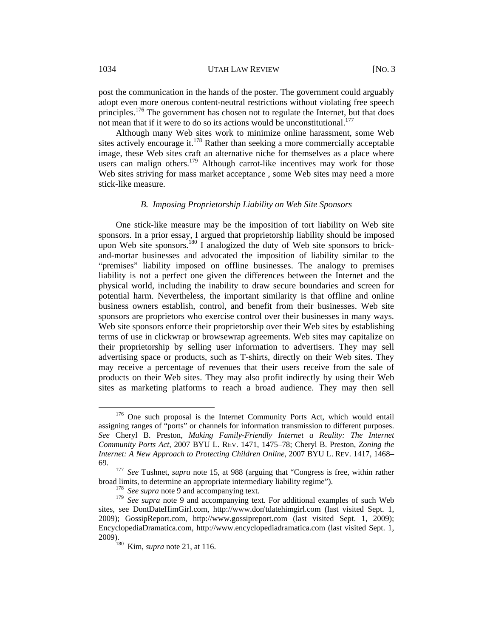post the communication in the hands of the poster. The government could arguably adopt even more onerous content-neutral restrictions without violating free speech principles.<sup>176</sup> The government has chosen not to regulate the Internet, but that does not mean that if it were to do so its actions would be unconstitutional. $^{177}$ 

Although many Web sites work to minimize online harassment, some Web sites actively encourage it.<sup>178</sup> Rather than seeking a more commercially acceptable image, these Web sites craft an alternative niche for themselves as a place where users can malign others.<sup>179</sup> Although carrot-like incentives may work for those Web sites striving for mass market acceptance, some Web sites may need a more stick-like measure.

#### *B. Imposing Proprietorship Liability on Web Site Sponsors*

One stick-like measure may be the imposition of tort liability on Web site sponsors. In a prior essay, I argued that proprietorship liability should be imposed upon Web site sponsors.<sup>180</sup> I analogized the duty of Web site sponsors to brickand-mortar businesses and advocated the imposition of liability similar to the "premises" liability imposed on offline businesses. The analogy to premises liability is not a perfect one given the differences between the Internet and the physical world, including the inability to draw secure boundaries and screen for potential harm. Nevertheless, the important similarity is that offline and online business owners establish, control, and benefit from their businesses. Web site sponsors are proprietors who exercise control over their businesses in many ways. Web site sponsors enforce their proprietorship over their Web sites by establishing terms of use in clickwrap or browsewrap agreements. Web sites may capitalize on their proprietorship by selling user information to advertisers. They may sell advertising space or products, such as T-shirts, directly on their Web sites. They may receive a percentage of revenues that their users receive from the sale of products on their Web sites. They may also profit indirectly by using their Web sites as marketing platforms to reach a broad audience. They may then sell

<sup>&</sup>lt;sup>176</sup> One such proposal is the Internet Community Ports Act, which would entail assigning ranges of "ports" or channels for information transmission to different purposes. *See* Cheryl B. Preston, *Making Family-Friendly Internet a Reality: The Internet Community Ports Act*, 2007 BYU L. REV. 1471, 1475–78; Cheryl B. Preston, *Zoning the Internet: A New Approach to Protecting Children Online*, 2007 BYU L. REV. 1417, 1468–

<sup>69. 177</sup> *See* Tushnet, *supra* note 15, at 988 (arguing that "Congress is free, within rather broad limits, to determine an appropriate intermediary liability regime"). 178 *See supra* note 9 and accompanying text.

<sup>179</sup> *See supra* note 9 and accompanying text. For additional examples of such Web sites, see DontDateHimGirl.com, http://www.don'tdatehimgirl.com (last visited Sept. 1, 2009); GossipReport.com, http://www.gossipreport.com (last visited Sept. 1, 2009); EncyclopediaDramatica.com, http://www.encyclopediadramatica.com (last visited Sept. 1,

Kim, *supra* note 21, at 116.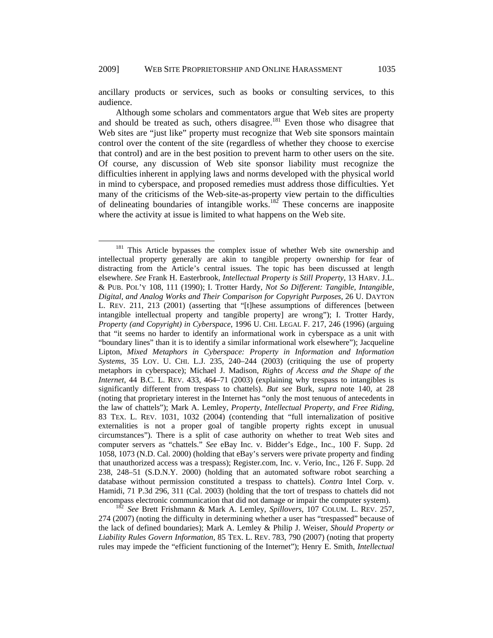ancillary products or services, such as books or consulting services, to this audience.

Although some scholars and commentators argue that Web sites are property and should be treated as such, others disagree.181 Even those who disagree that Web sites are "just like" property must recognize that Web site sponsors maintain control over the content of the site (regardless of whether they choose to exercise that control) and are in the best position to prevent harm to other users on the site. Of course, any discussion of Web site sponsor liability must recognize the difficulties inherent in applying laws and norms developed with the physical world in mind to cyberspace, and proposed remedies must address those difficulties. Yet many of the criticisms of the Web-site-as-property view pertain to the difficulties of delineating boundaries of intangible works.<sup>182</sup> These concerns are inapposite where the activity at issue is limited to what happens on the Web site.

<sup>&</sup>lt;sup>181</sup> This Article bypasses the complex issue of whether Web site ownership and intellectual property generally are akin to tangible property ownership for fear of distracting from the Article's central issues. The topic has been discussed at length elsewhere. *See* Frank H. Easterbrook, *Intellectual Property is Still Property*, 13 HARV. J.L. & PUB. POL'Y 108, 111 (1990); I. Trotter Hardy, *Not So Different: Tangible, Intangible, Digital, and Analog Works and Their Comparison for Copyright Purposes*, 26 U. DAYTON L. REV. 211, 213 (2001) (asserting that "[t]hese assumptions of differences [between intangible intellectual property and tangible property] are wrong"); I. Trotter Hardy, *Property (and Copyright) in Cyberspace*, 1996 U. CHI. LEGAL F. 217, 246 (1996) (arguing that "it seems no harder to identify an informational work in cyberspace as a unit with "boundary lines" than it is to identify a similar informational work elsewhere"); Jacqueline Lipton, *Mixed Metaphors in Cyberspace: Property in Information and Information Systems*, 35 LOY. U. CHI. L.J. 235, 240–244 (2003) (critiquing the use of property metaphors in cyberspace); Michael J. Madison, *Rights of Access and the Shape of the Internet*, 44 B.C. L. REV. 433, 464–71 (2003) (explaining why trespass to intangibles is significantly different from trespass to chattels). *But see* Burk, *supra* note 140, at 28 (noting that proprietary interest in the Internet has "only the most tenuous of antecedents in the law of chattels"); Mark A. Lemley, *Property, Intellectual Property, and Free Riding*, 83 TEX. L. REV. 1031, 1032 (2004) (contending that "full internalization of positive externalities is not a proper goal of tangible property rights except in unusual circumstances"). There is a split of case authority on whether to treat Web sites and computer servers as "chattels." *See* eBay Inc. v. Bidder's Edge., Inc., 100 F. Supp. 2d 1058, 1073 (N.D. Cal. 2000) (holding that eBay's servers were private property and finding that unauthorized access was a trespass); Register.com, Inc. v. Verio, Inc., 126 F. Supp. 2d 238, 248–51 (S.D.N.Y. 2000) (holding that an automated software robot searching a database without permission constituted a trespass to chattels). *Contra* Intel Corp. v. Hamidi, 71 P.3d 296, 311 (Cal. 2003) (holding that the tort of trespass to chattels did not

encompass electronic communication that did not damage or impair the computer system).<br><sup>182</sup> See Brett Frishmann & Mark A. Lemley, *Spillovers*, 107 COLUM. L. REV. 257, 274 (2007) (noting the difficulty in determining whether a user has "trespassed" because of the lack of defined boundaries); Mark A. Lemley & Philip J. Weiser, *Should Property or Liability Rules Govern Information,* 85 TEX. L. REV. 783, 790 (2007) (noting that property rules may impede the "efficient functioning of the Internet"); Henry E. Smith, *Intellectual*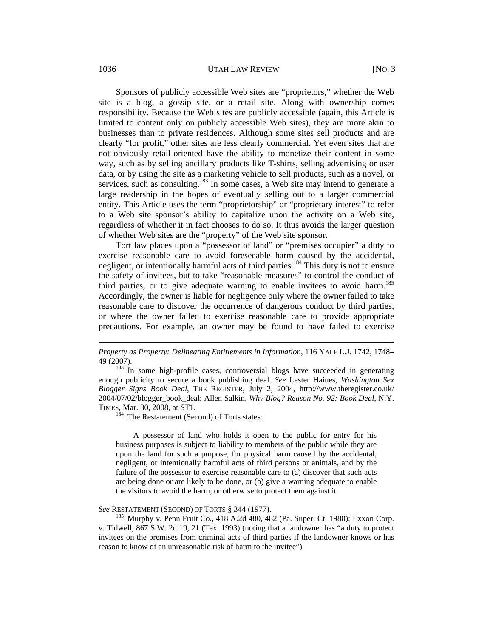#### 1036 **UTAH LAW REVIEW** [NO. 3]

Sponsors of publicly accessible Web sites are "proprietors," whether the Web site is a blog, a gossip site, or a retail site. Along with ownership comes responsibility. Because the Web sites are publicly accessible (again, this Article is limited to content only on publicly accessible Web sites), they are more akin to businesses than to private residences. Although some sites sell products and are clearly "for profit," other sites are less clearly commercial. Yet even sites that are not obviously retail-oriented have the ability to monetize their content in some way, such as by selling ancillary products like T-shirts, selling advertising or user data, or by using the site as a marketing vehicle to sell products, such as a novel, or services, such as consulting.<sup>183</sup> In some cases, a Web site may intend to generate a large readership in the hopes of eventually selling out to a larger commercial entity. This Article uses the term "proprietorship" or "proprietary interest" to refer to a Web site sponsor's ability to capitalize upon the activity on a Web site, regardless of whether it in fact chooses to do so. It thus avoids the larger question of whether Web sites are the "property" of the Web site sponsor.

Tort law places upon a "possessor of land" or "premises occupier" a duty to exercise reasonable care to avoid foreseeable harm caused by the accidental, negligent, or intentionally harmful acts of third parties.<sup>184</sup> This duty is not to ensure the safety of invitees, but to take "reasonable measures" to control the conduct of third parties, or to give adequate warning to enable invitees to avoid harm.<sup>185</sup> Accordingly, the owner is liable for negligence only where the owner failed to take reasonable care to discover the occurrence of dangerous conduct by third parties, or where the owner failed to exercise reasonable care to provide appropriate precautions. For example, an owner may be found to have failed to exercise

enough publicity to secure a book publishing deal. *See* Lester Haines, *Washington Sex Blogger Signs Book Deal*, THE REGISTER, July 2, 2004, http://www.theregister.co.uk/ 2004/07/02/blogger\_book\_deal; Allen Salkin, *Why Blog? Reason No. 92: Book Deal*, N.Y. TIMES, Mar. 30, 2008, at ST1.

184 The Restatement (Second) of Torts states:

A possessor of land who holds it open to the public for entry for his business purposes is subject to liability to members of the public while they are upon the land for such a purpose, for physical harm caused by the accidental, negligent, or intentionally harmful acts of third persons or animals, and by the failure of the possessor to exercise reasonable care to (a) discover that such acts are being done or are likely to be done, or (b) give a warning adequate to enable the visitors to avoid the harm, or otherwise to protect them against it.

*See* RESTATEMENT (SECOND) OF TORTS § 344 (1977).<br><sup>185</sup> Murphy v. Penn Fruit Co., 418 A.2d 480, 482 (Pa. Super. Ct. 1980); Exxon Corp. v. Tidwell, 867 S.W. 2d 19, 21 (Tex. 1993) (noting that a landowner has "a duty to protect invitees on the premises from criminal acts of third parties if the landowner knows or has reason to know of an unreasonable risk of harm to the invitee").

 $\overline{a}$ 

*Property as Property: Delineating Entitlements in Information*, 116 YALE L.J. 1742, 1748– 49 (2007).<br><sup>183</sup> In some high-profile cases, controversial blogs have succeeded in generating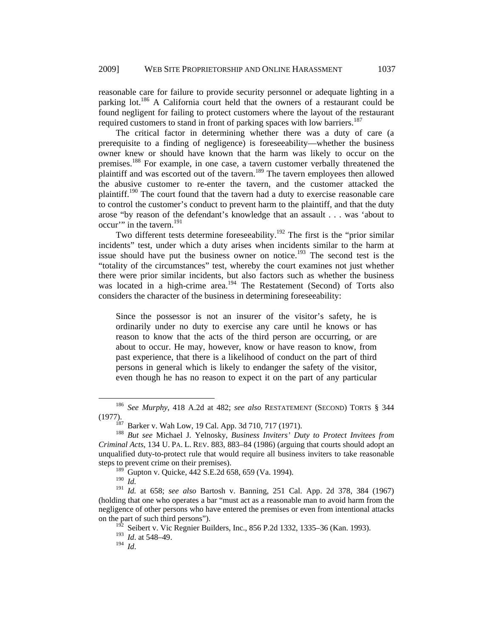reasonable care for failure to provide security personnel or adequate lighting in a parking lot.<sup>186</sup> A California court held that the owners of a restaurant could be found negligent for failing to protect customers where the layout of the restaurant required customers to stand in front of parking spaces with low barriers.<sup>187</sup>

The critical factor in determining whether there was a duty of care (a prerequisite to a finding of negligence) is foreseeability—whether the business owner knew or should have known that the harm was likely to occur on the premises.<sup>188</sup> For example, in one case, a tavern customer verbally threatened the plaintiff and was escorted out of the tavern.189 The tavern employees then allowed the abusive customer to re-enter the tavern, and the customer attacked the plaintiff.<sup>190</sup> The court found that the tavern had a duty to exercise reasonable care to control the customer's conduct to prevent harm to the plaintiff, and that the duty arose "by reason of the defendant's knowledge that an assault . . . was 'about to occur'" in the tavern.<sup>191</sup>

Two different tests determine foreseeability.<sup>192</sup> The first is the "prior similar incidents" test, under which a duty arises when incidents similar to the harm at issue should have put the business owner on notice.<sup>193</sup> The second test is the "totality of the circumstances" test, whereby the court examines not just whether there were prior similar incidents, but also factors such as whether the business was located in a high-crime area.<sup>194</sup> The Restatement (Second) of Torts also considers the character of the business in determining foreseeability:

Since the possessor is not an insurer of the visitor's safety, he is ordinarily under no duty to exercise any care until he knows or has reason to know that the acts of the third person are occurring, or are about to occur. He may, however, know or have reason to know, from past experience, that there is a likelihood of conduct on the part of third persons in general which is likely to endanger the safety of the visitor, even though he has no reason to expect it on the part of any particular

 <sup>186</sup> *See Murphy*, 418 A.2d at 482; *see also* RESTATEMENT (SECOND) TORTS § 344 (1977). 187 Barker v. Wah Low, 19 Cal. App. 3d 710, 717 (1971). 188 *But see* Michael J. Yelnosky, *Business Inviters' Duty to Protect Invitees from* 

*Criminal Acts*, 134 U. PA. L. REV. 883, 883–84 (1986) (arguing that courts should adopt an unqualified duty-to-protect rule that would require all business inviters to take reasonable steps to prevent crime on their premises).

 $^{189}$  Gupton v. Quicke, 442 S.E.2d 658, 659 (Va. 1994).

<sup>190</sup> *Id.*

<sup>191</sup> *Id.* at 658; *see also* Bartosh v. Banning, 251 Cal. App. 2d 378, 384 (1967) (holding that one who operates a bar "must act as a reasonable man to avoid harm from the negligence of other persons who have entered the premises or even from intentional attacks on the part of such third persons").

Seibert v. Vic Regnier Builders, Inc., 856 P.2d 1332, 1335–36 (Kan. 1993).

<sup>193</sup> *Id*. at 548–49.

<sup>194</sup> *Id*.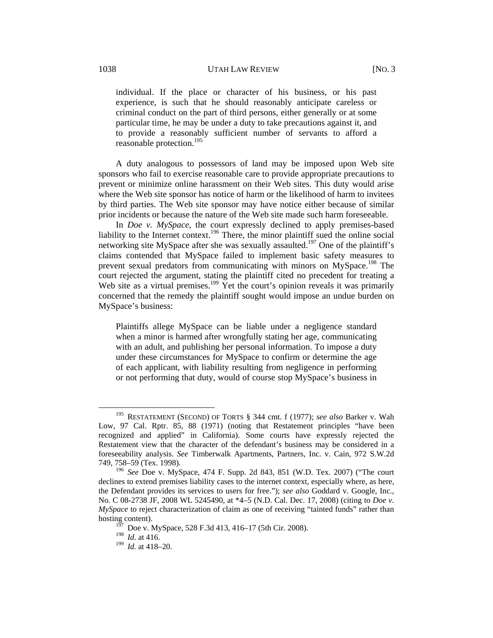individual. If the place or character of his business, or his past experience, is such that he should reasonably anticipate careless or criminal conduct on the part of third persons, either generally or at some particular time, he may be under a duty to take precautions against it, and to provide a reasonably sufficient number of servants to afford a reasonable protection.<sup>195</sup>

A duty analogous to possessors of land may be imposed upon Web site sponsors who fail to exercise reasonable care to provide appropriate precautions to prevent or minimize online harassment on their Web sites. This duty would arise where the Web site sponsor has notice of harm or the likelihood of harm to invitees by third parties. The Web site sponsor may have notice either because of similar prior incidents or because the nature of the Web site made such harm foreseeable.

In *Doe v. MySpace*, the court expressly declined to apply premises-based liability to the Internet context.<sup>196</sup> There, the minor plaintiff sued the online social networking site MySpace after she was sexually assaulted.<sup>197</sup> One of the plaintiff's claims contended that MySpace failed to implement basic safety measures to prevent sexual predators from communicating with minors on MySpace.<sup>198</sup> The court rejected the argument, stating the plaintiff cited no precedent for treating a Web site as a virtual premises.<sup>199</sup> Yet the court's opinion reveals it was primarily concerned that the remedy the plaintiff sought would impose an undue burden on MySpace's business:

Plaintiffs allege MySpace can be liable under a negligence standard when a minor is harmed after wrongfully stating her age, communicating with an adult, and publishing her personal information. To impose a duty under these circumstances for MySpace to confirm or determine the age of each applicant, with liability resulting from negligence in performing or not performing that duty, would of course stop MySpace's business in

 <sup>195</sup> RESTATEMENT (SECOND) OF TORTS § 344 cmt. f (1977); *see also* Barker v. Wah Low, 97 Cal. Rptr. 85, 88 (1971) (noting that Restatement principles "have been recognized and applied" in California). Some courts have expressly rejected the Restatement view that the character of the defendant's business may be considered in a foreseeability analysis. *See* Timberwalk Apartments, Partners, Inc. v. Cain, 972 S.W.2d 749, 758–59 (Tex. 1998).

<sup>196</sup> *See* Doe v. MySpace, 474 F. Supp. 2d 843, 851 (W.D. Tex. 2007) ("The court declines to extend premises liability cases to the internet context, especially where, as here, the Defendant provides its services to users for free."); *see also* Goddard v. Google, Inc., No. C 08-2738 JF, 2008 WL 5245490, at \*4–5 (N.D. Cal. Dec. 17, 2008) (citing to *Doe v. MySpace* to reject characterization of claim as one of receiving "tainted funds" rather than hosting content).

 $1^{197}$  Doe v. MySpace, 528 F.3d 413, 416–17 (5th Cir. 2008).

<sup>198</sup> *Id*. at 416.

<sup>199</sup> *Id.* at 418–20.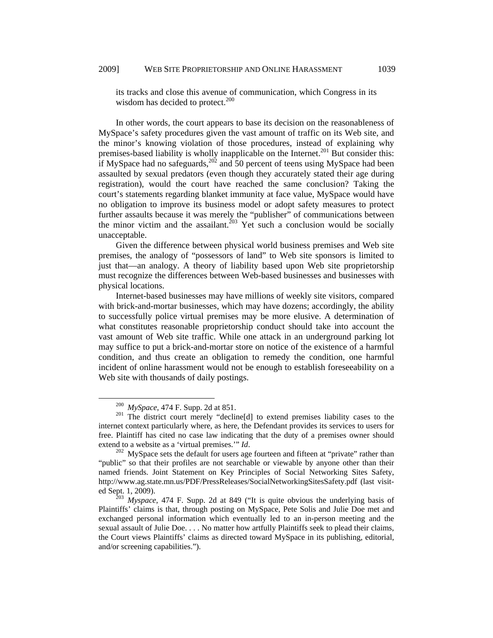its tracks and close this avenue of communication, which Congress in its wisdom has decided to protect.<sup>200</sup>

In other words, the court appears to base its decision on the reasonableness of MySpace's safety procedures given the vast amount of traffic on its Web site, and the minor's knowing violation of those procedures, instead of explaining why premises-based liability is wholly inapplicable on the Internet.<sup>201</sup> But consider this: if MySpace had no safeguards,  $202$  and 50 percent of teens using MySpace had been assaulted by sexual predators (even though they accurately stated their age during registration), would the court have reached the same conclusion? Taking the court's statements regarding blanket immunity at face value, MySpace would have no obligation to improve its business model or adopt safety measures to protect further assaults because it was merely the "publisher" of communications between the minor victim and the assailant.<sup>203</sup> Yet such a conclusion would be socially unacceptable.

Given the difference between physical world business premises and Web site premises, the analogy of "possessors of land" to Web site sponsors is limited to just that—an analogy. A theory of liability based upon Web site proprietorship must recognize the differences between Web-based businesses and businesses with physical locations.

Internet-based businesses may have millions of weekly site visitors, compared with brick-and-mortar businesses, which may have dozens; accordingly, the ability to successfully police virtual premises may be more elusive. A determination of what constitutes reasonable proprietorship conduct should take into account the vast amount of Web site traffic. While one attack in an underground parking lot may suffice to put a brick-and-mortar store on notice of the existence of a harmful condition, and thus create an obligation to remedy the condition, one harmful incident of online harassment would not be enough to establish foreseeability on a Web site with thousands of daily postings.

<sup>&</sup>lt;sup>200</sup> *MySpace*, 474 F. Supp. 2d at 851.<br><sup>201</sup> The district court merely "decline[d] to extend premises liability cases to the internet context particularly where, as here, the Defendant provides its services to users for free. Plaintiff has cited no case law indicating that the duty of a premises owner should extend to a website as a 'virtual premises.'" *Id*.<br><sup>202</sup> MySpace sets the default for users age fourteen and fifteen at "private" rather than

<sup>&</sup>quot;public" so that their profiles are not searchable or viewable by anyone other than their named friends. Joint Statement on Key Principles of Social Networking Sites Safety, http://www.ag.state.mn.us/PDF/PressReleases/SocialNetworkingSitesSafety.pdf (last visit-<br>ed Sept. 1, 2009).<br><sup>203</sup> Mysnace, 474 E. Supp. 2d at 849 ("It is quite obvious the underlying basis of

Myspace, 474 F. Supp. 2d at 849 ("It is quite obvious the underlying basis of Plaintiffs' claims is that, through posting on MySpace, Pete Solis and Julie Doe met and exchanged personal information which eventually led to an in-person meeting and the sexual assault of Julie Doe. . . . No matter how artfully Plaintiffs seek to plead their claims, the Court views Plaintiffs' claims as directed toward MySpace in its publishing, editorial, and/or screening capabilities.").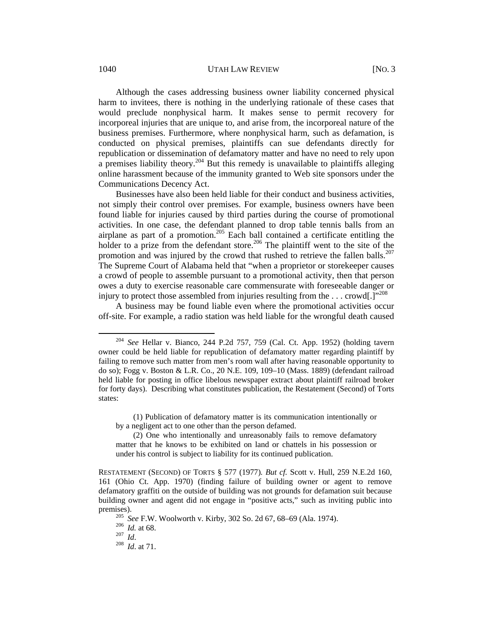#### 1040 UTAH LAW REVIEW [NO. 3]

Although the cases addressing business owner liability concerned physical harm to invitees, there is nothing in the underlying rationale of these cases that would preclude nonphysical harm. It makes sense to permit recovery for incorporeal injuries that are unique to, and arise from, the incorporeal nature of the business premises. Furthermore, where nonphysical harm, such as defamation, is conducted on physical premises, plaintiffs can sue defendants directly for republication or dissemination of defamatory matter and have no need to rely upon a premises liability theory.<sup>204</sup> But this remedy is unavailable to plaintiffs alleging online harassment because of the immunity granted to Web site sponsors under the Communications Decency Act.

Businesses have also been held liable for their conduct and business activities, not simply their control over premises. For example, business owners have been found liable for injuries caused by third parties during the course of promotional activities. In one case, the defendant planned to drop table tennis balls from an airplane as part of a promotion.<sup>205</sup> Each ball contained a certificate entitling the holder to a prize from the defendant store.<sup>206</sup> The plaintiff went to the site of the promotion and was injured by the crowd that rushed to retrieve the fallen balls.<sup>207</sup> The Supreme Court of Alabama held that "when a proprietor or storekeeper causes a crowd of people to assemble pursuant to a promotional activity, then that person owes a duty to exercise reasonable care commensurate with foreseeable danger or injury to protect those assembled from injuries resulting from the  $\dots$  crowd[.] $"^{208}$ 

A business may be found liable even where the promotional activities occur off-site. For example, a radio station was held liable for the wrongful death caused

(1) Publication of defamatory matter is its communication intentionally or by a negligent act to one other than the person defamed.

 <sup>204</sup> *See* Hellar v. Bianco, 244 P.2d 757, 759 (Cal. Ct. App. 1952) (holding tavern owner could be held liable for republication of defamatory matter regarding plaintiff by failing to remove such matter from men's room wall after having reasonable opportunity to do so); Fogg v. Boston & L.R. Co., 20 N.E. 109, 109–10 (Mass. 1889) (defendant railroad held liable for posting in office libelous newspaper extract about plaintiff railroad broker for forty days). Describing what constitutes publication, the Restatement (Second) of Torts states:

<sup>(2)</sup> One who intentionally and unreasonably fails to remove defamatory matter that he knows to be exhibited on land or chattels in his possession or under his control is subject to liability for its continued publication.

RESTATEMENT (SECOND) OF TORTS § 577 (1977)*. But cf.* Scott v. Hull, 259 N.E.2d 160, 161 (Ohio Ct. App. 1970) (finding failure of building owner or agent to remove defamatory graffiti on the outside of building was not grounds for defamation suit because building owner and agent did not engage in "positive acts," such as inviting public into

premises).<br><sup>205</sup> See F.W. Woolworth v. Kirby, 302 So. 2d 67, 68–69 (Ala. 1974).<br><sup>206</sup> *Id.* at 68.<br><sup>207</sup> *Id.* at 71.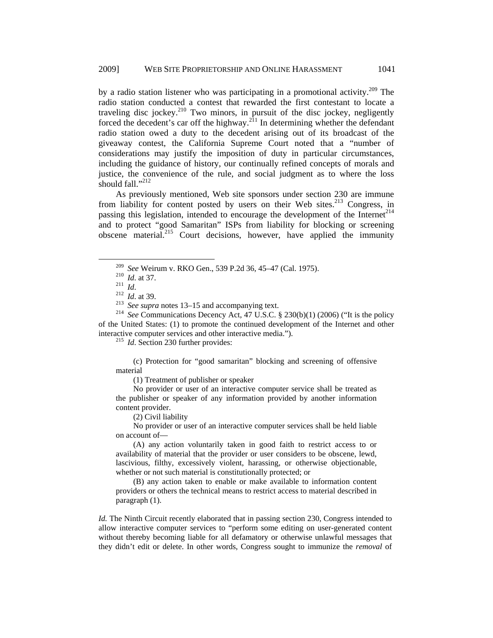by a radio station listener who was participating in a promotional activity.<sup>209</sup> The radio station conducted a contest that rewarded the first contestant to locate a traveling disc jockey.<sup>210</sup> Two minors, in pursuit of the disc jockey, negligently forced the decedent's car off the highway.<sup>211</sup> In determining whether the defendant radio station owed a duty to the decedent arising out of its broadcast of the giveaway contest, the California Supreme Court noted that a "number of considerations may justify the imposition of duty in particular circumstances, including the guidance of history, our continually refined concepts of morals and justice, the convenience of the rule, and social judgment as to where the loss should fall." $^{212}$ 

As previously mentioned, Web site sponsors under section 230 are immune from liability for content posted by users on their Web sites.<sup>213</sup> Congress, in passing this legislation, intended to encourage the development of the Internet<sup>214</sup> and to protect "good Samaritan" ISPs from liability for blocking or screening obscene material.<sup>215</sup> Court decisions, however, have applied the immunity

(c) Protection for "good samaritan" blocking and screening of offensive material

(1) Treatment of publisher or speaker

No provider or user of an interactive computer service shall be treated as the publisher or speaker of any information provided by another information content provider.

(2) Civil liability

No provider or user of an interactive computer services shall be held liable on account of—

(A) any action voluntarily taken in good faith to restrict access to or availability of material that the provider or user considers to be obscene, lewd, lascivious, filthy, excessively violent, harassing, or otherwise objectionable, whether or not such material is constitutionally protected; or

(B) any action taken to enable or make available to information content providers or others the technical means to restrict access to material described in paragraph (1).

*Id.* The Ninth Circuit recently elaborated that in passing section 230, Congress intended to allow interactive computer services to "perform some editing on user-generated content without thereby becoming liable for all defamatory or otherwise unlawful messages that they didn't edit or delete. In other words, Congress sought to immunize the *removal* of

<sup>&</sup>lt;sup>209</sup> See Weirum v. RKO Gen., 539 P.2d 36, 45–47 (Cal. 1975).<br><sup>210</sup> *Id.* at 37.<br><sup>211</sup> *Id.*<br><sup>212</sup> *Id.* at 39.<br><sup>213</sup> See supra notes 13–15 and accompanying text.<br><sup>213</sup> See Communications Decency Act, 47 U.S.C. § 230(b)(1 of the United States: (1) to promote the continued development of the Internet and other interactive computer services and other interactive media."). 215 *Id*. Section 230 further provides: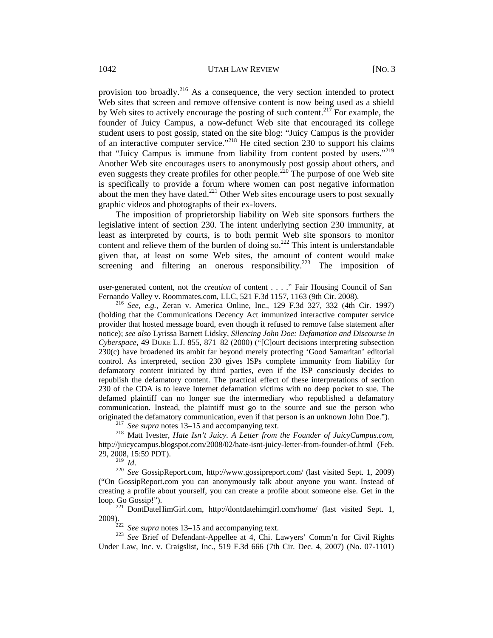provision too broadly.216 As a consequence, the very section intended to protect Web sites that screen and remove offensive content is now being used as a shield by Web sites to actively encourage the posting of such content.<sup>217</sup> For example, the founder of Juicy Campus, a now-defunct Web site that encouraged its college student users to post gossip, stated on the site blog: "Juicy Campus is the provider of an interactive computer service."218 He cited section 230 to support his claims that "Juicy Campus is immune from liability from content posted by users."<sup>219</sup> Another Web site encourages users to anonymously post gossip about others, and even suggests they create profiles for other people.<sup>220</sup> The purpose of one Web site is specifically to provide a forum where women can post negative information about the men they have dated.<sup>221</sup> Other Web sites encourage users to post sexually graphic videos and photographs of their ex-lovers.

The imposition of proprietorship liability on Web site sponsors furthers the legislative intent of section 230. The intent underlying section 230 immunity, at least as interpreted by courts, is to both permit Web site sponsors to monitor content and relieve them of the burden of doing so.<sup>222</sup> This intent is understandable given that, at least on some Web sites, the amount of content would make screening and filtering an onerous responsibility.<sup>223</sup> The imposition of

user-generated content, not the *creation* of content . . . ." Fair Housing Council of San Fernando Valley v. Roommates.com, LLC, 521 F.3d 1157, 1163 (9th Cir. 2008). 216 *See, e.g.*, Zeran v. America Online, Inc., 129 F.3d 327, 332 (4th Cir. 1997)

(holding that the Communications Decency Act immunized interactive computer service provider that hosted message board, even though it refused to remove false statement after notice); *see also* Lyrissa Barnett Lidsky, *Silencing John Doe: Defamation and Discourse in Cyberspace*, 49 DUKE L.J. 855, 871–82 (2000) ("[C]ourt decisions interpreting subsection 230(c) have broadened its ambit far beyond merely protecting 'Good Samaritan' editorial control. As interpreted, section 230 gives ISPs complete immunity from liability for defamatory content initiated by third parties, even if the ISP consciously decides to republish the defamatory content. The practical effect of these interpretations of section 230 of the CDA is to leave Internet defamation victims with no deep pocket to sue. The defamed plaintiff can no longer sue the intermediary who republished a defamatory communication. Instead, the plaintiff must go to the source and sue the person who originated the defamatory communication, even if that person is an unknown John Doe.").<br><sup>217</sup> See supra notes 13–15 and accompanying text.<br><sup>218</sup> Matt Ivester, *Hate Isn't Juicy*. A Letter from the Founder of JuicyCampus.co

http://juicycampus.blogspot.com/2008/02/hate-isnt-juicy-letter-from-founder-of.html (Feb. 29, 2008, 15:59 PDT).<br>
<sup>219</sup> Id.

<sup>219</sup>*Id*. 220 *See* GossipReport.com, http://www.gossipreport.com/ (last visited Sept. 1, 2009) ("On GossipReport.com you can anonymously talk about anyone you want. Instead of creating a profile about yourself, you can create a profile about someone else. Get in the loop. Go Gossip!"). 221 DontDateHimGirl.com, http://dontdatehimgirl.com/home/ (last visited Sept. 1,

2009). 222 *See supra* notes 13–15 and accompanying text. 223 *See* Brief of Defendant-Appellee at 4, Chi. Lawyers' Comm'n for Civil Rights

Under Law, Inc. v. Craigslist, Inc., 519 F.3d 666 (7th Cir. Dec. 4, 2007) (No. 07-1101)

 $\overline{a}$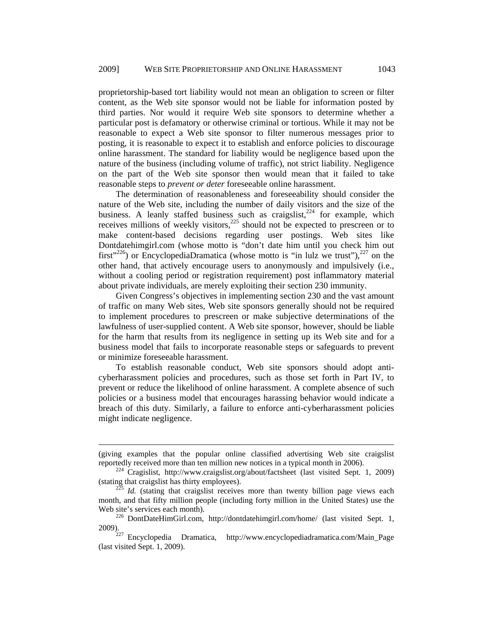proprietorship-based tort liability would not mean an obligation to screen or filter content, as the Web site sponsor would not be liable for information posted by third parties. Nor would it require Web site sponsors to determine whether a particular post is defamatory or otherwise criminal or tortious. While it may not be reasonable to expect a Web site sponsor to filter numerous messages prior to posting, it is reasonable to expect it to establish and enforce policies to discourage online harassment. The standard for liability would be negligence based upon the nature of the business (including volume of traffic), not strict liability. Negligence on the part of the Web site sponsor then would mean that it failed to take reasonable steps to *prevent or deter* foreseeable online harassment.

The determination of reasonableness and foreseeability should consider the nature of the Web site, including the number of daily visitors and the size of the business. A leanly staffed business such as craigslist,<sup>224</sup> for example, which receives millions of weekly visitors, $225$  should not be expected to prescreen or to make content-based decisions regarding user postings. Web sites like Dontdatehimgirl.com (whose motto is "don't date him until you check him out first"<sup>226</sup>) or EncyclopediaDramatica (whose motto is "in lulz we trust"),  $227$  on the other hand, that actively encourage users to anonymously and impulsively (i.e., without a cooling period or registration requirement) post inflammatory material about private individuals, are merely exploiting their section 230 immunity.

Given Congress's objectives in implementing section 230 and the vast amount of traffic on many Web sites, Web site sponsors generally should not be required to implement procedures to prescreen or make subjective determinations of the lawfulness of user-supplied content. A Web site sponsor, however, should be liable for the harm that results from its negligence in setting up its Web site and for a business model that fails to incorporate reasonable steps or safeguards to prevent or minimize foreseeable harassment.

To establish reasonable conduct, Web site sponsors should adopt anticyberharassment policies and procedures, such as those set forth in Part IV, to prevent or reduce the likelihood of online harassment. A complete absence of such policies or a business model that encourages harassing behavior would indicate a breach of this duty. Similarly, a failure to enforce anti-cyberharassment policies might indicate negligence.

 $\overline{a}$ 

<sup>(</sup>giving examples that the popular online classified advertising Web site craigslist

reportedly received more than ten million new notices in a typical month in 2006).<br><sup>224</sup> Cragislist, http://www.craigslist.org/about/factsheet (last visited Sept. 1, 2009) (stating that craigslist has thirty employees).

*Id.* (stating that craigslist receives more than twenty billion page views each month, and that fifty million people (including forty million in the United States) use the Web site's services each month).<br><sup>226</sup> DontDateHimGirl.com, http://dontdatehimgirl.com/home/ (last visited Sept. 1,

<sup>2009). 227</sup> Encyclopedia Dramatica, http://www.encyclopediadramatica.com/Main\_Page

<sup>(</sup>last visited Sept. 1, 2009).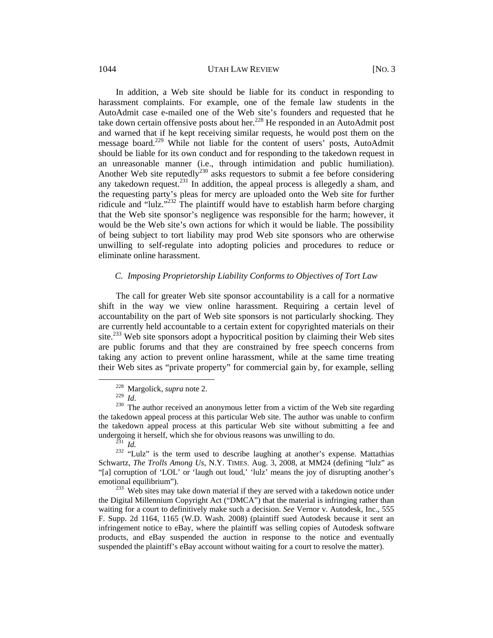#### 1044 UTAH LAW REVIEW [NO. 3]

In addition, a Web site should be liable for its conduct in responding to harassment complaints. For example, one of the female law students in the AutoAdmit case e-mailed one of the Web site's founders and requested that he take down certain offensive posts about her.<sup>228</sup> He responded in an AutoAdmit post and warned that if he kept receiving similar requests, he would post them on the message board.<sup>229</sup> While not liable for the content of users' posts, AutoAdmit should be liable for its own conduct and for responding to the takedown request in an unreasonable manner (i.e., through intimidation and public humiliation). Another Web site reputedly<sup>230</sup> asks requestors to submit a fee before considering any takedown request.<sup>231</sup> In addition, the appeal process is allegedly a sham, and the requesting party's pleas for mercy are uploaded onto the Web site for further ridicule and "lulz."232 The plaintiff would have to establish harm before charging that the Web site sponsor's negligence was responsible for the harm; however, it would be the Web site's own actions for which it would be liable. The possibility of being subject to tort liability may prod Web site sponsors who are otherwise unwilling to self-regulate into adopting policies and procedures to reduce or eliminate online harassment.

## *C. Imposing Proprietorship Liability Conforms to Objectives of Tort Law*

The call for greater Web site sponsor accountability is a call for a normative shift in the way we view online harassment. Requiring a certain level of accountability on the part of Web site sponsors is not particularly shocking. They are currently held accountable to a certain extent for copyrighted materials on their site.<sup>233</sup> Web site sponsors adopt a hypocritical position by claiming their Web sites are public forums and that they are constrained by free speech concerns from taking any action to prevent online harassment, while at the same time treating their Web sites as "private property" for commercial gain by, for example, selling

 <sup>228</sup> Margolick, *supra* note 2.

<sup>&</sup>lt;sup>230</sup> The author received an anonymous letter from a victim of the Web site regarding the takedown appeal process at this particular Web site. The author was unable to confirm the takedown appeal process at this particular Web site without submitting a fee and undergoing it herself, which she for obvious reasons was unwilling to do.<br><sup>231</sup> *Id.* <sup>232</sup> "Lulz" is the term used to describe laughing at another's expense. Mattathias

Schwartz, *The Trolls Among Us*, N.Y. TIMES, Aug. 3, 2008, at MM24 (defining "lulz" as "[a] corruption of 'LOL' or 'laugh out loud,' 'lulz' means the joy of disrupting another's emotional equilibrium").<br><sup>233</sup> Web sites may take down material if they are served with a takedown notice under

the Digital Millennium Copyright Act ("DMCA") that the material is infringing rather than waiting for a court to definitively make such a decision. *See* Vernor v. Autodesk, Inc., 555 F. Supp. 2d 1164, 1165 (W.D. Wash. 2008) (plaintiff sued Autodesk because it sent an infringement notice to eBay, where the plaintiff was selling copies of Autodesk software products, and eBay suspended the auction in response to the notice and eventually suspended the plaintiff's eBay account without waiting for a court to resolve the matter).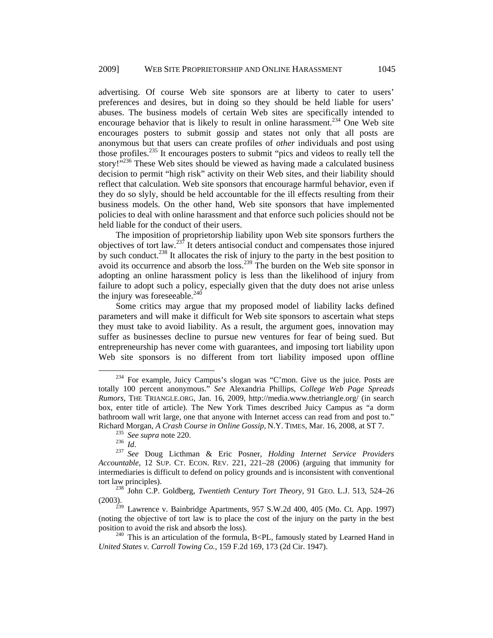advertising. Of course Web site sponsors are at liberty to cater to users' preferences and desires, but in doing so they should be held liable for users' abuses. The business models of certain Web sites are specifically intended to encourage behavior that is likely to result in online harassment.<sup>234</sup> One Web site encourages posters to submit gossip and states not only that all posts are anonymous but that users can create profiles of *other* individuals and post using those profiles.235 It encourages posters to submit "pics and videos to really tell the story!"<sup>236</sup> These Web sites should be viewed as having made a calculated business decision to permit "high risk" activity on their Web sites, and their liability should reflect that calculation. Web site sponsors that encourage harmful behavior, even if they do so slyly, should be held accountable for the ill effects resulting from their business models. On the other hand, Web site sponsors that have implemented policies to deal with online harassment and that enforce such policies should not be held liable for the conduct of their users.

The imposition of proprietorship liability upon Web site sponsors furthers the objectives of tort law. $^{237}$  It deters antisocial conduct and compensates those injured by such conduct.<sup>238</sup> It allocates the risk of injury to the party in the best position to avoid its occurrence and absorb the loss.239 The burden on the Web site sponsor in adopting an online harassment policy is less than the likelihood of injury from failure to adopt such a policy, especially given that the duty does not arise unless the injury was foreseeable. $240$ 

Some critics may argue that my proposed model of liability lacks defined parameters and will make it difficult for Web site sponsors to ascertain what steps they must take to avoid liability. As a result, the argument goes, innovation may suffer as businesses decline to pursue new ventures for fear of being sued. But entrepreneurship has never come with guarantees, and imposing tort liability upon Web site sponsors is no different from tort liability imposed upon offline

 <sup>234</sup> For example, Juicy Campus's slogan was "C'mon. Give us the juice. Posts are totally 100 percent anonymous." *See* Alexandria Phillips, *College Web Page Spreads Rumors*, THE TRIANGLE.ORG, Jan. 16, 2009, http://media.www.thetriangle.org/ (in search box, enter title of article). The New York Times described Juicy Campus as "a dorm bathroom wall writ large, one that anyone with Internet access can read from and post to." Richard Morgan, *A Crash Course in Online Gossip,* N.Y. TIMES, Mar. 16, 2008, at ST 7. 235 *See supra* note 220. 236 *Id*. 237 *See* Doug Licthman & Eric Posner, *Holding Internet Service Providers* 

*Accountable*, 12 SUP. CT. ECON. REV. 221, 221–28 (2006) (arguing that immunity for intermediaries is difficult to defend on policy grounds and is inconsistent with conventional tort law principles). 238 John C.P. Goldberg, *Twentieth Century Tort Theory*, 91 GEO. L.J. 513, 524–26

<sup>(2003).</sup> 

 $^{239}$  Lawrence v. Bainbridge Apartments, 957 S.W.2d 400, 405 (Mo. Ct. App. 1997) (noting the objective of tort law is to place the cost of the injury on the party in the best

<sup>&</sup>lt;sup>240</sup> This is an articulation of the formula, B<PL, famously stated by Learned Hand in *United States v. Carroll Towing Co.*, 159 F.2d 169, 173 (2d Cir. 1947).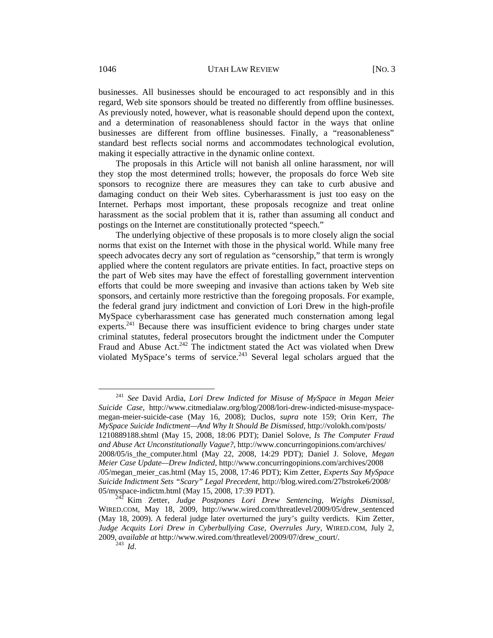businesses. All businesses should be encouraged to act responsibly and in this regard, Web site sponsors should be treated no differently from offline businesses. As previously noted, however, what is reasonable should depend upon the context, and a determination of reasonableness should factor in the ways that online businesses are different from offline businesses. Finally, a "reasonableness" standard best reflects social norms and accommodates technological evolution, making it especially attractive in the dynamic online context.

The proposals in this Article will not banish all online harassment, nor will they stop the most determined trolls; however, the proposals do force Web site sponsors to recognize there are measures they can take to curb abusive and damaging conduct on their Web sites. Cyberharassment is just too easy on the Internet. Perhaps most important, these proposals recognize and treat online harassment as the social problem that it is, rather than assuming all conduct and postings on the Internet are constitutionally protected "speech."

The underlying objective of these proposals is to more closely align the social norms that exist on the Internet with those in the physical world. While many free speech advocates decry any sort of regulation as "censorship," that term is wrongly applied where the content regulators are private entities. In fact, proactive steps on the part of Web sites may have the effect of forestalling government intervention efforts that could be more sweeping and invasive than actions taken by Web site sponsors, and certainly more restrictive than the foregoing proposals. For example, the federal grand jury indictment and conviction of Lori Drew in the high-profile MySpace cyberharassment case has generated much consternation among legal experts.<sup>241</sup> Because there was insufficient evidence to bring charges under state criminal statutes, federal prosecutors brought the indictment under the Computer Fraud and Abuse Act.<sup>242</sup> The indictment stated the Act was violated when Drew violated MySpace's terms of service. $243$  Several legal scholars argued that the

 <sup>241</sup> *See* David Ardia, *Lori Drew Indicted for Misuse of MySpace in Megan Meier Suicide Case*, http://www.citmedialaw.org/blog/2008/lori-drew-indicted-misuse-myspacemegan-meier-suicide-case (May 16, 2008); Duclos, *supra* note 159; Orin Kerr, *The MySpace Suicide Indictment—And Why It Should Be Dismissed*, http://volokh.com/posts/ 1210889188.shtml (May 15, 2008, 18:06 PDT); Daniel Solove, *Is The Computer Fraud and Abuse Act Unconstitutionally Vague?*, http://www.concurringopinions.com/archives/ 2008/05/is\_the\_computer.html (May 22, 2008, 14:29 PDT); Daniel J. Solove, *Megan Meier Case Update—Drew Indicted*, http://www.concurringopinions.com/archives/2008 /05/megan\_meier\_cas.html (May 15, 2008, 17:46 PDT); Kim Zetter, *Experts Say MySpace Suicide Indictment Sets "Scary" Legal Precedent*, http://blog.wired.com/27bstroke6/2008/

<sup>05/</sup>myspace-indictm.html (May 15, 2008, 17:39 PDT). 242 Kim Zetter, *Judge Postpones Lori Drew Sentencing, Weighs Dismissal*, WIRED.COM, May 18, 2009, http://www.wired.com/threatlevel/2009/05/drew\_sentenced (May 18, 2009). A federal judge later overturned the jury's guilty verdicts. Kim Zetter, *Judge Acquits Lori Drew in Cyberbullying Case, Overrules Jury*, WIRED.COM, July 2, 2009, *available at* http://www.wired.com/threatlevel/2009/07/drew\_court/. 243 *Id*.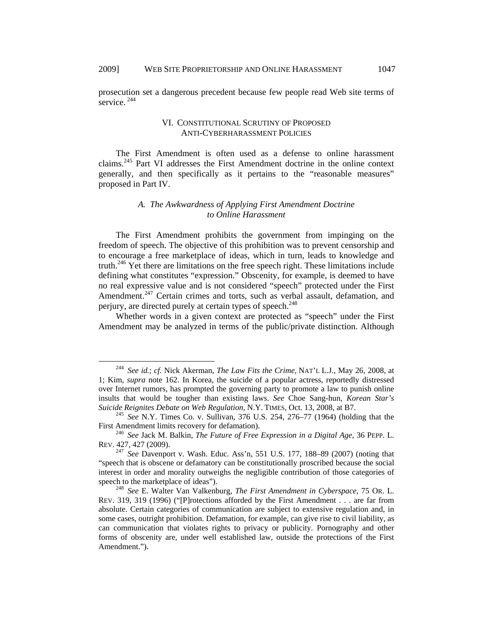prosecution set a dangerous precedent because few people read Web site terms of service.  $244$ 

## VI. CONSTITUTIONAL SCRUTINY OF PROPOSED ANTI-CYBERHARASSMENT POLICIES

The First Amendment is often used as a defense to online harassment claims.245 Part VI addresses the First Amendment doctrine in the online context generally, and then specifically as it pertains to the "reasonable measures" proposed in Part IV.

## *A. The Awkwardness of Applying First Amendment Doctrine to Online Harassment*

The First Amendment prohibits the government from impinging on the freedom of speech. The objective of this prohibition was to prevent censorship and to encourage a free marketplace of ideas, which in turn, leads to knowledge and truth.<sup>246</sup> Yet there are limitations on the free speech right. These limitations include defining what constitutes "expression." Obscenity, for example, is deemed to have no real expressive value and is not considered "speech" protected under the First Amendment.<sup>247</sup> Certain crimes and torts, such as verbal assault, defamation, and perjury, are directed purely at certain types of speech.<sup>248</sup>

Whether words in a given context are protected as "speech" under the First Amendment may be analyzed in terms of the public/private distinction. Although

 <sup>244</sup> *See id.*; *cf.* Nick Akerman, *The Law Fits the Crime*, NAT'L L.J., May 26, 2008, at 1; Kim, *supra* note 162. In Korea, the suicide of a popular actress, reportedly distressed over Internet rumors, has prompted the governing party to promote a law to punish online insults that would be tougher than existing laws. *See* Choe Sang-hun, *Korean Star's* 

<sup>&</sup>lt;sup>245</sup> *See N.Y. Times Co. v. Sullivan, 376 U.S. 254, 276–77 (1964) (holding that the* First Amendment limits recovery for defamation). 246 *See* Jack M. Balkin, *The Future of Free Expression in a Digital Age*, 36 PEPP. L.

REV. 427, 427 (2009).

<sup>247</sup> *See* Davenport v. Wash. Educ. Ass'n, 551 U.S. 177, 188–89 (2007) (noting that "speech that is obscene or defamatory can be constitutionally proscribed because the social interest in order and morality outweighs the negligible contribution of those categories of speech to the marketplace of ideas"). 248 *See* E. Walter Van Valkenburg, *The First Amendment in Cyberspace*, 75 OR. L.

REV. 319, 319 (1996) ("[P]rotections afforded by the First Amendment . . . are far from absolute. Certain categories of communication are subject to extensive regulation and, in some cases, outright prohibition. Defamation, for example, can give rise to civil liability, as can communication that violates rights to privacy or publicity. Pornography and other forms of obscenity are, under well established law, outside the protections of the First Amendment.").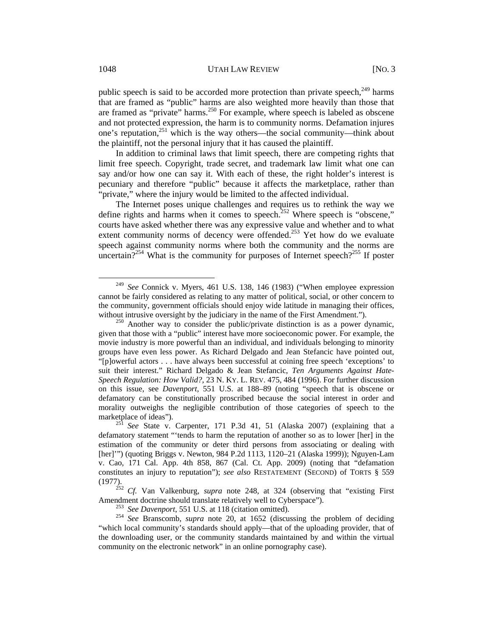public speech is said to be accorded more protection than private speech, $^{249}$  harms that are framed as "public" harms are also weighted more heavily than those that are framed as "private" harms.<sup>250</sup> For example, where speech is labeled as obscene and not protected expression, the harm is to community norms. Defamation injures one's reputation,<sup>251</sup> which is the way others—the social community—think about the plaintiff, not the personal injury that it has caused the plaintiff.

In addition to criminal laws that limit speech, there are competing rights that limit free speech. Copyright, trade secret, and trademark law limit what one can say and/or how one can say it. With each of these, the right holder's interest is pecuniary and therefore "public" because it affects the marketplace, rather than "private," where the injury would be limited to the affected individual.

The Internet poses unique challenges and requires us to rethink the way we define rights and harms when it comes to speech.<sup>252</sup> Where speech is "obscene," courts have asked whether there was any expressive value and whether and to what extent community norms of decency were offended.<sup>253</sup> Yet how do we evaluate speech against community norms where both the community and the norms are uncertain?<sup>254</sup> What is the community for purposes of Internet speech?<sup>255</sup> If poster

 <sup>249</sup> *See* Connick v. Myers, 461 U.S. 138, 146 (1983) ("When employee expression cannot be fairly considered as relating to any matter of political, social, or other concern to the community, government officials should enjoy wide latitude in managing their offices, without intrusive oversight by the judiciary in the name of the First Amendment.").<br><sup>250</sup> Another way to consider the public/private distinction is as a power dynamic,

given that those with a "public" interest have more socioeconomic power. For example, the movie industry is more powerful than an individual, and individuals belonging to minority groups have even less power. As Richard Delgado and Jean Stefancic have pointed out, "[p]owerful actors . . . have always been successful at coining free speech 'exceptions' to suit their interest." Richard Delgado & Jean Stefancic, *Ten Arguments Against Hate-Speech Regulation: How Valid?*, 23 N. KY. L. REV. 475, 484 (1996). For further discussion on this issue, see *Davenport*, 551 U.S. at 188–89 (noting "speech that is obscene or defamatory can be constitutionally proscribed because the social interest in order and morality outweighs the negligible contribution of those categories of speech to the marketplace of ideas").<br><sup>251</sup> *See* State v. Carpenter, 171 P.3d 41, 51 (Alaska 2007) (explaining that a

defamatory statement "'tends to harm the reputation of another so as to lower [her] in the estimation of the community or deter third persons from associating or dealing with [her]'") (quoting Briggs v. Newton, 984 P.2d 1113, 1120–21 (Alaska 1999)); Nguyen-Lam v. Cao, 171 Cal. App. 4th 858, 867 (Cal. Ct. App. 2009) (noting that "defamation constitutes an injury to reputation"); *see also* RESTATEMENT (SECOND) of TORTS § 559

<sup>(1977).</sup> <sup>252</sup>*Cf.* Van Valkenburg, *supra* note 248, at 324 (observing that "existing First

<sup>&</sup>lt;sup>253</sup> See Davenport, 551 U.S. at 118 (citation omitted).<br><sup>254</sup> See Branscomb, *supra* note 20, at 1652 (discussing the problem of deciding "which local community's standards should apply—that of the uploading provider, that of the downloading user, or the community standards maintained by and within the virtual community on the electronic network" in an online pornography case).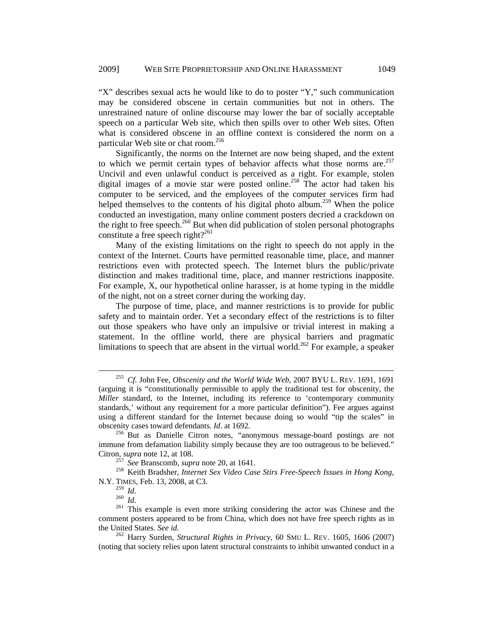"X" describes sexual acts he would like to do to poster "Y," such communication may be considered obscene in certain communities but not in others. The unrestrained nature of online discourse may lower the bar of socially acceptable speech on a particular Web site, which then spills over to other Web sites. Often what is considered obscene in an offline context is considered the norm on a particular Web site or chat room.<sup>256</sup>

Significantly, the norms on the Internet are now being shaped, and the extent to which we permit certain types of behavior affects what those norms are.<sup>257</sup> Uncivil and even unlawful conduct is perceived as a right. For example, stolen digital images of a movie star were posted online.<sup>258</sup> The actor had taken his computer to be serviced, and the employees of the computer services firm had helped themselves to the contents of his digital photo album.<sup>259</sup> When the police conducted an investigation, many online comment posters decried a crackdown on the right to free speech.<sup>260</sup> But when did publication of stolen personal photographs constitute a free speech right?<sup>261</sup>

Many of the existing limitations on the right to speech do not apply in the context of the Internet. Courts have permitted reasonable time, place, and manner restrictions even with protected speech. The Internet blurs the public/private distinction and makes traditional time, place, and manner restrictions inapposite. For example, X, our hypothetical online harasser, is at home typing in the middle of the night, not on a street corner during the working day.

The purpose of time, place, and manner restrictions is to provide for public safety and to maintain order. Yet a secondary effect of the restrictions is to filter out those speakers who have only an impulsive or trivial interest in making a statement. In the offline world, there are physical barriers and pragmatic limitations to speech that are absent in the virtual world.<sup>262</sup> For example, a speaker

 <sup>255</sup> *Cf.* John Fee, *Obscenity and the World Wide Web*, 2007 BYU L. REV. 1691, 1691 (arguing it is "constitutionally permissible to apply the traditional test for obscenity, the *Miller* standard, to the Internet, including its reference to 'contemporary community standards,' without any requirement for a more particular definition"). Fee argues against using a different standard for the Internet because doing so would "tip the scales" in obscenity cases toward defendants. *Id*. at 1692. 256 But as Danielle Citron notes, "anonymous message-board postings are not

immune from defamation liability simply because they are too outrageous to be believed."

Citron, *supra* note 12, at 108. 257 *See* Branscomb, *supra* note 20, at 1641. 258 Keith Bradsher, *Internet Sex Video Case Stirs Free-Speech Issues in Hong Kong*, N.Y. TIMES, Feb. 13, 2008, at C3.<br><sup>259</sup> Id.

<sup>&</sup>lt;sup>260</sup> *Id.*<br><sup>261</sup> This example is even more striking considering the actor was Chinese and the comment posters appeared to be from China, which does not have free speech rights as in the United States. *See id.* 262 Harry Surden, *Structural Rights in Privacy*, 60 SMU L. REV. 1605, 1606 (2007)

<sup>(</sup>noting that society relies upon latent structural constraints to inhibit unwanted conduct in a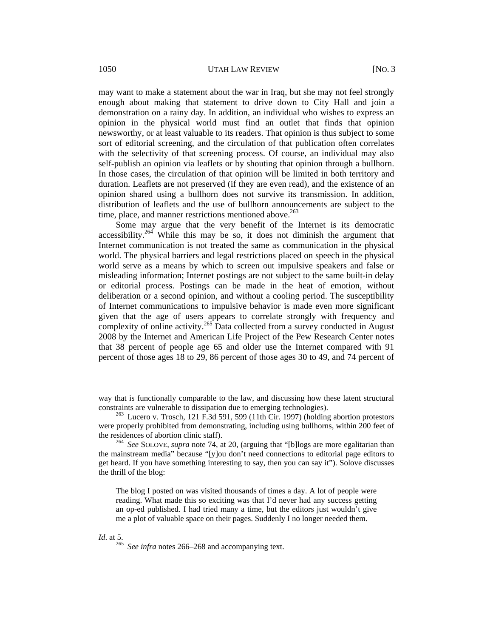may want to make a statement about the war in Iraq, but she may not feel strongly enough about making that statement to drive down to City Hall and join a demonstration on a rainy day. In addition, an individual who wishes to express an opinion in the physical world must find an outlet that finds that opinion newsworthy, or at least valuable to its readers. That opinion is thus subject to some sort of editorial screening, and the circulation of that publication often correlates with the selectivity of that screening process. Of course, an individual may also self-publish an opinion via leaflets or by shouting that opinion through a bullhorn. In those cases, the circulation of that opinion will be limited in both territory and duration. Leaflets are not preserved (if they are even read), and the existence of an opinion shared using a bullhorn does not survive its transmission. In addition, distribution of leaflets and the use of bullhorn announcements are subject to the time, place, and manner restrictions mentioned above.<sup>263</sup>

Some may argue that the very benefit of the Internet is its democratic accessibility.264 While this may be so, it does not diminish the argument that Internet communication is not treated the same as communication in the physical world. The physical barriers and legal restrictions placed on speech in the physical world serve as a means by which to screen out impulsive speakers and false or misleading information; Internet postings are not subject to the same built-in delay or editorial process. Postings can be made in the heat of emotion, without deliberation or a second opinion, and without a cooling period. The susceptibility of Internet communications to impulsive behavior is made even more significant given that the age of users appears to correlate strongly with frequency and complexity of online activity.265 Data collected from a survey conducted in August 2008 by the Internet and American Life Project of the Pew Research Center notes that 38 percent of people age 65 and older use the Internet compared with 91 percent of those ages 18 to 29, 86 percent of those ages 30 to 49, and 74 percent of

The blog I posted on was visited thousands of times a day. A lot of people were reading. What made this so exciting was that I'd never had any success getting an op-ed published. I had tried many a time, but the editors just wouldn't give me a plot of valuable space on their pages. Suddenly I no longer needed them.

 $\overline{a}$ 

*Id.* at 5. <sup>265</sup> *See infra* notes 266–268 and accompanying text.

way that is functionally comparable to the law, and discussing how these latent structural constraints are vulnerable to dissipation due to emerging technologies).

 $263$  Lucero v. Trosch, 121 F.3d 591, 599 (11th Cir. 1997) (holding abortion protestors were properly prohibited from demonstrating, including using bullhorns, within 200 feet of the residences of abortion clinic staff).<br><sup>264</sup> See SOLOVE, *supra* note 74, at 20, (arguing that "[b]logs are more egalitarian than

the mainstream media" because "[y]ou don't need connections to editorial page editors to get heard. If you have something interesting to say, then you can say it"). Solove discusses the thrill of the blog: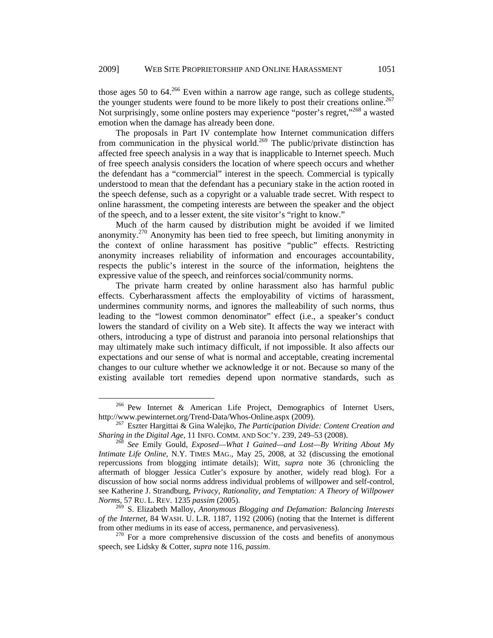those ages 50 to  $64.^{266}$  Even within a narrow age range, such as college students, the younger students were found to be more likely to post their creations online.<sup>267</sup> Not surprisingly, some online posters may experience "poster's regret,"<sup>268</sup> a wasted emotion when the damage has already been done.

The proposals in Part IV contemplate how Internet communication differs from communication in the physical world.<sup>269</sup> The public/private distinction has affected free speech analysis in a way that is inapplicable to Internet speech. Much of free speech analysis considers the location of where speech occurs and whether the defendant has a "commercial" interest in the speech. Commercial is typically understood to mean that the defendant has a pecuniary stake in the action rooted in the speech defense, such as a copyright or a valuable trade secret. With respect to online harassment, the competing interests are between the speaker and the object of the speech, and to a lesser extent, the site visitor's "right to know."

Much of the harm caused by distribution might be avoided if we limited anonymity.270 Anonymity has been tied to free speech, but limiting anonymity in the context of online harassment has positive "public" effects. Restricting anonymity increases reliability of information and encourages accountability, respects the public's interest in the source of the information, heightens the expressive value of the speech, and reinforces social/community norms.

The private harm created by online harassment also has harmful public effects. Cyberharassment affects the employability of victims of harassment, undermines community norms, and ignores the malleability of such norms, thus leading to the "lowest common denominator" effect (i.e., a speaker's conduct lowers the standard of civility on a Web site). It affects the way we interact with others, introducing a type of distrust and paranoia into personal relationships that may ultimately make such intimacy difficult, if not impossible. It also affects our expectations and our sense of what is normal and acceptable, creating incremental changes to our culture whether we acknowledge it or not. Because so many of the existing available tort remedies depend upon normative standards, such as

269 S. Elizabeth Malloy, *Anonymous Blogging and Defamation: Balancing Interests of the Internet*, 84 WASH. U. L.R. 1187, 1192 (2006) (noting that the Internet is different

 <sup>266</sup> Pew Internet & American Life Project, Demographics of Internet Users,

http://www.pewinternet.org/Trend-Data/Whos-Online.aspx (2009).<br><sup>267</sup> Eszter Hargittai & Gina Walejko, *The Participation Divide: Content Creation and Sharing in the Digital Age*, 11 INFO. COMM. AND SOC'Y. 239, 249–53 (2008

<sup>&</sup>lt;sup>268</sup> See Emily Gould, *Exposed—What I Gained—and Lost—By Writing About My Intimate Life Online,* N.Y. TIMES MAG., May 25, 2008, at 32 (discussing the emotional repercussions from blogging intimate details); Witt, *supra* note 36 (chronicling the aftermath of blogger Jessica Cutler's exposure by another, widely read blog). For a discussion of how social norms address individual problems of willpower and self-control, see Katherine J. Strandburg, *Privacy, Rationality, and Temptation: A Theory of Willpower Norms*, 57 RU. L. REV. 1235 *passim* (2005).

 $270$  For a more comprehensive discussion of the costs and benefits of anonymous speech, see Lidsky & Cotter, *supra* note 116, *passim*.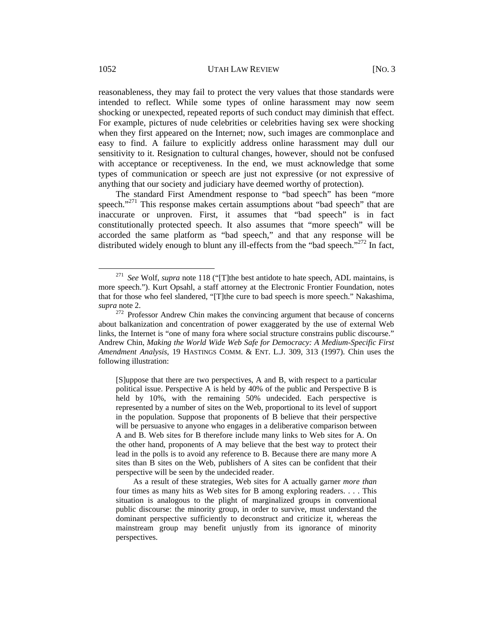reasonableness, they may fail to protect the very values that those standards were intended to reflect. While some types of online harassment may now seem shocking or unexpected, repeated reports of such conduct may diminish that effect. For example, pictures of nude celebrities or celebrities having sex were shocking when they first appeared on the Internet; now, such images are commonplace and easy to find. A failure to explicitly address online harassment may dull our sensitivity to it. Resignation to cultural changes, however, should not be confused with acceptance or receptiveness. In the end, we must acknowledge that some types of communication or speech are just not expressive (or not expressive of anything that our society and judiciary have deemed worthy of protection).

The standard First Amendment response to "bad speech" has been "more speech."<sup>271</sup> This response makes certain assumptions about "bad speech" that are inaccurate or unproven. First, it assumes that "bad speech" is in fact constitutionally protected speech. It also assumes that "more speech" will be accorded the same platform as "bad speech," and that any response will be distributed widely enough to blunt any ill-effects from the "bad speech."<sup>272</sup> In fact,

[S]uppose that there are two perspectives, A and B, with respect to a particular political issue. Perspective A is held by 40% of the public and Perspective B is held by 10%, with the remaining 50% undecided. Each perspective is represented by a number of sites on the Web, proportional to its level of support in the population. Suppose that proponents of B believe that their perspective will be persuasive to anyone who engages in a deliberative comparison between A and B. Web sites for B therefore include many links to Web sites for A. On the other hand, proponents of A may believe that the best way to protect their lead in the polls is to avoid any reference to B. Because there are many more A sites than B sites on the Web, publishers of A sites can be confident that their perspective will be seen by the undecided reader.

As a result of these strategies, Web sites for A actually garner *more than* four times as many hits as Web sites for B among exploring readers. . . . This situation is analogous to the plight of marginalized groups in conventional public discourse: the minority group, in order to survive, must understand the dominant perspective sufficiently to deconstruct and criticize it, whereas the mainstream group may benefit unjustly from its ignorance of minority perspectives.

 <sup>271</sup> *See* Wolf, *supra* note 118 ("[T]the best antidote to hate speech, ADL maintains, is more speech."). Kurt Opsahl, a staff attorney at the Electronic Frontier Foundation, notes that for those who feel slandered, "[T]the cure to bad speech is more speech." Nakashima, *supra* note 2.

<sup>272</sup> Professor Andrew Chin makes the convincing argument that because of concerns about balkanization and concentration of power exaggerated by the use of external Web links, the Internet is "one of many fora where social structure constrains public discourse." Andrew Chin, *Making the World Wide Web Safe for Democracy: A Medium-Specific First Amendment Analysis*, 19 HASTINGS COMM. & ENT. L.J. 309, 313 (1997). Chin uses the following illustration: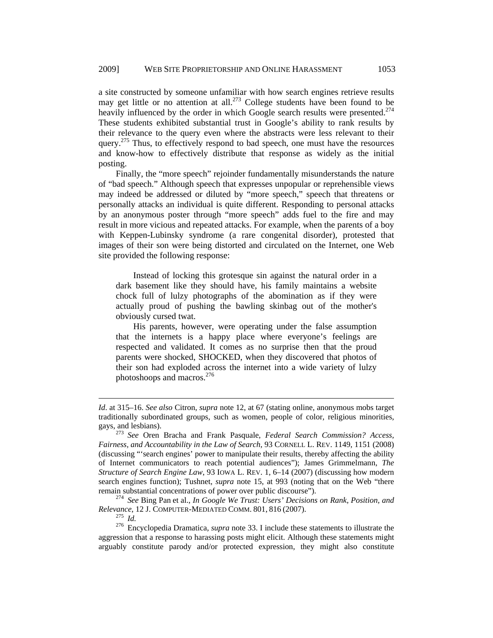a site constructed by someone unfamiliar with how search engines retrieve results may get little or no attention at all.<sup>273</sup> College students have been found to be heavily influenced by the order in which Google search results were presented.<sup>274</sup> These students exhibited substantial trust in Google's ability to rank results by their relevance to the query even where the abstracts were less relevant to their query.<sup>275</sup> Thus, to effectively respond to bad speech, one must have the resources and know-how to effectively distribute that response as widely as the initial posting.

Finally, the "more speech" rejoinder fundamentally misunderstands the nature of "bad speech." Although speech that expresses unpopular or reprehensible views may indeed be addressed or diluted by "more speech," speech that threatens or personally attacks an individual is quite different. Responding to personal attacks by an anonymous poster through "more speech" adds fuel to the fire and may result in more vicious and repeated attacks. For example, when the parents of a boy with Keppen-Lubinsky syndrome (a rare congenital disorder), protested that images of their son were being distorted and circulated on the Internet, one Web site provided the following response:

Instead of locking this grotesque sin against the natural order in a dark basement like they should have, his family maintains a website chock full of lulzy photographs of the abomination as if they were actually proud of pushing the bawling skinbag out of the mother's obviously cursed twat.

His parents, however, were operating under the false assumption that the internets is a happy place where everyone's feelings are respected and validated. It comes as no surprise then that the proud parents were shocked, SHOCKED, when they discovered that photos of their son had exploded across the internet into a wide variety of lulzy photoshoops and macros.<sup>276</sup>

*Relevance*, 12 J. COMPUTER-MEDIATED COMM. 801, <sup>816</sup> (2007). 275 *Id.* 276 Encyclopedia Dramatica, *supra* note 33. I include these statements to illustrate the

 $\overline{a}$ 

aggression that a response to harassing posts might elicit. Although these statements might arguably constitute parody and/or protected expression, they might also constitute

*Id*. at 315–16. *See also* Citron, *supra* note 12, at 67 (stating online, anonymous mobs target traditionally subordinated groups, such as women, people of color, religious minorities, gays, and lesbians). 273 *See* Oren Bracha and Frank Pasquale, *Federal Search Commission? Access,* 

*Fairness, and Accountability in the Law of Search*, 93 CORNELL L. REV. 1149, 1151 (2008) (discussing "'search engines' power to manipulate their results, thereby affecting the ability of Internet communicators to reach potential audiences"); James Grimmelmann, *The Structure of Search Engine Law*, 93 IOWA L. REV. 1, 6–14 (2007) (discussing how modern search engines function); Tushnet, *supra* note 15, at 993 (noting that on the Web "there remain substantial concentrations of power over public discourse"). 274 *See* Bing Pan et al., *In Google We Trust: Users' Decisions on Rank, Position, and*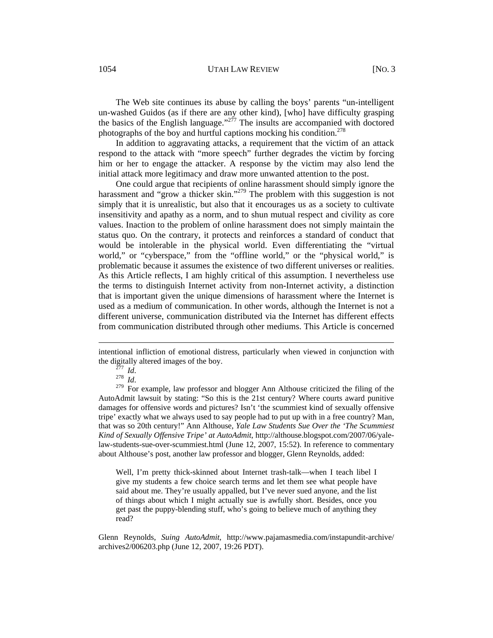1054 UTAH LAW REVIEW [NO. 3]

The Web site continues its abuse by calling the boys' parents "un-intelligent un-washed Guidos (as if there are any other kind), [who] have difficulty grasping the basics of the English language."<sup> $277$ </sup> The insults are accompanied with doctored photographs of the boy and hurtful captions mocking his condition.<sup>278</sup>

In addition to aggravating attacks, a requirement that the victim of an attack respond to the attack with "more speech" further degrades the victim by forcing him or her to engage the attacker. A response by the victim may also lend the initial attack more legitimacy and draw more unwanted attention to the post.

One could argue that recipients of online harassment should simply ignore the harassment and "grow a thicker skin."<sup>279</sup> The problem with this suggestion is not simply that it is unrealistic, but also that it encourages us as a society to cultivate insensitivity and apathy as a norm, and to shun mutual respect and civility as core values. Inaction to the problem of online harassment does not simply maintain the status quo. On the contrary, it protects and reinforces a standard of conduct that would be intolerable in the physical world. Even differentiating the "virtual world," or "cyberspace," from the "offline world," or the "physical world," is problematic because it assumes the existence of two different universes or realities. As this Article reflects, I am highly critical of this assumption. I nevertheless use the terms to distinguish Internet activity from non-Internet activity, a distinction that is important given the unique dimensions of harassment where the Internet is used as a medium of communication. In other words, although the Internet is not a different universe, communication distributed via the Internet has different effects from communication distributed through other mediums. This Article is concerned

 $\overline{a}$ 

the digitally altered images of the boy.<br><sup>277</sup> *Id.*<br><sup>278</sup> *Id.* <sup>279</sup> For example, law professor and blogger Ann Althouse criticized the filing of the AutoAdmit lawsuit by stating: "So this is the 21st century? Where courts award punitive damages for offensive words and pictures? Isn't 'the scummiest kind of sexually offensive tripe' exactly what we always used to say people had to put up with in a free country? Man, that was so 20th century!" Ann Althouse, *Yale Law Students Sue Over the 'The Scummiest Kind of Sexually Offensive Tripe' at AutoAdmit*, http://althouse.blogspot.com/2007/06/yalelaw-students-sue-over-scummiest.html (June 12, 2007, 15:52). In reference to commentary about Althouse's post, another law professor and blogger, Glenn Reynolds, added:

Well, I'm pretty thick-skinned about Internet trash-talk—when I teach libel I give my students a few choice search terms and let them see what people have said about me. They're usually appalled, but I've never sued anyone, and the list of things about which I might actually sue is awfully short. Besides, once you get past the puppy-blending stuff, who's going to believe much of anything they read?

Glenn Reynolds, *Suing AutoAdmit*, http://www.pajamasmedia.com/instapundit-archive/ archives2/006203.php (June 12, 2007, 19:26 PDT).

intentional infliction of emotional distress, particularly when viewed in conjunction with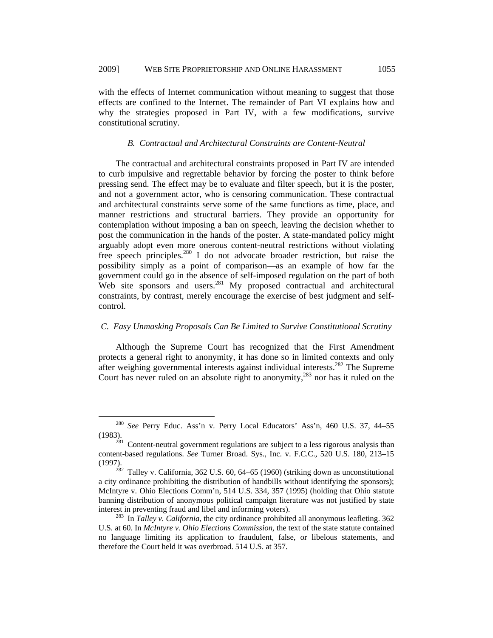with the effects of Internet communication without meaning to suggest that those effects are confined to the Internet. The remainder of Part VI explains how and why the strategies proposed in Part IV, with a few modifications, survive constitutional scrutiny.

#### *B. Contractual and Architectural Constraints are Content-Neutral*

The contractual and architectural constraints proposed in Part IV are intended to curb impulsive and regrettable behavior by forcing the poster to think before pressing send. The effect may be to evaluate and filter speech, but it is the poster, and not a government actor, who is censoring communication. These contractual and architectural constraints serve some of the same functions as time, place, and manner restrictions and structural barriers. They provide an opportunity for contemplation without imposing a ban on speech, leaving the decision whether to post the communication in the hands of the poster. A state-mandated policy might arguably adopt even more onerous content-neutral restrictions without violating free speech principles.280 I do not advocate broader restriction, but raise the possibility simply as a point of comparison—as an example of how far the government could go in the absence of self-imposed regulation on the part of both Web site sponsors and users.<sup>281</sup> My proposed contractual and architectural constraints, by contrast, merely encourage the exercise of best judgment and selfcontrol.

### *C. Easy Unmasking Proposals Can Be Limited to Survive Constitutional Scrutiny*

Although the Supreme Court has recognized that the First Amendment protects a general right to anonymity, it has done so in limited contexts and only after weighing governmental interests against individual interests.<sup>282</sup> The Supreme Court has never ruled on an absolute right to anonymity, $^{283}$  nor has it ruled on the

 <sup>280</sup> *See* Perry Educ. Ass'n v. Perry Local Educators' Ass'n, 460 U.S. 37, 44–55 (1983).<br><sup>281</sup> Content-neutral government regulations are subject to a less rigorous analysis than

content-based regulations. *See* Turner Broad. Sys., Inc. v. F.C.C., 520 U.S. 180, 213–15 (1997).<br><sup>282</sup> Talley v. California, 362 U.S. 60, 64–65 (1960) (striking down as unconstitutional

a city ordinance prohibiting the distribution of handbills without identifying the sponsors); McIntyre v. Ohio Elections Comm'n, 514 U.S. 334, 357 (1995) (holding that Ohio statute banning distribution of anonymous political campaign literature was not justified by state interest in preventing fraud and libel and informing voters). 283 In *Talley v. California*, the city ordinance prohibited all anonymous leafleting. 362

U.S. at 60. In *McIntyre v. Ohio Elections Commission*, the text of the state statute contained no language limiting its application to fraudulent, false, or libelous statements, and therefore the Court held it was overbroad. 514 U.S. at 357.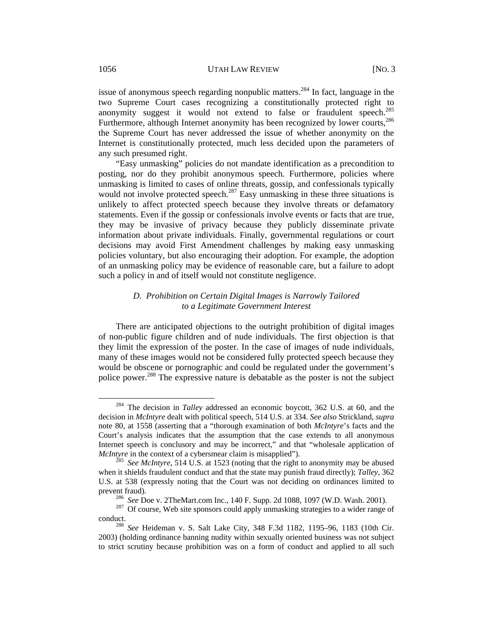issue of anonymous speech regarding nonpublic matters.<sup>284</sup> In fact, language in the two Supreme Court cases recognizing a constitutionally protected right to anonymity suggest it would not extend to false or fraudulent speech. $^{285}$ Furthermore, although Internet anonymity has been recognized by lower courts,  $286$ the Supreme Court has never addressed the issue of whether anonymity on the Internet is constitutionally protected, much less decided upon the parameters of any such presumed right.

"Easy unmasking" policies do not mandate identification as a precondition to posting, nor do they prohibit anonymous speech. Furthermore, policies where unmasking is limited to cases of online threats, gossip, and confessionals typically would not involve protected speech.<sup>287</sup> Easy unmasking in these three situations is unlikely to affect protected speech because they involve threats or defamatory statements. Even if the gossip or confessionals involve events or facts that are true, they may be invasive of privacy because they publicly disseminate private information about private individuals. Finally, governmental regulations or court decisions may avoid First Amendment challenges by making easy unmasking policies voluntary, but also encouraging their adoption. For example, the adoption of an unmasking policy may be evidence of reasonable care, but a failure to adopt such a policy in and of itself would not constitute negligence.

## *D. Prohibition on Certain Digital Images is Narrowly Tailored to a Legitimate Government Interest*

There are anticipated objections to the outright prohibition of digital images of non-public figure children and of nude individuals. The first objection is that they limit the expression of the poster. In the case of images of nude individuals, many of these images would not be considered fully protected speech because they would be obscene or pornographic and could be regulated under the government's police power.288 The expressive nature is debatable as the poster is not the subject

 <sup>284</sup> The decision in *Talley* addressed an economic boycott, 362 U.S. at 60, and the decision in *McIntyre* dealt with political speech, 514 U.S. at 334. *See also* Strickland, *supra*  note 80, at 1558 (asserting that a "thorough examination of both *McIntyre*'s facts and the Court's analysis indicates that the assumption that the case extends to all anonymous Internet speech is conclusory and may be incorrect," and that "wholesale application of *McIntyre* in the context of a cybersmear claim is misapplied").<br><sup>285</sup> *See McIntyre*, 514 U.S. at 1523 (noting that the right to anonymity may be abused

when it shields fraudulent conduct and that the state may punish fraud directly); *Talley*, 362 U.S. at 538 (expressly noting that the Court was not deciding on ordinances limited to

prevent fraud).<br><sup>286</sup> *See* Doe v. 2TheMart.com Inc., 140 F. Supp. 2d 1088, 1097 (W.D. Wash. 2001).<br><sup>287</sup> Of course, Web site sponsors could apply unmasking strategies to a wider range of conduct. 288 *See* Heideman v. S. Salt Lake City, 348 F.3d 1182, 1195–96, 1183 (10th Cir.

<sup>2003) (</sup>holding ordinance banning nudity within sexually oriented business was not subject to strict scrutiny because prohibition was on a form of conduct and applied to all such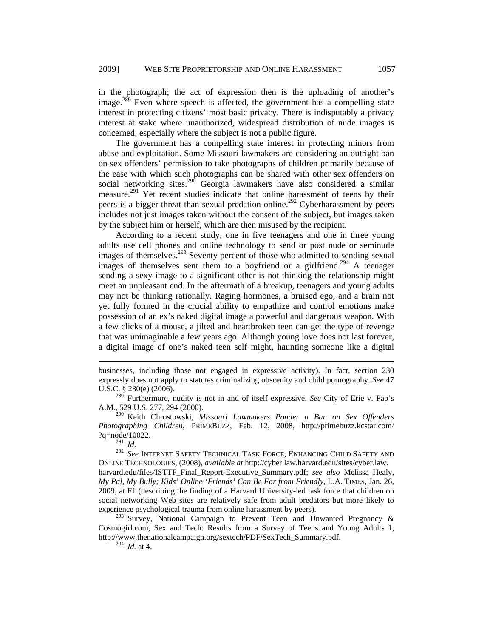in the photograph; the act of expression then is the uploading of another's image.<sup>289</sup> Even where speech is affected, the government has a compelling state interest in protecting citizens' most basic privacy. There is indisputably a privacy interest at stake where unauthorized, widespread distribution of nude images is concerned, especially where the subject is not a public figure.

The government has a compelling state interest in protecting minors from abuse and exploitation. Some Missouri lawmakers are considering an outright ban on sex offenders' permission to take photographs of children primarily because of the ease with which such photographs can be shared with other sex offenders on social networking sites.<sup>290</sup> Georgia lawmakers have also considered a similar measure.<sup>291</sup> Yet recent studies indicate that online harassment of teens by their peers is a bigger threat than sexual predation online.<sup>292</sup> Cyberharassment by peers includes not just images taken without the consent of the subject, but images taken by the subject him or herself, which are then misused by the recipient.

According to a recent study, one in five teenagers and one in three young adults use cell phones and online technology to send or post nude or seminude images of themselves.<sup>293</sup> Seventy percent of those who admitted to sending sexual images of themselves sent them to a boyfriend or a girlfriend.<sup>294</sup> A teenager sending a sexy image to a significant other is not thinking the relationship might meet an unpleasant end. In the aftermath of a breakup, teenagers and young adults may not be thinking rationally. Raging hormones, a bruised ego, and a brain not yet fully formed in the crucial ability to empathize and control emotions make possession of an ex's naked digital image a powerful and dangerous weapon. With a few clicks of a mouse, a jilted and heartbroken teen can get the type of revenge that was unimaginable a few years ago. Although young love does not last forever, a digital image of one's naked teen self might, haunting someone like a digital

290 Keith Chrostowski, *Missouri Lawmakers Ponder a Ban on Sex Offenders Photographing Children*, PRIMEBUZZ, Feb. 12, 2008, http://primebuzz.kcstar.com/ ?q=node/10022.<br> $^{291}$  *Id.* 

 $\overline{a}$ 

<sup>291</sup>*Id*. 292 *See* INTERNET SAFETY TECHNICAL TASK FORCE, ENHANCING CHILD SAFETY AND ONLINE TECHNOLOGIES, (2008), *available at* http://cyber.law.harvard.edu/sites/cyber.law. harvard.edu/files/ISTTF\_Final\_Report-Executive\_Summary.pdf; *see also* Melissa Healy, *My Pal, My Bully; Kids' Online 'Friends' Can Be Far from Friendly*, L.A. TIMES, Jan. 26, 2009, at F1 (describing the finding of a Harvard University-led task force that children on social networking Web sites are relatively safe from adult predators but more likely to experience psychological trauma from online harassment by peers).

 $293$  Survey, National Campaign to Prevent Teen and Unwanted Pregnancy & Cosmogirl.com, Sex and Tech: Results from a Survey of Teens and Young Adults 1, http://www.thenationalcampaign.org/sextech/PDF/SexTech\_Summary.pdf.

294 *Id.* at 4.

businesses, including those not engaged in expressive activity). In fact, section 230 expressly does not apply to statutes criminalizing obscenity and child pornography. *See* 47 U.S.C. § 230(e) (2006).

<sup>289</sup> Furthermore, nudity is not in and of itself expressive. *See* City of Erie v. Pap's A.M., 529 U.S. 277, 294 (2000).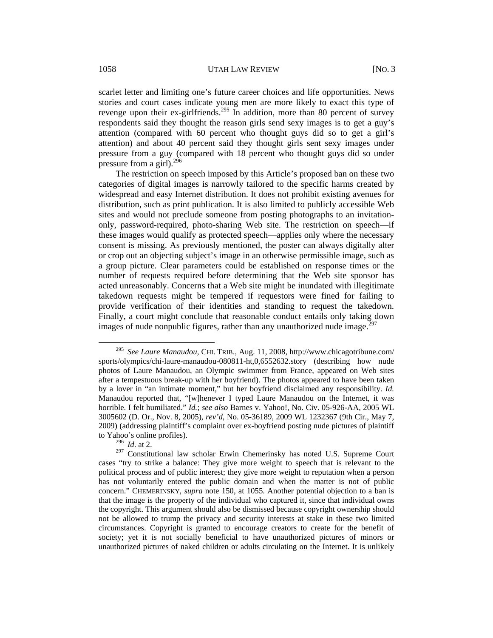scarlet letter and limiting one's future career choices and life opportunities. News stories and court cases indicate young men are more likely to exact this type of revenge upon their ex-girlfriends.<sup>295</sup> In addition, more than 80 percent of survey respondents said they thought the reason girls send sexy images is to get a guy's attention (compared with 60 percent who thought guys did so to get a girl's attention) and about 40 percent said they thought girls sent sexy images under pressure from a guy (compared with 18 percent who thought guys did so under pressure from a girl).<sup>296</sup>

The restriction on speech imposed by this Article's proposed ban on these two categories of digital images is narrowly tailored to the specific harms created by widespread and easy Internet distribution. It does not prohibit existing avenues for distribution, such as print publication. It is also limited to publicly accessible Web sites and would not preclude someone from posting photographs to an invitationonly, password-required, photo-sharing Web site. The restriction on speech—if these images would qualify as protected speech—applies only where the necessary consent is missing. As previously mentioned, the poster can always digitally alter or crop out an objecting subject's image in an otherwise permissible image, such as a group picture. Clear parameters could be established on response times or the number of requests required before determining that the Web site sponsor has acted unreasonably. Concerns that a Web site might be inundated with illegitimate takedown requests might be tempered if requestors were fined for failing to provide verification of their identities and standing to request the takedown. Finally, a court might conclude that reasonable conduct entails only taking down images of nude nonpublic figures, rather than any unauthorized nude image.<sup>297</sup>

 <sup>295</sup> *See Laure Manaudou*, CHI. TRIB., Aug. 11, 2008, http://www.chicagotribune.com/ sports/olympics/chi-laure-manaudou-080811-ht,0,6552632.story (describing how nude photos of Laure Manaudou, an Olympic swimmer from France, appeared on Web sites after a tempestuous break-up with her boyfriend). The photos appeared to have been taken by a lover in "an intimate moment," but her boyfriend disclaimed any responsibility. *Id.* Manaudou reported that, "[w]henever I typed Laure Manaudou on the Internet, it was horrible. I felt humiliated." *Id.*; *see also* Barnes v. Yahoo!, No. Civ. 05-926-AA, 2005 WL 3005602 (D. Or., Nov. 8, 2005), *rev'd*, No. 05-36189, 2009 WL 1232367 (9th Cir., May 7, 2009) (addressing plaintiff's complaint over ex-boyfriend posting nude pictures of plaintiff to Yahoo's online profiles).

<sup>296</sup> *Id*. at 2.

<sup>&</sup>lt;sup>297</sup> Constitutional law scholar Erwin Chemerinsky has noted U.S. Supreme Court cases "try to strike a balance: They give more weight to speech that is relevant to the political process and of public interest; they give more weight to reputation when a person has not voluntarily entered the public domain and when the matter is not of public concern." CHEMERINSKY, *supra* note 150, at 1055. Another potential objection to a ban is that the image is the property of the individual who captured it, since that individual owns the copyright. This argument should also be dismissed because copyright ownership should not be allowed to trump the privacy and security interests at stake in these two limited circumstances. Copyright is granted to encourage creators to create for the benefit of society; yet it is not socially beneficial to have unauthorized pictures of minors or unauthorized pictures of naked children or adults circulating on the Internet. It is unlikely